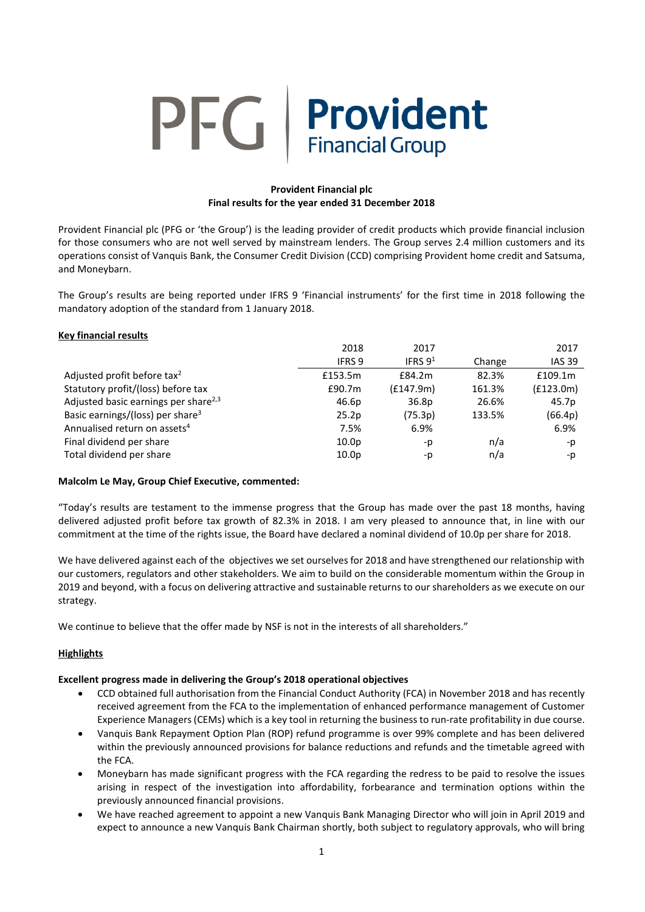# PFG Provident **Financial Group**

# **Provident Financial plc Final results for the year ended 31 December 2018**

Provident Financial plc (PFG or 'the Group') is the leading provider of credit products which provide financial inclusion for those consumers who are not well served by mainstream lenders. The Group serves 2.4 million customers and its operations consist of Vanquis Bank, the Consumer Credit Division (CCD) comprising Provident home credit and Satsuma, and Moneybarn.

The Group's results are being reported under IFRS 9 'Financial instruments' for the first time in 2018 following the mandatory adoption of the standard from 1 January 2018.

# **Key financial results**

|                                                  | 2018              | 2017              |        | 2017          |
|--------------------------------------------------|-------------------|-------------------|--------|---------------|
|                                                  | IFRS 9            | IFRS $9^1$        | Change | <b>IAS 39</b> |
| Adjusted profit before tax <sup>2</sup>          | £153.5m           | £84.2m            | 82.3%  | £109.1m       |
| Statutory profit/(loss) before tax               | £90.7m            | (f147.9m)         | 161.3% | (f123.0m)     |
| Adjusted basic earnings per share <sup>2,3</sup> | 46.6p             | 36.8 <sub>p</sub> | 26.6%  | 45.7p         |
| Basic earnings/(loss) per share <sup>3</sup>     | 25.2p             | (75.3p)           | 133.5% | (66.4p)       |
| Annualised return on assets <sup>4</sup>         | 7.5%              | 6.9%              |        | 6.9%          |
| Final dividend per share                         | 10.0 <sub>p</sub> | -p                | n/a    | -p            |
| Total dividend per share                         | 10.0 <sub>p</sub> | -p                | n/a    | -p            |

## **Malcolm Le May, Group Chief Executive, commented:**

"Today's results are testament to the immense progress that the Group has made over the past 18 months, having delivered adjusted profit before tax growth of 82.3% in 2018. I am very pleased to announce that, in line with our commitment at the time of the rights issue, the Board have declared a nominal dividend of 10.0p per share for 2018.

We have delivered against each of the objectives we set ourselves for 2018 and have strengthened our relationship with our customers, regulators and other stakeholders. We aim to build on the considerable momentum within the Group in 2019 and beyond, with a focus on delivering attractive and sustainable returns to our shareholders as we execute on our strategy.

We continue to believe that the offer made by NSF is not in the interests of all shareholders."

## **Highlights**

## **Excellent progress made in delivering the Group's 2018 operational objectives**

- CCD obtained full authorisation from the Financial Conduct Authority (FCA) in November 2018 and has recently received agreement from the FCA to the implementation of enhanced performance management of Customer Experience Managers (CEMs) which is a key tool in returning the business to run-rate profitability in due course.
- Vanquis Bank Repayment Option Plan (ROP) refund programme is over 99% complete and has been delivered within the previously announced provisions for balance reductions and refunds and the timetable agreed with the FCA.
- Moneybarn has made significant progress with the FCA regarding the redress to be paid to resolve the issues arising in respect of the investigation into affordability, forbearance and termination options within the previously announced financial provisions.
- We have reached agreement to appoint a new Vanquis Bank Managing Director who will join in April 2019 and expect to announce a new Vanquis Bank Chairman shortly, both subject to regulatory approvals, who will bring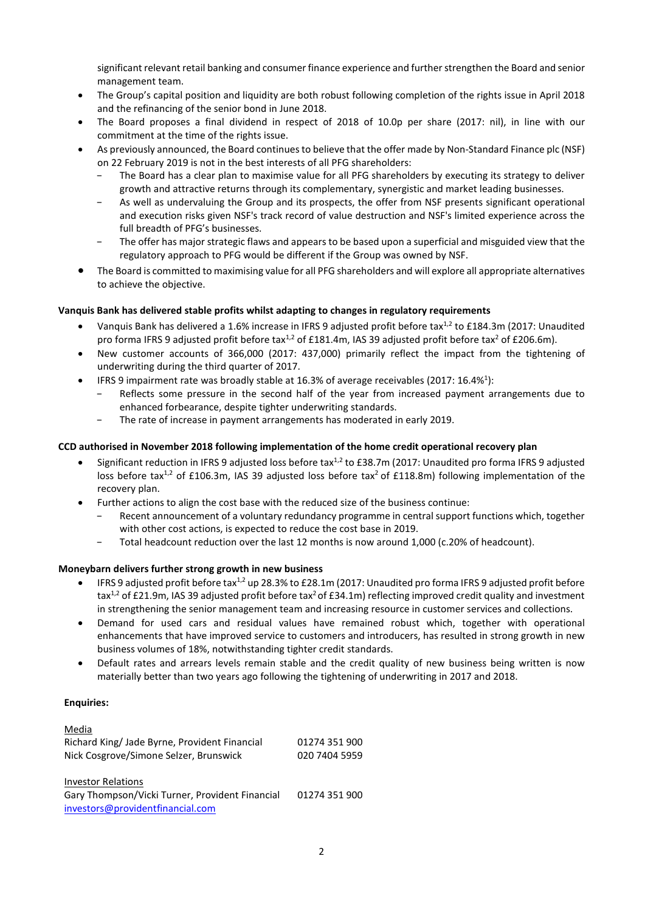significant relevant retail banking and consumer finance experience and further strengthen the Board and senior management team.

- The Group's capital position and liquidity are both robust following completion of the rights issue in April 2018 and the refinancing of the senior bond in June 2018.
- The Board proposes a final dividend in respect of 2018 of 10.0p per share (2017: nil), in line with our commitment at the time of the rights issue.
- As previously announced, the Board continuesto believe that the offer made by Non-Standard Finance plc (NSF) on 22 February 2019 is not in the best interests of all PFG shareholders:
	- The Board has a clear plan to maximise value for all PFG shareholders by executing its strategy to deliver growth and attractive returns through its complementary, synergistic and market leading businesses.
	- As well as undervaluing the Group and its prospects, the offer from NSF presents significant operational and execution risks given NSF's track record of value destruction and NSF's limited experience across the full breadth of PFG's businesses.
	- The offer has major strategic flaws and appears to be based upon a superficial and misguided view that the regulatory approach to PFG would be different if the Group was owned by NSF.
- The Board is committed to maximising value for all PFG shareholders and will explore all appropriate alternatives to achieve the objective.

# **Vanquis Bank has delivered stable profits whilst adapting to changes in regulatory requirements**

- Vanquis Bank has delivered a 1.6% increase in IFRS 9 adjusted profit before tax<sup>1,2</sup> to £184.3m (2017: Unaudited pro forma IFRS 9 adjusted profit before tax<sup>1,2</sup> of £181.4m, IAS 39 adjusted profit before tax<sup>2</sup> of £206.6m).
- New customer accounts of 366,000 (2017: 437,000) primarily reflect the impact from the tightening of underwriting during the third quarter of 2017.
- IFRS 9 impairment rate was broadly stable at 16.3% of average receivables (2017: 16.4%<sup>1</sup>):
	- Reflects some pressure in the second half of the year from increased payment arrangements due to enhanced forbearance, despite tighter underwriting standards.
	- − The rate of increase in payment arrangements has moderated in early 2019.

# **CCD authorised in November 2018 following implementation of the home credit operational recovery plan**

- Significant reduction in IFRS 9 adjusted loss before tax $^{1,2}$  to £38.7m (2017: Unaudited pro forma IFRS 9 adjusted loss before tax<sup>1,2</sup> of £106.3m, IAS 39 adjusted loss before tax<sup>2</sup> of £118.8m) following implementation of the recovery plan.
- Further actions to align the cost base with the reduced size of the business continue:
	- Recent announcement of a voluntary redundancy programme in central support functions which, together with other cost actions, is expected to reduce the cost base in 2019.
	- − Total headcount reduction over the last 12 months is now around 1,000 (c.20% of headcount).

## **Moneybarn delivers further strong growth in new business**

- IFRS 9 adjusted profit before tax<sup>1,2</sup> up 28.3% to £28.1m (2017: Unaudited pro forma IFRS 9 adjusted profit before tax<sup>1,2</sup> of £21.9m, IAS 39 adjusted profit before tax<sup>2</sup> of £34.1m) reflecting improved credit quality and investment in strengthening the senior management team and increasing resource in customer services and collections.
- Demand for used cars and residual values have remained robust which, together with operational enhancements that have improved service to customers and introducers, has resulted in strong growth in new business volumes of 18%, notwithstanding tighter credit standards.
- Default rates and arrears levels remain stable and the credit quality of new business being written is now materially better than two years ago following the tightening of underwriting in 2017 and 2018.

## **Enquiries:**

| Media                                         |               |
|-----------------------------------------------|---------------|
| Richard King/ Jade Byrne, Provident Financial | 01274 351 900 |
| Nick Cosgrove/Simone Selzer, Brunswick        | 020 7404 5959 |
|                                               |               |

Investor Relations Gary Thompson/Vicki Turner, Provident Financial [investors@providentfinancial.com](mailto:investors@providentfinancial.com) 01274 351 900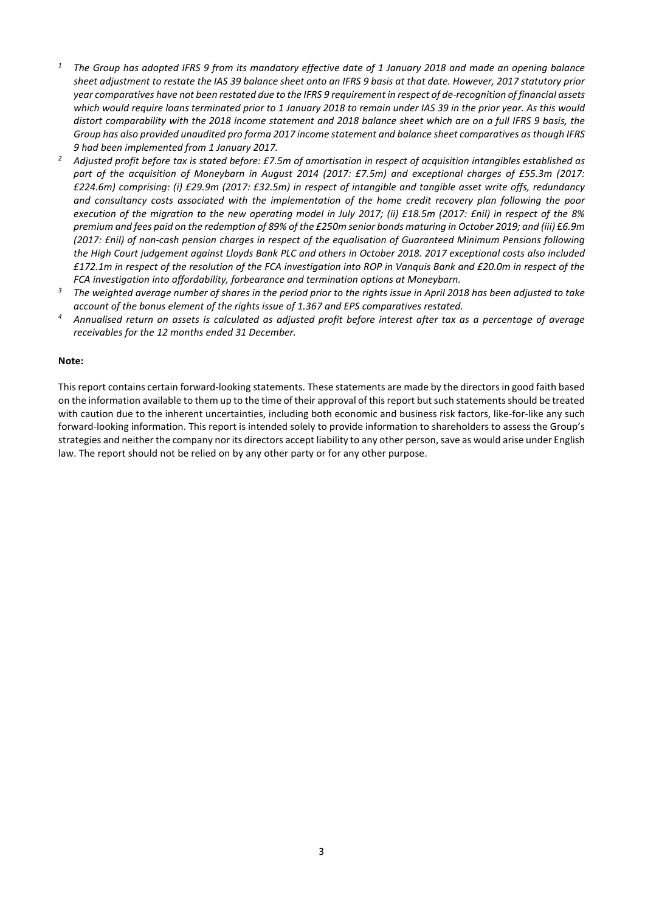- *<sup>1</sup> The Group has adopted IFRS 9 from its mandatory effective date of 1 January 2018 and made an opening balance sheet adjustment to restate the IAS 39 balance sheet onto an IFRS 9 basis at that date. However, 2017 statutory prior year comparatives have not been restated due to the IFRS 9 requirement in respect of de-recognition of financial assets which would require loans terminated prior to 1 January 2018 to remain under IAS 39 in the prior year. As this would distort comparability with the 2018 income statement and 2018 balance sheet which are on a full IFRS 9 basis, the Group has also provided unaudited pro forma 2017 income statement and balance sheet comparatives as though IFRS 9 had been implemented from 1 January 2017.*
- *<sup>2</sup> Adjusted profit before tax is stated before: £7.5m of amortisation in respect of acquisition intangibles established as part of the acquisition of Moneybarn in August 2014 (2017: £7.5m) and exceptional charges of £55.3m (2017: £224.6m) comprising: (i) £29.9m (2017: £32.5m) in respect of intangible and tangible asset write offs, redundancy and consultancy costs associated with the implementation of the home credit recovery plan following the poor execution of the migration to the new operating model in July 2017; (ii) £18.5m (2017: £nil) in respect of the 8% premium and fees paid on the redemption of 89% of the £250m senior bonds maturing in October 2019; and (iii)* £*6.9m (2017: £nil) of non-cash pension charges in respect of the equalisation of Guaranteed Minimum Pensions following the High Court judgement against Lloyds Bank PLC and others in October 2018. 2017 exceptional costs also included £172.1m in respect of the resolution of the FCA investigation into ROP in Vanquis Bank and £20.0m in respect of the FCA investigation into affordability, forbearance and termination options at Moneybarn.*
- *<sup>3</sup> The weighted average number of shares in the period prior to the rights issue in April 2018 has been adjusted to take account of the bonus element of the rights issue of 1.367 and EPS comparatives restated.*
- *<sup>4</sup> Annualised return on assets is calculated as adjusted profit before interest after tax as a percentage of average receivables for the 12 months ended 31 December.*

#### **Note:**

This report contains certain forward-looking statements. These statements are made by the directors in good faith based on the information available to them up to the time of their approval of this report but such statements should be treated with caution due to the inherent uncertainties, including both economic and business risk factors, like-for-like any such forward-looking information. This report is intended solely to provide information to shareholders to assess the Group's strategies and neither the company nor its directors accept liability to any other person, save as would arise under English law. The report should not be relied on by any other party or for any other purpose.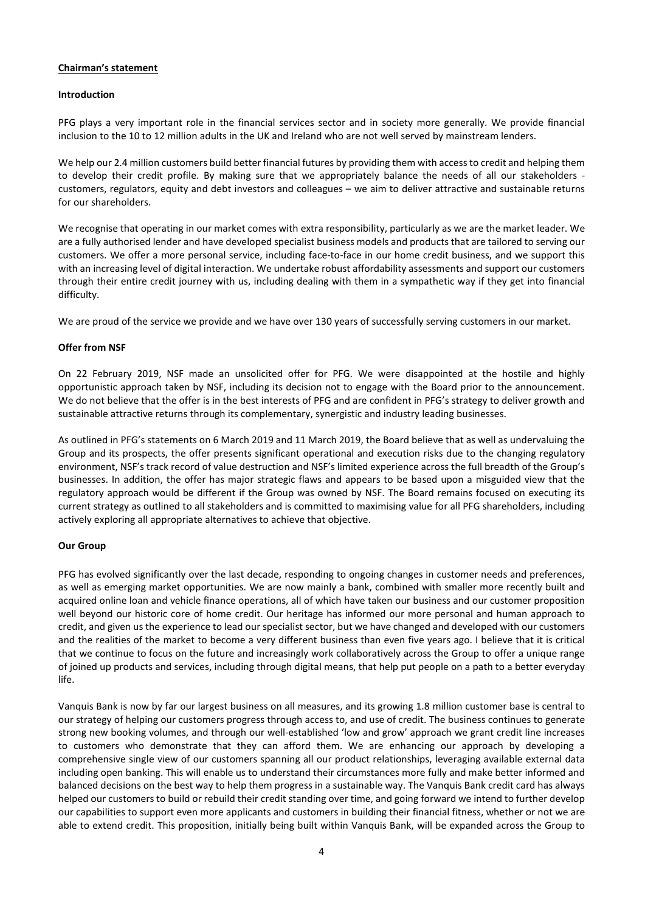## **Chairman's statement**

#### **Introduction**

PFG plays a very important role in the financial services sector and in society more generally. We provide financial inclusion to the 10 to 12 million adults in the UK and Ireland who are not well served by mainstream lenders.

We help our 2.4 million customers build better financial futures by providing them with access to credit and helping them to develop their credit profile. By making sure that we appropriately balance the needs of all our stakeholders customers, regulators, equity and debt investors and colleagues – we aim to deliver attractive and sustainable returns for our shareholders.

We recognise that operating in our market comes with extra responsibility, particularly as we are the market leader. We are a fully authorised lender and have developed specialist business models and products that are tailored to serving our customers. We offer a more personal service, including face-to-face in our home credit business, and we support this with an increasing level of digital interaction. We undertake robust affordability assessments and support our customers through their entire credit journey with us, including dealing with them in a sympathetic way if they get into financial difficulty.

We are proud of the service we provide and we have over 130 years of successfully serving customers in our market.

#### **Offer from NSF**

On 22 February 2019, NSF made an unsolicited offer for PFG. We were disappointed at the hostile and highly opportunistic approach taken by NSF, including its decision not to engage with the Board prior to the announcement. We do not believe that the offer is in the best interests of PFG and are confident in PFG's strategy to deliver growth and sustainable attractive returns through its complementary, synergistic and industry leading businesses.

As outlined in PFG's statements on 6 March 2019 and 11 March 2019, the Board believe that as well as undervaluing the Group and its prospects, the offer presents significant operational and execution risks due to the changing regulatory environment, NSF's track record of value destruction and NSF's limited experience across the full breadth of the Group's businesses. In addition, the offer has major strategic flaws and appears to be based upon a misguided view that the regulatory approach would be different if the Group was owned by NSF. The Board remains focused on executing its current strategy as outlined to all stakeholders and is committed to maximising value for all PFG shareholders, including actively exploring all appropriate alternatives to achieve that objective.

#### **Our Group**

PFG has evolved significantly over the last decade, responding to ongoing changes in customer needs and preferences, as well as emerging market opportunities. We are now mainly a bank, combined with smaller more recently built and acquired online loan and vehicle finance operations, all of which have taken our business and our customer proposition well beyond our historic core of home credit. Our heritage has informed our more personal and human approach to credit, and given us the experience to lead our specialist sector, but we have changed and developed with our customers and the realities of the market to become a very different business than even five years ago. I believe that it is critical that we continue to focus on the future and increasingly work collaboratively across the Group to offer a unique range of joined up products and services, including through digital means, that help put people on a path to a better everyday life.

Vanquis Bank is now by far our largest business on all measures, and its growing 1.8 million customer base is central to our strategy of helping our customers progress through access to, and use of credit. The business continues to generate strong new booking volumes, and through our well-established 'low and grow' approach we grant credit line increases to customers who demonstrate that they can afford them. We are enhancing our approach by developing a comprehensive single view of our customers spanning all our product relationships, leveraging available external data including open banking. This will enable us to understand their circumstances more fully and make better informed and balanced decisions on the best way to help them progress in a sustainable way. The Vanquis Bank credit card has always helped our customers to build or rebuild their credit standing over time, and going forward we intend to further develop our capabilities to support even more applicants and customers in building their financial fitness, whether or not we are able to extend credit. This proposition, initially being built within Vanquis Bank, will be expanded across the Group to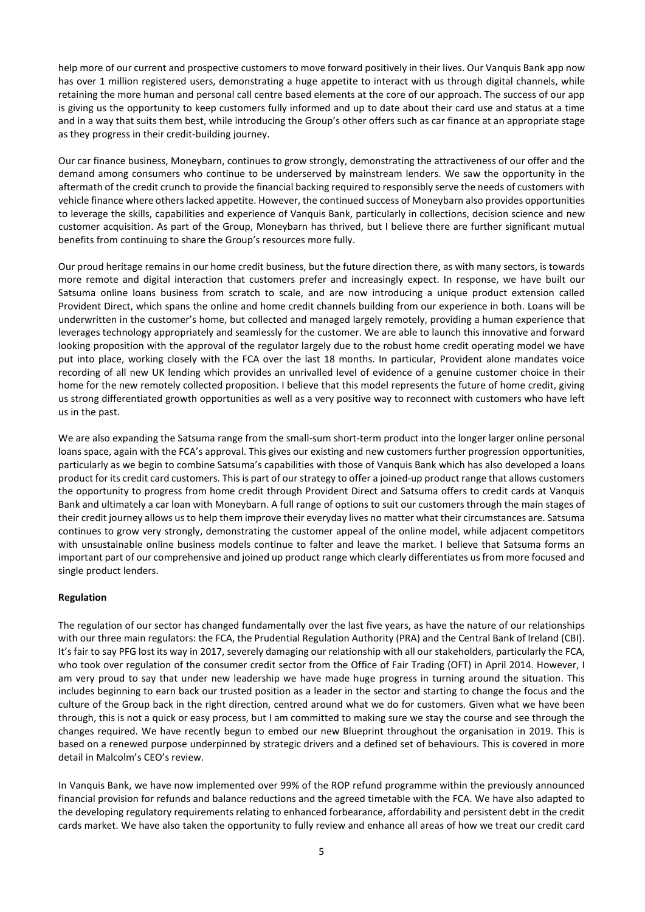help more of our current and prospective customers to move forward positively in their lives. Our Vanquis Bank app now has over 1 million registered users, demonstrating a huge appetite to interact with us through digital channels, while retaining the more human and personal call centre based elements at the core of our approach. The success of our app is giving us the opportunity to keep customers fully informed and up to date about their card use and status at a time and in a way that suits them best, while introducing the Group's other offers such as car finance at an appropriate stage as they progress in their credit-building journey.

Our car finance business, Moneybarn, continues to grow strongly, demonstrating the attractiveness of our offer and the demand among consumers who continue to be underserved by mainstream lenders. We saw the opportunity in the aftermath of the credit crunch to provide the financial backing required to responsibly serve the needs of customers with vehicle finance where others lacked appetite. However, the continued success of Moneybarn also provides opportunities to leverage the skills, capabilities and experience of Vanquis Bank, particularly in collections, decision science and new customer acquisition. As part of the Group, Moneybarn has thrived, but I believe there are further significant mutual benefits from continuing to share the Group's resources more fully.

Our proud heritage remains in our home credit business, but the future direction there, as with many sectors, is towards more remote and digital interaction that customers prefer and increasingly expect. In response, we have built our Satsuma online loans business from scratch to scale, and are now introducing a unique product extension called Provident Direct, which spans the online and home credit channels building from our experience in both. Loans will be underwritten in the customer's home, but collected and managed largely remotely, providing a human experience that leverages technology appropriately and seamlessly for the customer. We are able to launch this innovative and forward looking proposition with the approval of the regulator largely due to the robust home credit operating model we have put into place, working closely with the FCA over the last 18 months. In particular, Provident alone mandates voice recording of all new UK lending which provides an unrivalled level of evidence of a genuine customer choice in their home for the new remotely collected proposition. I believe that this model represents the future of home credit, giving us strong differentiated growth opportunities as well as a very positive way to reconnect with customers who have left us in the past.

We are also expanding the Satsuma range from the small-sum short-term product into the longer larger online personal loans space, again with the FCA's approval. This gives our existing and new customers further progression opportunities, particularly as we begin to combine Satsuma's capabilities with those of Vanquis Bank which has also developed a loans product for its credit card customers. This is part of our strategy to offer a joined-up product range that allows customers the opportunity to progress from home credit through Provident Direct and Satsuma offers to credit cards at Vanquis Bank and ultimately a car loan with Moneybarn. A full range of options to suit our customers through the main stages of their credit journey allows us to help them improve their everyday lives no matter what their circumstances are. Satsuma continues to grow very strongly, demonstrating the customer appeal of the online model, while adjacent competitors with unsustainable online business models continue to falter and leave the market. I believe that Satsuma forms an important part of our comprehensive and joined up product range which clearly differentiates us from more focused and single product lenders.

## **Regulation**

The regulation of our sector has changed fundamentally over the last five years, as have the nature of our relationships with our three main regulators: the FCA, the Prudential Regulation Authority (PRA) and the Central Bank of Ireland (CBI). It's fair to say PFG lost its way in 2017, severely damaging our relationship with all our stakeholders, particularly the FCA, who took over regulation of the consumer credit sector from the Office of Fair Trading (OFT) in April 2014. However, I am very proud to say that under new leadership we have made huge progress in turning around the situation. This includes beginning to earn back our trusted position as a leader in the sector and starting to change the focus and the culture of the Group back in the right direction, centred around what we do for customers. Given what we have been through, this is not a quick or easy process, but I am committed to making sure we stay the course and see through the changes required. We have recently begun to embed our new Blueprint throughout the organisation in 2019. This is based on a renewed purpose underpinned by strategic drivers and a defined set of behaviours. This is covered in more detail in Malcolm's CEO's review.

In Vanquis Bank, we have now implemented over 99% of the ROP refund programme within the previously announced financial provision for refunds and balance reductions and the agreed timetable with the FCA. We have also adapted to the developing regulatory requirements relating to enhanced forbearance, affordability and persistent debt in the credit cards market. We have also taken the opportunity to fully review and enhance all areas of how we treat our credit card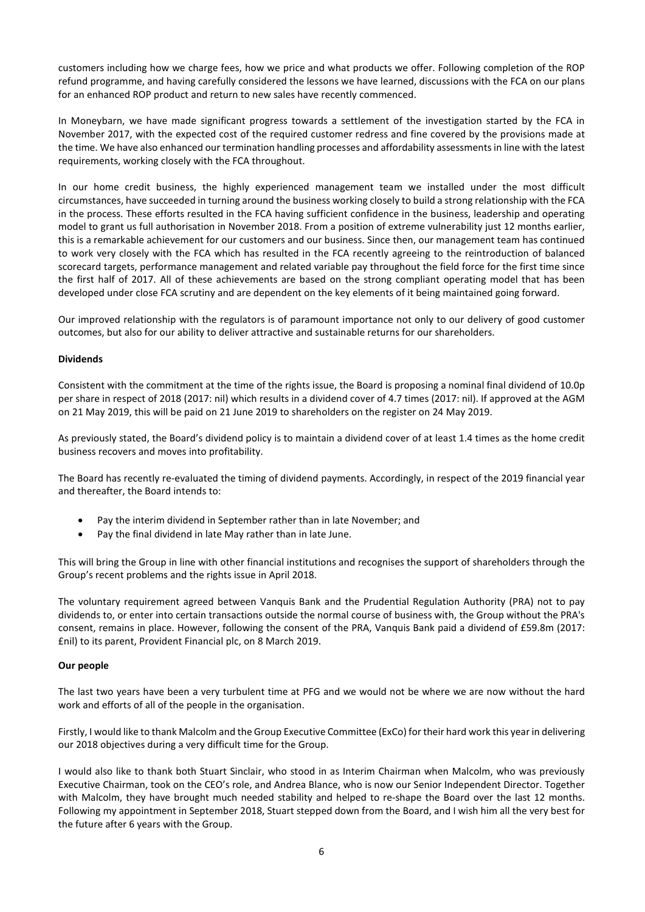customers including how we charge fees, how we price and what products we offer. Following completion of the ROP refund programme, and having carefully considered the lessons we have learned, discussions with the FCA on our plans for an enhanced ROP product and return to new sales have recently commenced.

In Moneybarn, we have made significant progress towards a settlement of the investigation started by the FCA in November 2017, with the expected cost of the required customer redress and fine covered by the provisions made at the time. We have also enhanced our termination handling processes and affordability assessments in line with the latest requirements, working closely with the FCA throughout.

In our home credit business, the highly experienced management team we installed under the most difficult circumstances, have succeeded in turning around the business working closely to build a strong relationship with the FCA in the process. These efforts resulted in the FCA having sufficient confidence in the business, leadership and operating model to grant us full authorisation in November 2018. From a position of extreme vulnerability just 12 months earlier, this is a remarkable achievement for our customers and our business. Since then, our management team has continued to work very closely with the FCA which has resulted in the FCA recently agreeing to the reintroduction of balanced scorecard targets, performance management and related variable pay throughout the field force for the first time since the first half of 2017. All of these achievements are based on the strong compliant operating model that has been developed under close FCA scrutiny and are dependent on the key elements of it being maintained going forward.

Our improved relationship with the regulators is of paramount importance not only to our delivery of good customer outcomes, but also for our ability to deliver attractive and sustainable returns for our shareholders.

# **Dividends**

Consistent with the commitment at the time of the rights issue, the Board is proposing a nominal final dividend of 10.0p per share in respect of 2018 (2017: nil) which results in a dividend cover of 4.7 times (2017: nil). If approved at the AGM on 21 May 2019, this will be paid on 21 June 2019 to shareholders on the register on 24 May 2019.

As previously stated, the Board's dividend policy is to maintain a dividend cover of at least 1.4 times as the home credit business recovers and moves into profitability.

The Board has recently re-evaluated the timing of dividend payments. Accordingly, in respect of the 2019 financial year and thereafter, the Board intends to:

- Pay the interim dividend in September rather than in late November; and
- Pay the final dividend in late May rather than in late June.

This will bring the Group in line with other financial institutions and recognises the support of shareholders through the Group's recent problems and the rights issue in April 2018.

The voluntary requirement agreed between Vanquis Bank and the Prudential Regulation Authority (PRA) not to pay dividends to, or enter into certain transactions outside the normal course of business with, the Group without the PRA's consent, remains in place. However, following the consent of the PRA, Vanquis Bank paid a dividend of £59.8m (2017: £nil) to its parent, Provident Financial plc, on 8 March 2019.

## **Our people**

The last two years have been a very turbulent time at PFG and we would not be where we are now without the hard work and efforts of all of the people in the organisation.

Firstly, I would like to thank Malcolm and the Group Executive Committee (ExCo) for their hard work this year in delivering our 2018 objectives during a very difficult time for the Group.

I would also like to thank both Stuart Sinclair, who stood in as Interim Chairman when Malcolm, who was previously Executive Chairman, took on the CEO's role, and Andrea Blance, who is now our Senior Independent Director. Together with Malcolm, they have brought much needed stability and helped to re-shape the Board over the last 12 months. Following my appointment in September 2018, Stuart stepped down from the Board, and I wish him all the very best for the future after 6 years with the Group.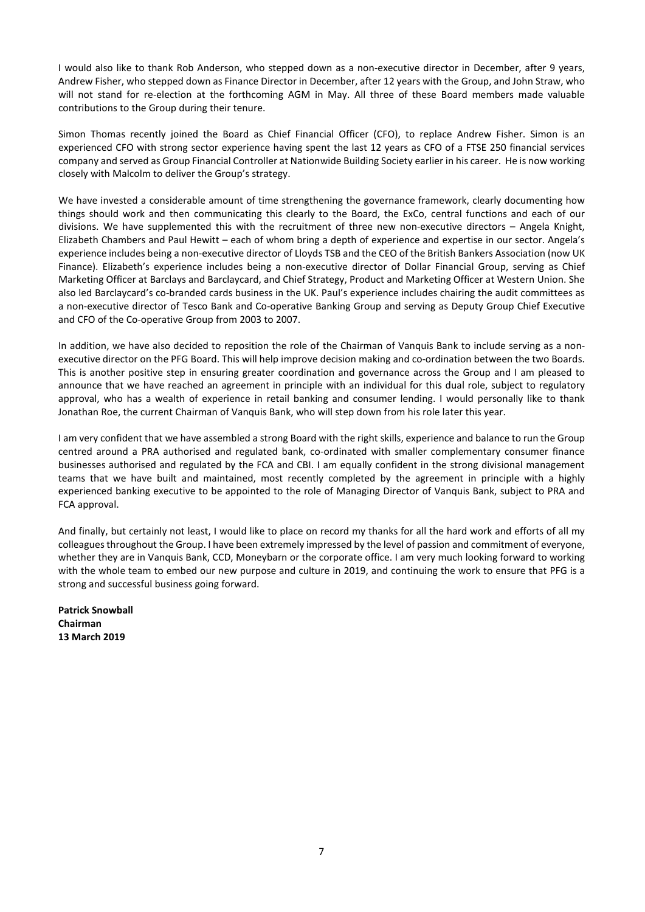I would also like to thank Rob Anderson, who stepped down as a non-executive director in December, after 9 years, Andrew Fisher, who stepped down as Finance Director in December, after 12 years with the Group, and John Straw, who will not stand for re-election at the forthcoming AGM in May. All three of these Board members made valuable contributions to the Group during their tenure.

Simon Thomas recently joined the Board as Chief Financial Officer (CFO), to replace Andrew Fisher. Simon is an experienced CFO with strong sector experience having spent the last 12 years as CFO of a FTSE 250 financial services company and served as Group Financial Controller at Nationwide Building Society earlier in his career. He is now working closely with Malcolm to deliver the Group's strategy.

We have invested a considerable amount of time strengthening the governance framework, clearly documenting how things should work and then communicating this clearly to the Board, the ExCo, central functions and each of our divisions. We have supplemented this with the recruitment of three new non-executive directors – Angela Knight, Elizabeth Chambers and Paul Hewitt – each of whom bring a depth of experience and expertise in our sector. Angela's experience includes being a non-executive director of Lloyds TSB and the CEO of the British Bankers Association (now UK Finance). Elizabeth's experience includes being a non-executive director of Dollar Financial Group, serving as Chief Marketing Officer at Barclays and Barclaycard, and Chief Strategy, Product and Marketing Officer at Western Union. She also led Barclaycard's co-branded cards business in the UK. Paul's experience includes chairing the audit committees as a non-executive director of Tesco Bank and Co-operative Banking Group and serving as Deputy Group Chief Executive and CFO of the Co-operative Group from 2003 to 2007.

In addition, we have also decided to reposition the role of the Chairman of Vanquis Bank to include serving as a nonexecutive director on the PFG Board. This will help improve decision making and co-ordination between the two Boards. This is another positive step in ensuring greater coordination and governance across the Group and I am pleased to announce that we have reached an agreement in principle with an individual for this dual role, subject to regulatory approval, who has a wealth of experience in retail banking and consumer lending. I would personally like to thank Jonathan Roe, the current Chairman of Vanquis Bank, who will step down from his role later this year.

I am very confident that we have assembled a strong Board with the right skills, experience and balance to run the Group centred around a PRA authorised and regulated bank, co-ordinated with smaller complementary consumer finance businesses authorised and regulated by the FCA and CBI. I am equally confident in the strong divisional management teams that we have built and maintained, most recently completed by the agreement in principle with a highly experienced banking executive to be appointed to the role of Managing Director of Vanquis Bank, subject to PRA and FCA approval.

And finally, but certainly not least, I would like to place on record my thanks for all the hard work and efforts of all my colleagues throughout the Group. I have been extremely impressed by the level of passion and commitment of everyone, whether they are in Vanquis Bank, CCD, Moneybarn or the corporate office. I am very much looking forward to working with the whole team to embed our new purpose and culture in 2019, and continuing the work to ensure that PFG is a strong and successful business going forward.

**Patrick Snowball Chairman 13 March 2019**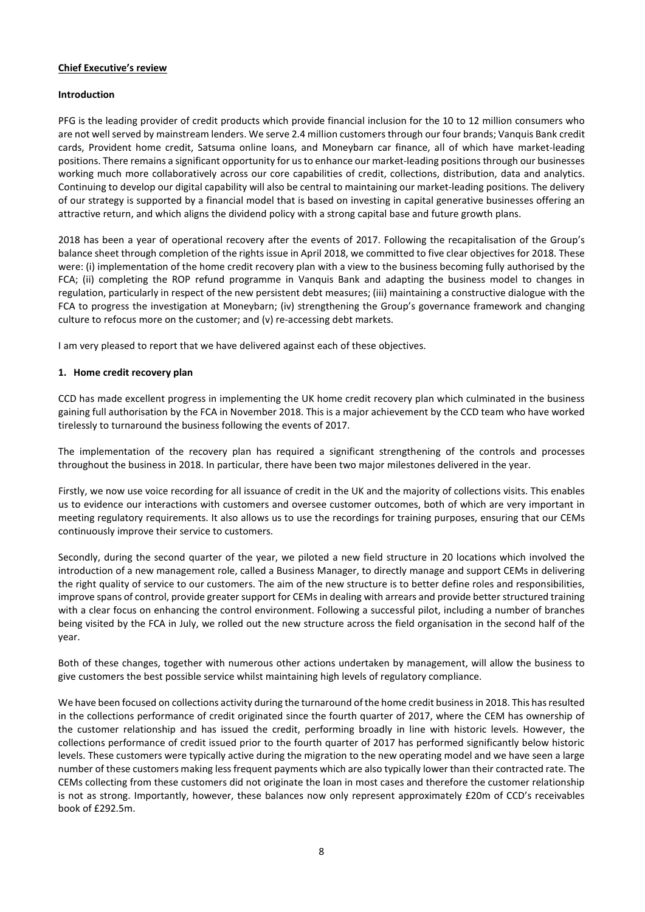## **Chief Executive's review**

## **Introduction**

PFG is the leading provider of credit products which provide financial inclusion for the 10 to 12 million consumers who are not well served by mainstream lenders. We serve 2.4 million customers through our four brands; Vanquis Bank credit cards, Provident home credit, Satsuma online loans, and Moneybarn car finance, all of which have market-leading positions. There remains a significant opportunity for us to enhance our market-leading positions through our businesses working much more collaboratively across our core capabilities of credit, collections, distribution, data and analytics. Continuing to develop our digital capability will also be central to maintaining our market-leading positions. The delivery of our strategy is supported by a financial model that is based on investing in capital generative businesses offering an attractive return, and which aligns the dividend policy with a strong capital base and future growth plans.

2018 has been a year of operational recovery after the events of 2017. Following the recapitalisation of the Group's balance sheet through completion of the rights issue in April 2018, we committed to five clear objectives for 2018. These were: (i) implementation of the home credit recovery plan with a view to the business becoming fully authorised by the FCA; (ii) completing the ROP refund programme in Vanquis Bank and adapting the business model to changes in regulation, particularly in respect of the new persistent debt measures; (iii) maintaining a constructive dialogue with the FCA to progress the investigation at Moneybarn; (iv) strengthening the Group's governance framework and changing culture to refocus more on the customer; and (v) re-accessing debt markets.

I am very pleased to report that we have delivered against each of these objectives.

#### **1. Home credit recovery plan**

CCD has made excellent progress in implementing the UK home credit recovery plan which culminated in the business gaining full authorisation by the FCA in November 2018. This is a major achievement by the CCD team who have worked tirelessly to turnaround the business following the events of 2017.

The implementation of the recovery plan has required a significant strengthening of the controls and processes throughout the business in 2018. In particular, there have been two major milestones delivered in the year.

Firstly, we now use voice recording for all issuance of credit in the UK and the majority of collections visits. This enables us to evidence our interactions with customers and oversee customer outcomes, both of which are very important in meeting regulatory requirements. It also allows us to use the recordings for training purposes, ensuring that our CEMs continuously improve their service to customers.

Secondly, during the second quarter of the year, we piloted a new field structure in 20 locations which involved the introduction of a new management role, called a Business Manager, to directly manage and support CEMs in delivering the right quality of service to our customers. The aim of the new structure is to better define roles and responsibilities, improve spans of control, provide greater support for CEMs in dealing with arrears and provide better structured training with a clear focus on enhancing the control environment. Following a successful pilot, including a number of branches being visited by the FCA in July, we rolled out the new structure across the field organisation in the second half of the year.

Both of these changes, together with numerous other actions undertaken by management, will allow the business to give customers the best possible service whilst maintaining high levels of regulatory compliance.

We have been focused on collections activity during the turnaround of the home credit business in 2018. This has resulted in the collections performance of credit originated since the fourth quarter of 2017, where the CEM has ownership of the customer relationship and has issued the credit, performing broadly in line with historic levels. However, the collections performance of credit issued prior to the fourth quarter of 2017 has performed significantly below historic levels. These customers were typically active during the migration to the new operating model and we have seen a large number of these customers making less frequent payments which are also typically lower than their contracted rate. The CEMs collecting from these customers did not originate the loan in most cases and therefore the customer relationship is not as strong. Importantly, however, these balances now only represent approximately £20m of CCD's receivables book of £292.5m.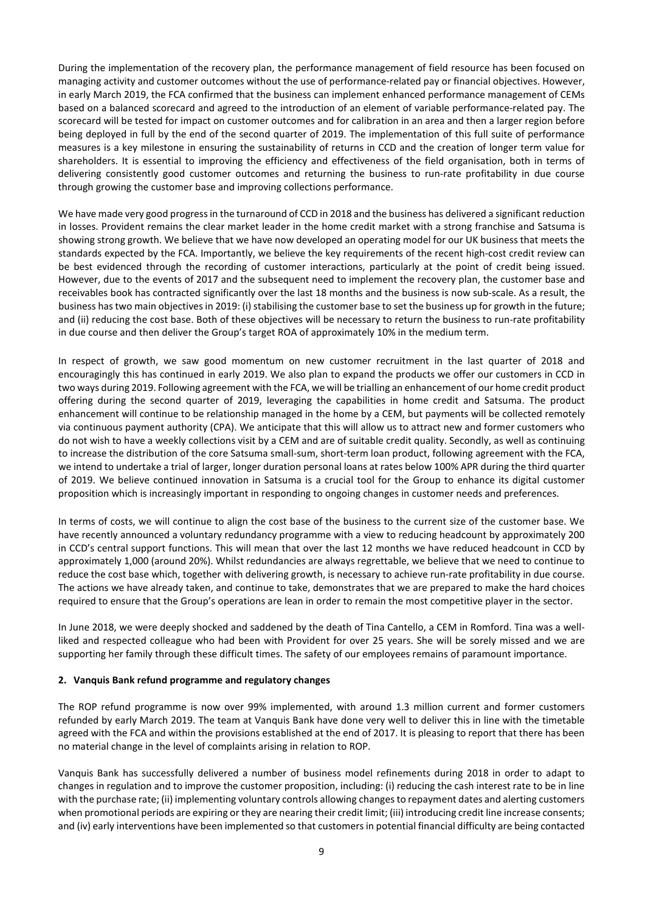During the implementation of the recovery plan, the performance management of field resource has been focused on managing activity and customer outcomes without the use of performance-related pay or financial objectives. However, in early March 2019, the FCA confirmed that the business can implement enhanced performance management of CEMs based on a balanced scorecard and agreed to the introduction of an element of variable performance-related pay. The scorecard will be tested for impact on customer outcomes and for calibration in an area and then a larger region before being deployed in full by the end of the second quarter of 2019. The implementation of this full suite of performance measures is a key milestone in ensuring the sustainability of returns in CCD and the creation of longer term value for shareholders. It is essential to improving the efficiency and effectiveness of the field organisation, both in terms of delivering consistently good customer outcomes and returning the business to run-rate profitability in due course through growing the customer base and improving collections performance.

We have made very good progress in the turnaround of CCD in 2018 and the business has delivered a significant reduction in losses. Provident remains the clear market leader in the home credit market with a strong franchise and Satsuma is showing strong growth. We believe that we have now developed an operating model for our UK business that meets the standards expected by the FCA. Importantly, we believe the key requirements of the recent high-cost credit review can be best evidenced through the recording of customer interactions, particularly at the point of credit being issued. However, due to the events of 2017 and the subsequent need to implement the recovery plan, the customer base and receivables book has contracted significantly over the last 18 months and the business is now sub-scale. As a result, the business hastwo main objectivesin 2019: (i) stabilising the customer base to set the business up for growth in the future; and (ii) reducing the cost base. Both of these objectives will be necessary to return the business to run-rate profitability in due course and then deliver the Group's target ROA of approximately 10% in the medium term.

In respect of growth, we saw good momentum on new customer recruitment in the last quarter of 2018 and encouragingly this has continued in early 2019. We also plan to expand the products we offer our customers in CCD in two ways during 2019. Following agreement with the FCA, we will be trialling an enhancement of our home credit product offering during the second quarter of 2019, leveraging the capabilities in home credit and Satsuma. The product enhancement will continue to be relationship managed in the home by a CEM, but payments will be collected remotely via continuous payment authority (CPA). We anticipate that this will allow us to attract new and former customers who do not wish to have a weekly collections visit by a CEM and are of suitable credit quality. Secondly, as well as continuing to increase the distribution of the core Satsuma small-sum, short-term loan product, following agreement with the FCA, we intend to undertake a trial of larger, longer duration personal loans at rates below 100% APR during the third quarter of 2019. We believe continued innovation in Satsuma is a crucial tool for the Group to enhance its digital customer proposition which is increasingly important in responding to ongoing changes in customer needs and preferences.

In terms of costs, we will continue to align the cost base of the business to the current size of the customer base. We have recently announced a voluntary redundancy programme with a view to reducing headcount by approximately 200 in CCD's central support functions. This will mean that over the last 12 months we have reduced headcount in CCD by approximately 1,000 (around 20%). Whilst redundancies are always regrettable, we believe that we need to continue to reduce the cost base which, together with delivering growth, is necessary to achieve run-rate profitability in due course. The actions we have already taken, and continue to take, demonstrates that we are prepared to make the hard choices required to ensure that the Group's operations are lean in order to remain the most competitive player in the sector.

In June 2018, we were deeply shocked and saddened by the death of Tina Cantello, a CEM in Romford. Tina was a wellliked and respected colleague who had been with Provident for over 25 years. She will be sorely missed and we are supporting her family through these difficult times. The safety of our employees remains of paramount importance.

#### **2. Vanquis Bank refund programme and regulatory changes**

The ROP refund programme is now over 99% implemented, with around 1.3 million current and former customers refunded by early March 2019. The team at Vanquis Bank have done very well to deliver this in line with the timetable agreed with the FCA and within the provisions established at the end of 2017. It is pleasing to report that there has been no material change in the level of complaints arising in relation to ROP.

Vanquis Bank has successfully delivered a number of business model refinements during 2018 in order to adapt to changes in regulation and to improve the customer proposition, including: (i) reducing the cash interest rate to be in line with the purchase rate; (ii) implementing voluntary controls allowing changes to repayment dates and alerting customers when promotional periods are expiring or they are nearing their credit limit; (iii) introducing credit line increase consents; and (iv) early interventions have been implemented so that customers in potential financial difficulty are being contacted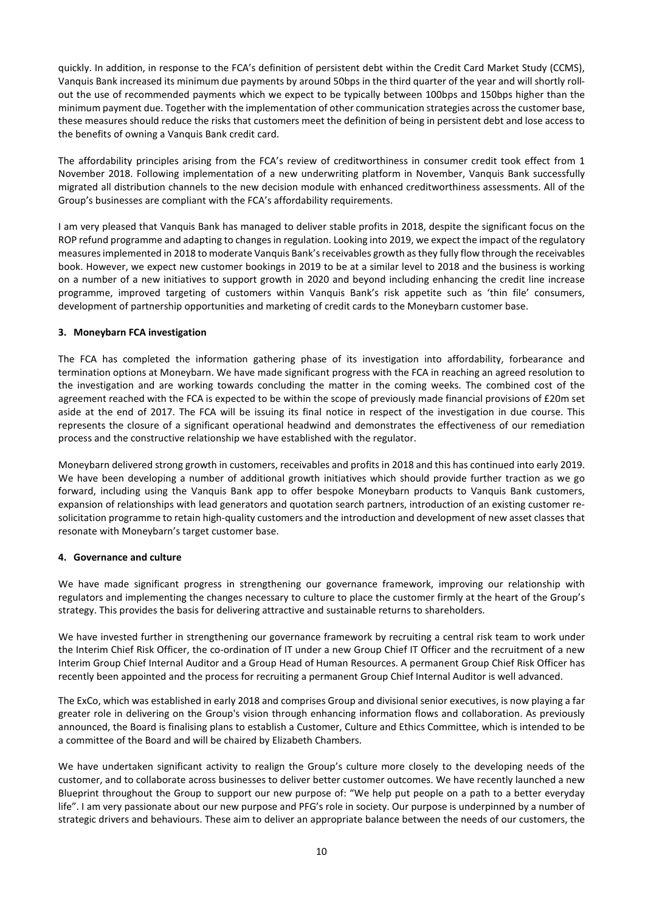quickly. In addition, in response to the FCA's definition of persistent debt within the Credit Card Market Study (CCMS), Vanquis Bank increased its minimum due payments by around 50bps in the third quarter of the year and will shortly rollout the use of recommended payments which we expect to be typically between 100bps and 150bps higher than the minimum payment due. Together with the implementation of other communication strategies across the customer base, these measures should reduce the risks that customers meet the definition of being in persistent debt and lose access to the benefits of owning a Vanquis Bank credit card.

The affordability principles arising from the FCA's review of creditworthiness in consumer credit took effect from 1 November 2018. Following implementation of a new underwriting platform in November, Vanquis Bank successfully migrated all distribution channels to the new decision module with enhanced creditworthiness assessments. All of the Group's businesses are compliant with the FCA's affordability requirements.

I am very pleased that Vanquis Bank has managed to deliver stable profits in 2018, despite the significant focus on the ROP refund programme and adapting to changes in regulation. Looking into 2019, we expect the impact of the regulatory measures implemented in 2018 to moderate Vanquis Bank's receivables growth as they fully flow through the receivables book. However, we expect new customer bookings in 2019 to be at a similar level to 2018 and the business is working on a number of a new initiatives to support growth in 2020 and beyond including enhancing the credit line increase programme, improved targeting of customers within Vanquis Bank's risk appetite such as 'thin file' consumers, development of partnership opportunities and marketing of credit cards to the Moneybarn customer base.

# **3. Moneybarn FCA investigation**

The FCA has completed the information gathering phase of its investigation into affordability, forbearance and termination options at Moneybarn. We have made significant progress with the FCA in reaching an agreed resolution to the investigation and are working towards concluding the matter in the coming weeks. The combined cost of the agreement reached with the FCA is expected to be within the scope of previously made financial provisions of £20m set aside at the end of 2017. The FCA will be issuing its final notice in respect of the investigation in due course. This represents the closure of a significant operational headwind and demonstrates the effectiveness of our remediation process and the constructive relationship we have established with the regulator.

Moneybarn delivered strong growth in customers, receivables and profits in 2018 and this has continued into early 2019. We have been developing a number of additional growth initiatives which should provide further traction as we go forward, including using the Vanquis Bank app to offer bespoke Moneybarn products to Vanquis Bank customers, expansion of relationships with lead generators and quotation search partners, introduction of an existing customer resolicitation programme to retain high-quality customers and the introduction and development of new asset classes that resonate with Moneybarn's target customer base.

## **4. Governance and culture**

We have made significant progress in strengthening our governance framework, improving our relationship with regulators and implementing the changes necessary to culture to place the customer firmly at the heart of the Group's strategy. This provides the basis for delivering attractive and sustainable returns to shareholders.

We have invested further in strengthening our governance framework by recruiting a central risk team to work under the Interim Chief Risk Officer, the co-ordination of IT under a new Group Chief IT Officer and the recruitment of a new Interim Group Chief Internal Auditor and a Group Head of Human Resources. A permanent Group Chief Risk Officer has recently been appointed and the process for recruiting a permanent Group Chief Internal Auditor is well advanced.

The ExCo, which was established in early 2018 and comprises Group and divisional senior executives, is now playing a far greater role in delivering on the Group's vision through enhancing information flows and collaboration. As previously announced, the Board is finalising plans to establish a Customer, Culture and Ethics Committee, which is intended to be a committee of the Board and will be chaired by Elizabeth Chambers.

We have undertaken significant activity to realign the Group's culture more closely to the developing needs of the customer, and to collaborate across businesses to deliver better customer outcomes. We have recently launched a new Blueprint throughout the Group to support our new purpose of: "We help put people on a path to a better everyday life". I am very passionate about our new purpose and PFG's role in society. Our purpose is underpinned by a number of strategic drivers and behaviours. These aim to deliver an appropriate balance between the needs of our customers, the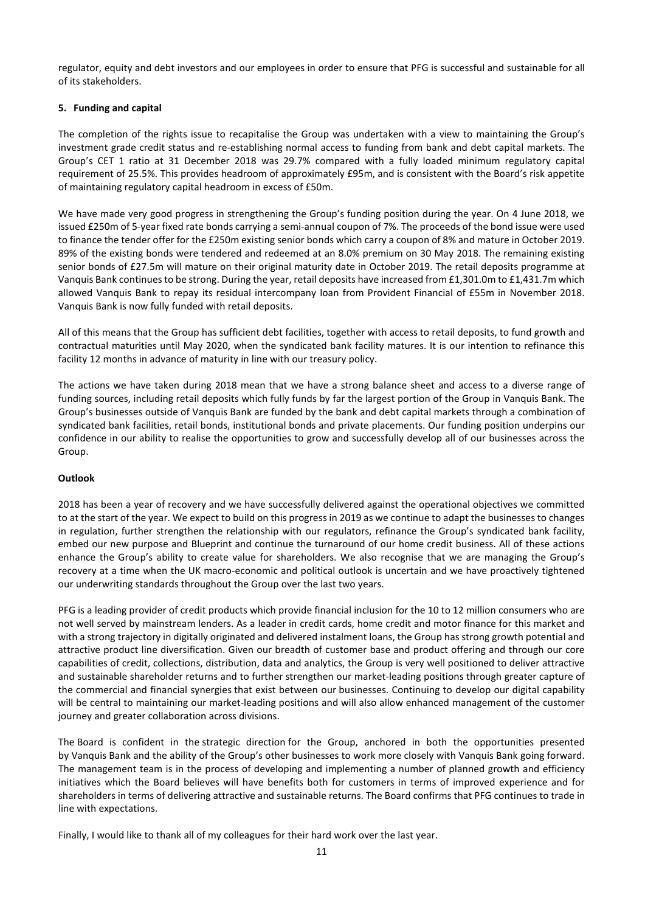regulator, equity and debt investors and our employees in order to ensure that PFG is successful and sustainable for all of its stakeholders.

# **5. Funding and capital**

The completion of the rights issue to recapitalise the Group was undertaken with a view to maintaining the Group's investment grade credit status and re-establishing normal access to funding from bank and debt capital markets. The Group's CET 1 ratio at 31 December 2018 was 29.7% compared with a fully loaded minimum regulatory capital requirement of 25.5%. This provides headroom of approximately £95m, and is consistent with the Board's risk appetite of maintaining regulatory capital headroom in excess of £50m.

We have made very good progress in strengthening the Group's funding position during the year. On 4 June 2018, we issued £250m of 5-year fixed rate bonds carrying a semi-annual coupon of 7%. The proceeds of the bond issue were used to finance the tender offer for the £250m existing senior bonds which carry a coupon of 8% and mature in October 2019. 89% of the existing bonds were tendered and redeemed at an 8.0% premium on 30 May 2018. The remaining existing senior bonds of £27.5m will mature on their original maturity date in October 2019. The retail deposits programme at Vanquis Bank continuesto be strong. During the year, retail deposits have increased from £1,301.0m to £1,431.7m which allowed Vanquis Bank to repay its residual intercompany loan from Provident Financial of £55m in November 2018. Vanquis Bank is now fully funded with retail deposits.

All of this means that the Group has sufficient debt facilities, together with access to retail deposits, to fund growth and contractual maturities until May 2020, when the syndicated bank facility matures. It is our intention to refinance this facility 12 months in advance of maturity in line with our treasury policy.

The actions we have taken during 2018 mean that we have a strong balance sheet and access to a diverse range of funding sources, including retail deposits which fully funds by far the largest portion of the Group in Vanquis Bank. The Group's businesses outside of Vanquis Bank are funded by the bank and debt capital markets through a combination of syndicated bank facilities, retail bonds, institutional bonds and private placements. Our funding position underpins our confidence in our ability to realise the opportunities to grow and successfully develop all of our businesses across the Group.

## **Outlook**

2018 has been a year of recovery and we have successfully delivered against the operational objectives we committed to at the start of the year. We expect to build on this progress in 2019 as we continue to adapt the businesses to changes in regulation, further strengthen the relationship with our regulators, refinance the Group's syndicated bank facility, embed our new purpose and Blueprint and continue the turnaround of our home credit business. All of these actions enhance the Group's ability to create value for shareholders. We also recognise that we are managing the Group's recovery at a time when the UK macro-economic and political outlook is uncertain and we have proactively tightened our underwriting standards throughout the Group over the last two years.

PFG is a leading provider of credit products which provide financial inclusion for the 10 to 12 million consumers who are not well served by mainstream lenders. As a leader in credit cards, home credit and motor finance for this market and with a strong trajectory in digitally originated and delivered instalment loans, the Group has strong growth potential and attractive product line diversification. Given our breadth of customer base and product offering and through our core capabilities of credit, collections, distribution, data and analytics, the Group is very well positioned to deliver attractive and sustainable shareholder returns and to further strengthen our market-leading positions through greater capture of the commercial and financial synergies that exist between our businesses. Continuing to develop our digital capability will be central to maintaining our market-leading positions and will also allow enhanced management of the customer journey and greater collaboration across divisions.

The Board is confident in the strategic direction for the Group, anchored in both the opportunities presented by Vanquis Bank and the ability of the Group's other businesses to work more closely with Vanquis Bank going forward. The management team is in the process of developing and implementing a number of planned growth and efficiency initiatives which the Board believes will have benefits both for customers in terms of improved experience and for shareholders in terms of delivering attractive and sustainable returns. The Board confirms that PFG continues to trade in line with expectations.

Finally, I would like to thank all of my colleagues for their hard work over the last year.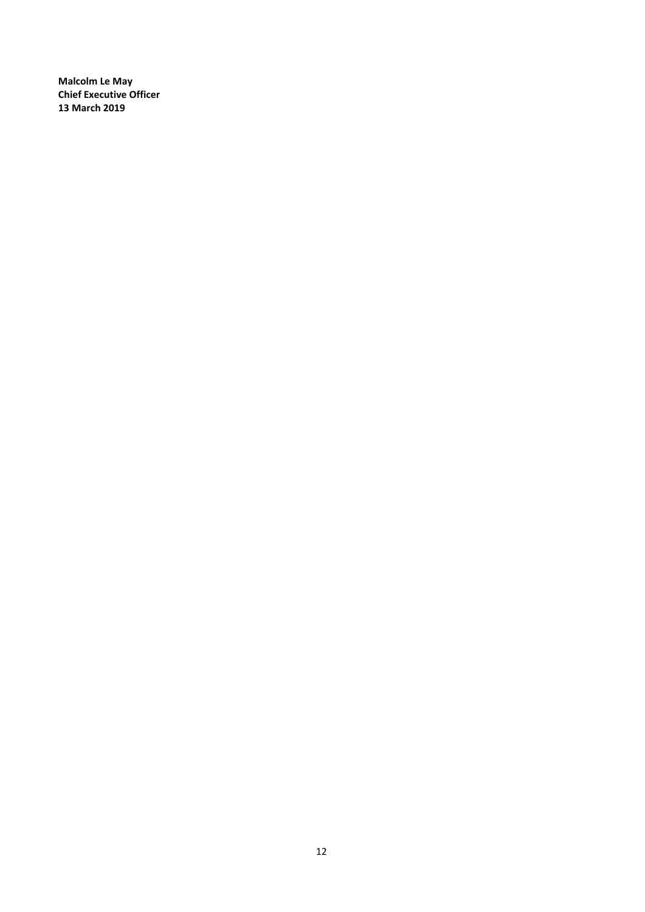**Malcolm Le May Chief Executive Officer 13 March 2019**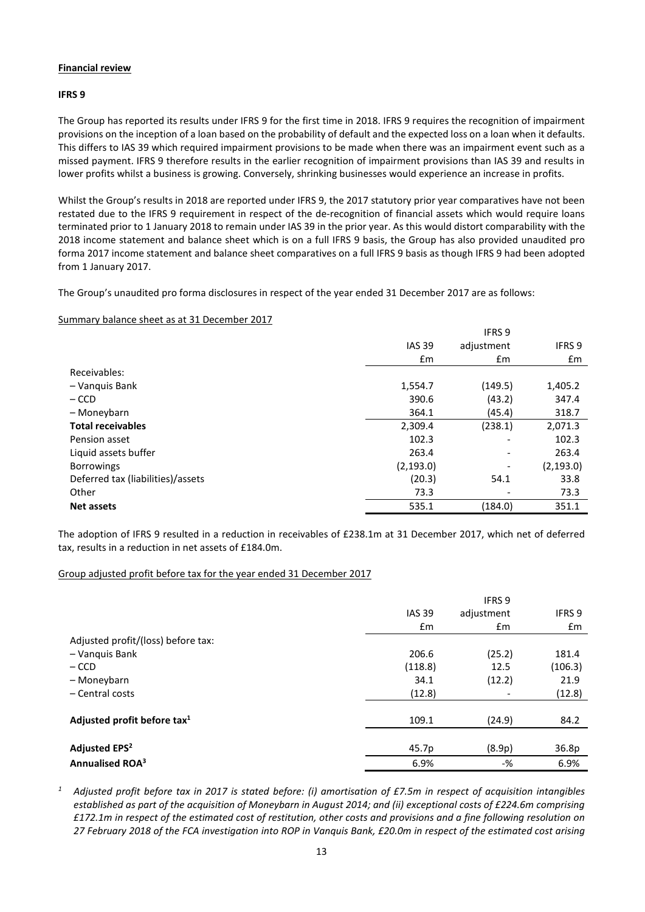# **Financial review**

## **IFRS 9**

The Group has reported its results under IFRS 9 for the first time in 2018. IFRS 9 requires the recognition of impairment provisions on the inception of a loan based on the probability of default and the expected loss on a loan when it defaults. This differs to IAS 39 which required impairment provisions to be made when there was an impairment event such as a missed payment. IFRS 9 therefore results in the earlier recognition of impairment provisions than IAS 39 and results in lower profits whilst a business is growing. Conversely, shrinking businesses would experience an increase in profits.

Whilst the Group's results in 2018 are reported under IFRS 9, the 2017 statutory prior year comparatives have not been restated due to the IFRS 9 requirement in respect of the de-recognition of financial assets which would require loans terminated prior to 1 January 2018 to remain under IAS 39 in the prior year. As this would distort comparability with the 2018 income statement and balance sheet which is on a full IFRS 9 basis, the Group has also provided unaudited pro forma 2017 income statement and balance sheet comparatives on a full IFRS 9 basis as though IFRS 9 had been adopted from 1 January 2017.

The Group's unaudited pro forma disclosures in respect of the year ended 31 December 2017 are as follows:

## Summary balance sheet as at 31 December 2017

|                                   |               | <b>IFRS 9</b> |                   |
|-----------------------------------|---------------|---------------|-------------------|
|                                   | <b>IAS 39</b> | adjustment    | IFRS <sub>9</sub> |
|                                   | $\mathsf{fm}$ | $\mathsf{fm}$ | £m                |
| Receivables:                      |               |               |                   |
| - Vanquis Bank                    | 1,554.7       | (149.5)       | 1,405.2           |
| $-$ CCD                           | 390.6         | (43.2)        | 347.4             |
| - Moneybarn                       | 364.1         | (45.4)        | 318.7             |
| <b>Total receivables</b>          | 2,309.4       | (238.1)       | 2,071.3           |
| Pension asset                     | 102.3         | -             | 102.3             |
| Liquid assets buffer              | 263.4         | ٠             | 263.4             |
| <b>Borrowings</b>                 | (2, 193.0)    |               | (2, 193.0)        |
| Deferred tax (liabilities)/assets | (20.3)        | 54.1          | 33.8              |
| Other                             | 73.3          |               | 73.3              |
| <b>Net assets</b>                 | 535.1         | (184.0)       | 351.1             |

The adoption of IFRS 9 resulted in a reduction in receivables of £238.1m at 31 December 2017, which net of deferred tax, results in a reduction in net assets of £184.0m.

## Group adjusted profit before tax for the year ended 31 December 2017

|                                         |               | IFRS <sub>9</sub> |               |
|-----------------------------------------|---------------|-------------------|---------------|
|                                         | <b>IAS 39</b> | adjustment        | <b>IFRS 9</b> |
|                                         | £m            | £m                | £m            |
| Adjusted profit/(loss) before tax:      |               |                   |               |
| - Vanquis Bank                          | 206.6         | (25.2)            | 181.4         |
| $-$ CCD                                 | (118.8)       | 12.5              | (106.3)       |
| - Moneybarn                             | 34.1          | (12.2)            | 21.9          |
| - Central costs                         | (12.8)        |                   | (12.8)        |
| Adjusted profit before tax <sup>1</sup> | 109.1         | (24.9)            | 84.2          |
| <b>Adjusted EPS<sup>2</sup></b>         | 45.7p         | (8.9p)            | 36.8p         |
| Annualised ROA <sup>3</sup>             | 6.9%          | $-$ %             | 6.9%          |

*<sup>1</sup> Adjusted profit before tax in 2017 is stated before: (i) amortisation of £7.5m in respect of acquisition intangibles established as part of the acquisition of Moneybarn in August 2014; and (ii) exceptional costs of £224.6m comprising £172.1m in respect of the estimated cost of restitution, other costs and provisions and a fine following resolution on 27 February 2018 of the FCA investigation into ROP in Vanquis Bank, £20.0m in respect of the estimated cost arising*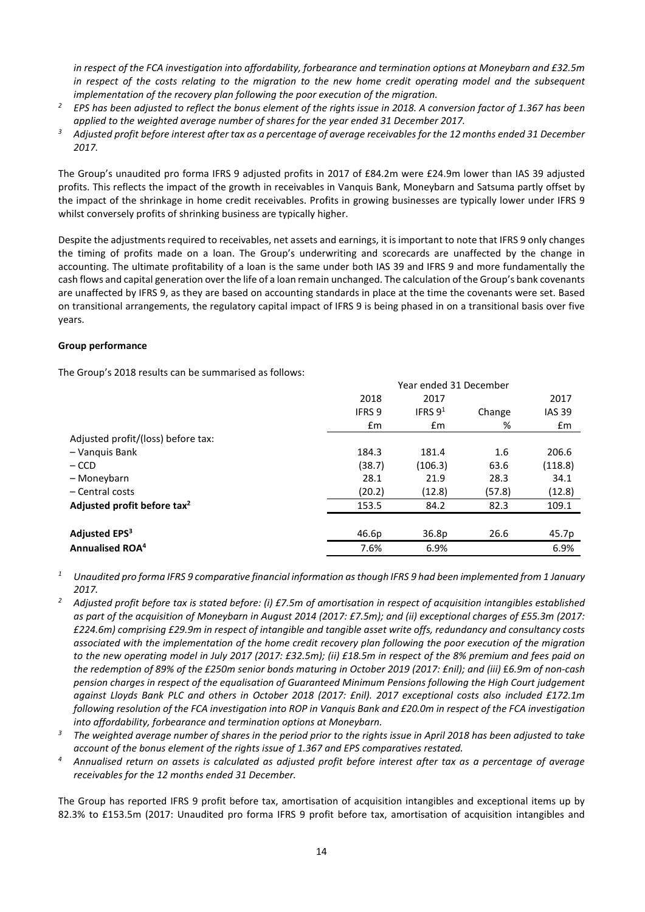*in respect of the FCA investigation into affordability, forbearance and termination options at Moneybarn and £32.5m in respect of the costs relating to the migration to the new home credit operating model and the subsequent* 

- *implementation of the recovery plan following the poor execution of the migration. 2 EPS has been adjusted to reflect the bonus element of the rights issue in 2018. A conversion factor of 1.367 has been applied to the weighted average number of shares for the year ended 31 December 2017.*
- *<sup>3</sup> Adjusted profit before interest after tax as a percentage of average receivables for the 12 months ended 31 December 2017.*

The Group's unaudited pro forma IFRS 9 adjusted profits in 2017 of £84.2m were £24.9m lower than IAS 39 adjusted profits. This reflects the impact of the growth in receivables in Vanquis Bank, Moneybarn and Satsuma partly offset by the impact of the shrinkage in home credit receivables. Profits in growing businesses are typically lower under IFRS 9 whilst conversely profits of shrinking business are typically higher.

Despite the adjustments required to receivables, net assets and earnings, it is important to note that IFRS 9 only changes the timing of profits made on a loan. The Group's underwriting and scorecards are unaffected by the change in accounting. The ultimate profitability of a loan is the same under both IAS 39 and IFRS 9 and more fundamentally the cash flows and capital generation over the life of a loan remain unchanged. The calculation of the Group's bank covenants are unaffected by IFRS 9, as they are based on accounting standards in place at the time the covenants were set. Based on transitional arrangements, the regulatory capital impact of IFRS 9 is being phased in on a transitional basis over five years.

## **Group performance**

The Group's 2018 results can be summarised as follows:

|                                         | Year ended 31 December |                   |        |               |
|-----------------------------------------|------------------------|-------------------|--------|---------------|
|                                         | 2018                   | 2017              |        | 2017          |
|                                         | <b>IFRS 9</b>          | IFRS $9^1$        | Change | <b>IAS 39</b> |
|                                         | Em                     | £m                | %      | $\mathsf{fm}$ |
| Adjusted profit/(loss) before tax:      |                        |                   |        |               |
| - Vanguis Bank                          | 184.3                  | 181.4             | 1.6    | 206.6         |
| $-$ CCD                                 | (38.7)                 | (106.3)           | 63.6   | (118.8)       |
| - Moneybarn                             | 28.1                   | 21.9              | 28.3   | 34.1          |
| $-$ Central costs                       | (20.2)                 | (12.8)            | (57.8) | (12.8)        |
| Adjusted profit before tax <sup>2</sup> | 153.5                  | 84.2              | 82.3   | 109.1         |
|                                         |                        |                   |        |               |
| Adjusted EPS <sup>3</sup>               | 46.6 <sub>p</sub>      | 36.8 <sub>p</sub> | 26.6   | 45.7p         |
| Annualised ROA <sup>4</sup>             | 7.6%                   | 6.9%              |        | 6.9%          |

*<sup>1</sup> Unaudited pro forma IFRS 9 comparative financial information as though IFRS 9 had been implemented from 1 January 2017.*

- *<sup>2</sup> Adjusted profit before tax is stated before: (i) £7.5m of amortisation in respect of acquisition intangibles established as part of the acquisition of Moneybarn in August 2014 (2017: £7.5m); and (ii) exceptional charges of £55.3m (2017: £224.6m) comprising £29.9m in respect of intangible and tangible asset write offs, redundancy and consultancy costs associated with the implementation of the home credit recovery plan following the poor execution of the migration to the new operating model in July 2017 (2017: £32.5m); (ii) £18.5m in respect of the 8% premium and fees paid on the redemption of 89% of the £250m senior bonds maturing in October 2019 (2017: £nil); and (iii)* £*6.9m of non-cash pension charges in respect of the equalisation of Guaranteed Minimum Pensions following the High Court judgement against Lloyds Bank PLC and others in October 2018 (2017: £nil). 2017 exceptional costs also included £172.1m following resolution of the FCA investigation into ROP in Vanquis Bank and £20.0m in respect of the FCA investigation into affordability, forbearance and termination options at Moneybarn.*
- *<sup>3</sup> The weighted average number of shares in the period prior to the rights issue in April 2018 has been adjusted to take account of the bonus element of the rights issue of 1.367 and EPS comparatives restated.*
- *<sup>4</sup> Annualised return on assets is calculated as adjusted profit before interest after tax as a percentage of average receivables for the 12 months ended 31 December.*

The Group has reported IFRS 9 profit before tax, amortisation of acquisition intangibles and exceptional items up by 82.3% to £153.5m (2017: Unaudited pro forma IFRS 9 profit before tax, amortisation of acquisition intangibles and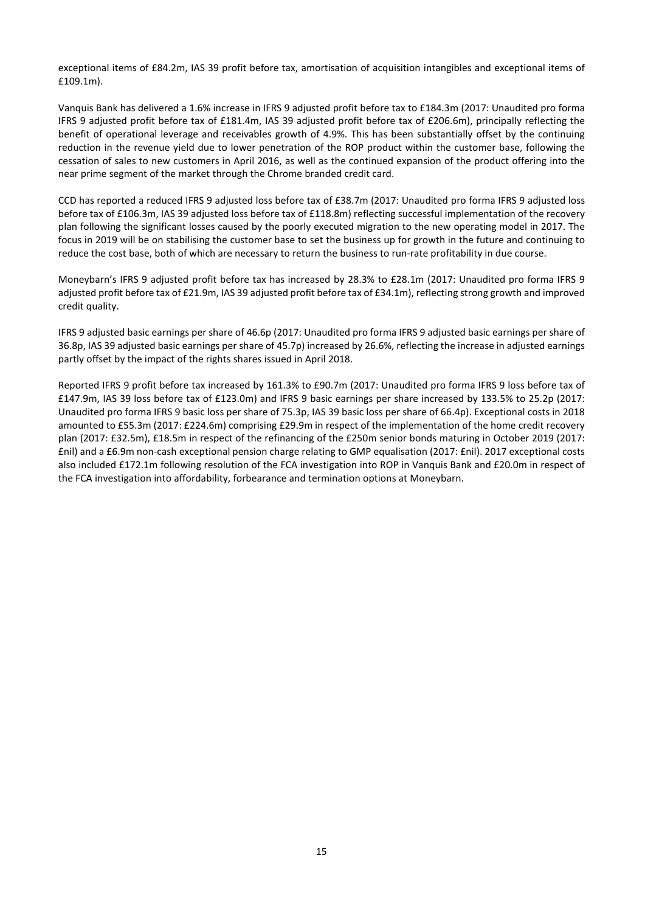exceptional items of £84.2m, IAS 39 profit before tax, amortisation of acquisition intangibles and exceptional items of £109.1m).

Vanquis Bank has delivered a 1.6% increase in IFRS 9 adjusted profit before tax to £184.3m (2017: Unaudited pro forma IFRS 9 adjusted profit before tax of £181.4m, IAS 39 adjusted profit before tax of £206.6m), principally reflecting the benefit of operational leverage and receivables growth of 4.9%. This has been substantially offset by the continuing reduction in the revenue yield due to lower penetration of the ROP product within the customer base, following the cessation of sales to new customers in April 2016, as well as the continued expansion of the product offering into the near prime segment of the market through the Chrome branded credit card.

CCD has reported a reduced IFRS 9 adjusted loss before tax of £38.7m (2017: Unaudited pro forma IFRS 9 adjusted loss before tax of £106.3m, IAS 39 adjusted loss before tax of £118.8m) reflecting successful implementation of the recovery plan following the significant losses caused by the poorly executed migration to the new operating model in 2017. The focus in 2019 will be on stabilising the customer base to set the business up for growth in the future and continuing to reduce the cost base, both of which are necessary to return the business to run-rate profitability in due course.

Moneybarn's IFRS 9 adjusted profit before tax has increased by 28.3% to £28.1m (2017: Unaudited pro forma IFRS 9 adjusted profit before tax of £21.9m, IAS 39 adjusted profit before tax of £34.1m), reflecting strong growth and improved credit quality.

IFRS 9 adjusted basic earnings per share of 46.6p (2017: Unaudited pro forma IFRS 9 adjusted basic earnings per share of 36.8p, IAS 39 adjusted basic earnings per share of 45.7p) increased by 26.6%, reflecting the increase in adjusted earnings partly offset by the impact of the rights shares issued in April 2018.

Reported IFRS 9 profit before tax increased by 161.3% to £90.7m (2017: Unaudited pro forma IFRS 9 loss before tax of £147.9m, IAS 39 loss before tax of £123.0m) and IFRS 9 basic earnings per share increased by 133.5% to 25.2p (2017: Unaudited pro forma IFRS 9 basic loss per share of 75.3p, IAS 39 basic loss per share of 66.4p). Exceptional costs in 2018 amounted to £55.3m (2017: £224.6m) comprising £29.9m in respect of the implementation of the home credit recovery plan (2017: £32.5m), £18.5m in respect of the refinancing of the £250m senior bonds maturing in October 2019 (2017: £nil) and a £6.9m non-cash exceptional pension charge relating to GMP equalisation (2017: £nil). 2017 exceptional costs also included £172.1m following resolution of the FCA investigation into ROP in Vanquis Bank and £20.0m in respect of the FCA investigation into affordability, forbearance and termination options at Moneybarn.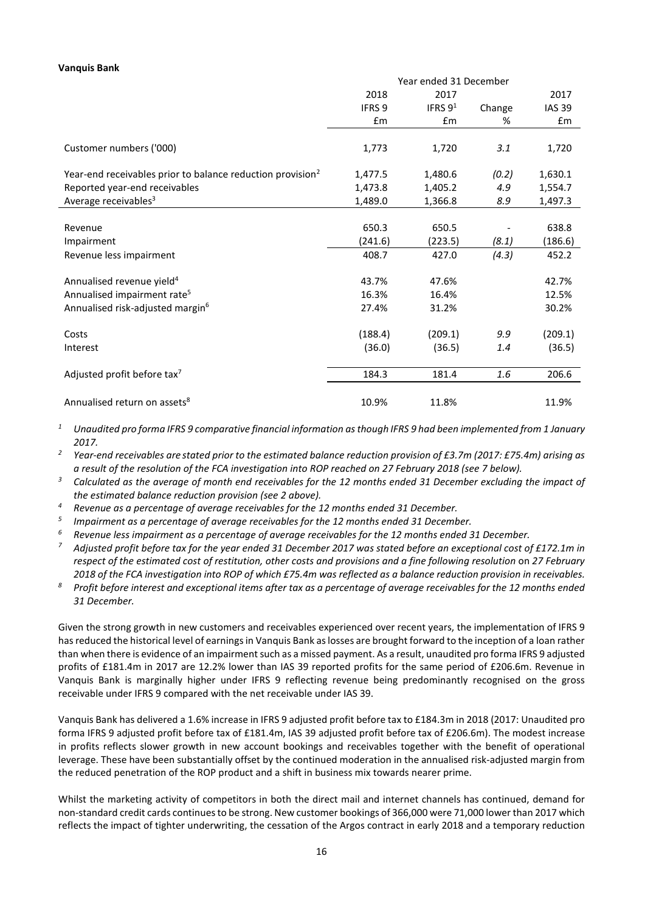#### **Vanquis Bank**

|                                                                        | Year ended 31 December |           |        |               |
|------------------------------------------------------------------------|------------------------|-----------|--------|---------------|
|                                                                        | 2018                   | 2017      |        | 2017          |
|                                                                        | <b>IFRS 9</b>          | IFRS $91$ | Change | <b>IAS 39</b> |
|                                                                        | £m                     | Em        | %      | Em            |
| Customer numbers ('000)                                                | 1,773                  | 1,720     | 3.1    | 1,720         |
|                                                                        |                        |           |        |               |
| Year-end receivables prior to balance reduction provision <sup>2</sup> | 1,477.5                | 1,480.6   | (0.2)  | 1,630.1       |
| Reported year-end receivables                                          | 1,473.8                | 1,405.2   | 4.9    | 1,554.7       |
| Average receivables <sup>3</sup>                                       | 1,489.0                | 1,366.8   | 8.9    | 1,497.3       |
|                                                                        |                        |           |        |               |
| Revenue                                                                | 650.3                  | 650.5     |        | 638.8         |
| Impairment                                                             | (241.6)                | (223.5)   | (8.1)  | (186.6)       |
| Revenue less impairment                                                | 408.7                  | 427.0     | (4.3)  | 452.2         |
|                                                                        |                        |           |        |               |
| Annualised revenue yield <sup>4</sup>                                  | 43.7%                  | 47.6%     |        | 42.7%         |
| Annualised impairment rate <sup>5</sup>                                | 16.3%                  | 16.4%     |        | 12.5%         |
| Annualised risk-adjusted margin <sup>6</sup>                           | 27.4%                  | 31.2%     |        | 30.2%         |
| Costs                                                                  | (188.4)                | (209.1)   | 9.9    | (209.1)       |
| Interest                                                               | (36.0)                 | (36.5)    | 1.4    | (36.5)        |
|                                                                        |                        |           |        |               |
| Adjusted profit before tax <sup>7</sup>                                | 184.3                  | 181.4     | 1.6    | 206.6         |
|                                                                        |                        |           |        |               |
| Annualised return on assets <sup>8</sup>                               | 10.9%                  | 11.8%     |        | 11.9%         |

*<sup>1</sup> Unaudited pro forma IFRS 9 comparative financial information as though IFRS 9 had been implemented from 1 January 2017.*

*<sup>2</sup> Year-end receivables are stated prior to the estimated balance reduction provision of £3.7m (2017: £75.4m) arising as a result of the resolution of the FCA investigation into ROP reached on 27 February 2018 (see 7 below).*

- *<sup>3</sup> Calculated as the average of month end receivables for the 12 months ended 31 December excluding the impact of the estimated balance reduction provision (see 2 above).*
- *<sup>4</sup> Revenue as a percentage of average receivables for the 12 months ended 31 December.*
- *<sup>5</sup> Impairment as a percentage of average receivables for the 12 months ended 31 December.*
- *<sup>6</sup> Revenue less impairment as a percentage of average receivables for the 12 months ended 31 December.*
- *<sup>7</sup> Adjusted profit before tax for the year ended 31 December 2017 was stated before an exceptional cost of £172.1m in respect of the estimated cost of restitution, other costs and provisions and a fine following resolution* on *27 February 2018 of the FCA investigation into ROP of which £75.4m was reflected as a balance reduction provision in receivables.*
- *<sup>8</sup> Profit before interest and exceptional items after tax as a percentage of average receivables for the 12 months ended 31 December.*

Given the strong growth in new customers and receivables experienced over recent years, the implementation of IFRS 9 has reduced the historical level of earnings in Vanquis Bank as losses are brought forward to the inception of a loan rather than when there is evidence of an impairment such as a missed payment. As a result, unaudited pro forma IFRS 9 adjusted profits of £181.4m in 2017 are 12.2% lower than IAS 39 reported profits for the same period of £206.6m. Revenue in Vanquis Bank is marginally higher under IFRS 9 reflecting revenue being predominantly recognised on the gross receivable under IFRS 9 compared with the net receivable under IAS 39.

Vanquis Bank has delivered a 1.6% increase in IFRS 9 adjusted profit before tax to £184.3m in 2018 (2017: Unaudited pro forma IFRS 9 adjusted profit before tax of £181.4m, IAS 39 adjusted profit before tax of £206.6m). The modest increase in profits reflects slower growth in new account bookings and receivables together with the benefit of operational leverage. These have been substantially offset by the continued moderation in the annualised risk-adjusted margin from the reduced penetration of the ROP product and a shift in business mix towards nearer prime.

Whilst the marketing activity of competitors in both the direct mail and internet channels has continued, demand for non-standard credit cards continues to be strong. New customer bookings of 366,000 were 71,000 lower than 2017 which reflects the impact of tighter underwriting, the cessation of the Argos contract in early 2018 and a temporary reduction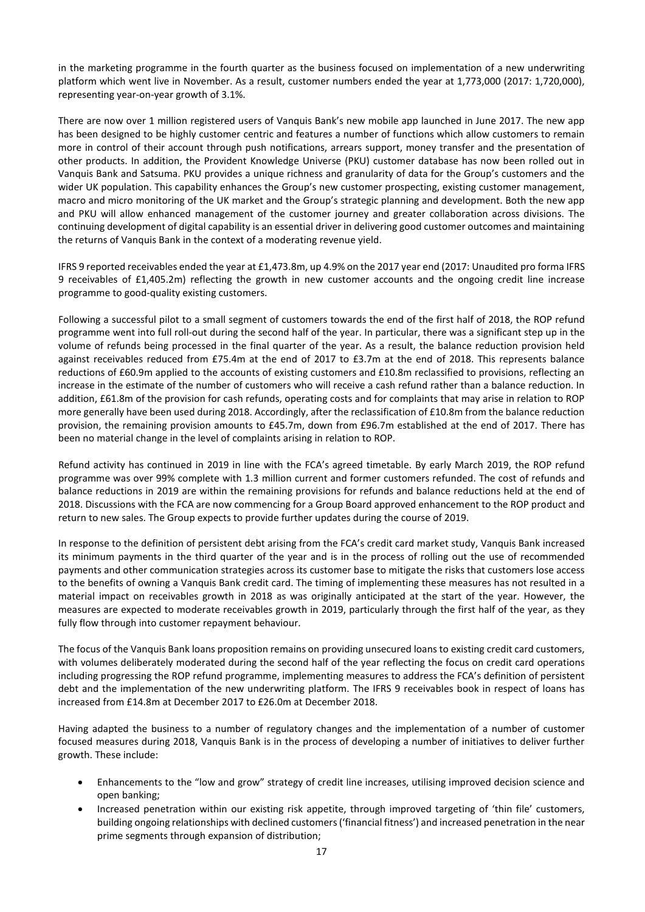in the marketing programme in the fourth quarter as the business focused on implementation of a new underwriting platform which went live in November. As a result, customer numbers ended the year at 1,773,000 (2017: 1,720,000), representing year-on-year growth of 3.1%.

There are now over 1 million registered users of Vanquis Bank's new mobile app launched in June 2017. The new app has been designed to be highly customer centric and features a number of functions which allow customers to remain more in control of their account through push notifications, arrears support, money transfer and the presentation of other products. In addition, the Provident Knowledge Universe (PKU) customer database has now been rolled out in Vanquis Bank and Satsuma. PKU provides a unique richness and granularity of data for the Group's customers and the wider UK population. This capability enhances the Group's new customer prospecting, existing customer management, macro and micro monitoring of the UK market and the Group's strategic planning and development. Both the new app and PKU will allow enhanced management of the customer journey and greater collaboration across divisions. The continuing development of digital capability is an essential driver in delivering good customer outcomes and maintaining the returns of Vanquis Bank in the context of a moderating revenue yield.

IFRS 9 reported receivables ended the year at £1,473.8m, up 4.9% on the 2017 year end (2017: Unaudited pro forma IFRS 9 receivables of £1,405.2m) reflecting the growth in new customer accounts and the ongoing credit line increase programme to good-quality existing customers.

Following a successful pilot to a small segment of customers towards the end of the first half of 2018, the ROP refund programme went into full roll-out during the second half of the year. In particular, there was a significant step up in the volume of refunds being processed in the final quarter of the year. As a result, the balance reduction provision held against receivables reduced from £75.4m at the end of 2017 to £3.7m at the end of 2018. This represents balance reductions of £60.9m applied to the accounts of existing customers and £10.8m reclassified to provisions, reflecting an increase in the estimate of the number of customers who will receive a cash refund rather than a balance reduction. In addition, £61.8m of the provision for cash refunds, operating costs and for complaints that may arise in relation to ROP more generally have been used during 2018. Accordingly, after the reclassification of £10.8m from the balance reduction provision, the remaining provision amounts to £45.7m, down from £96.7m established at the end of 2017. There has been no material change in the level of complaints arising in relation to ROP.

Refund activity has continued in 2019 in line with the FCA's agreed timetable. By early March 2019, the ROP refund programme was over 99% complete with 1.3 million current and former customers refunded. The cost of refunds and balance reductions in 2019 are within the remaining provisions for refunds and balance reductions held at the end of 2018. Discussions with the FCA are now commencing for a Group Board approved enhancement to the ROP product and return to new sales. The Group expects to provide further updates during the course of 2019.

In response to the definition of persistent debt arising from the FCA's credit card market study, Vanquis Bank increased its minimum payments in the third quarter of the year and is in the process of rolling out the use of recommended payments and other communication strategies across its customer base to mitigate the risks that customers lose access to the benefits of owning a Vanquis Bank credit card. The timing of implementing these measures has not resulted in a material impact on receivables growth in 2018 as was originally anticipated at the start of the year. However, the measures are expected to moderate receivables growth in 2019, particularly through the first half of the year, as they fully flow through into customer repayment behaviour.

The focus of the Vanquis Bank loans proposition remains on providing unsecured loans to existing credit card customers, with volumes deliberately moderated during the second half of the year reflecting the focus on credit card operations including progressing the ROP refund programme, implementing measures to address the FCA's definition of persistent debt and the implementation of the new underwriting platform. The IFRS 9 receivables book in respect of loans has increased from £14.8m at December 2017 to £26.0m at December 2018.

Having adapted the business to a number of regulatory changes and the implementation of a number of customer focused measures during 2018, Vanquis Bank is in the process of developing a number of initiatives to deliver further growth. These include:

- Enhancements to the "low and grow" strategy of credit line increases, utilising improved decision science and open banking;
- Increased penetration within our existing risk appetite, through improved targeting of 'thin file' customers, building ongoing relationships with declined customers ('financial fitness') and increased penetration in the near prime segments through expansion of distribution;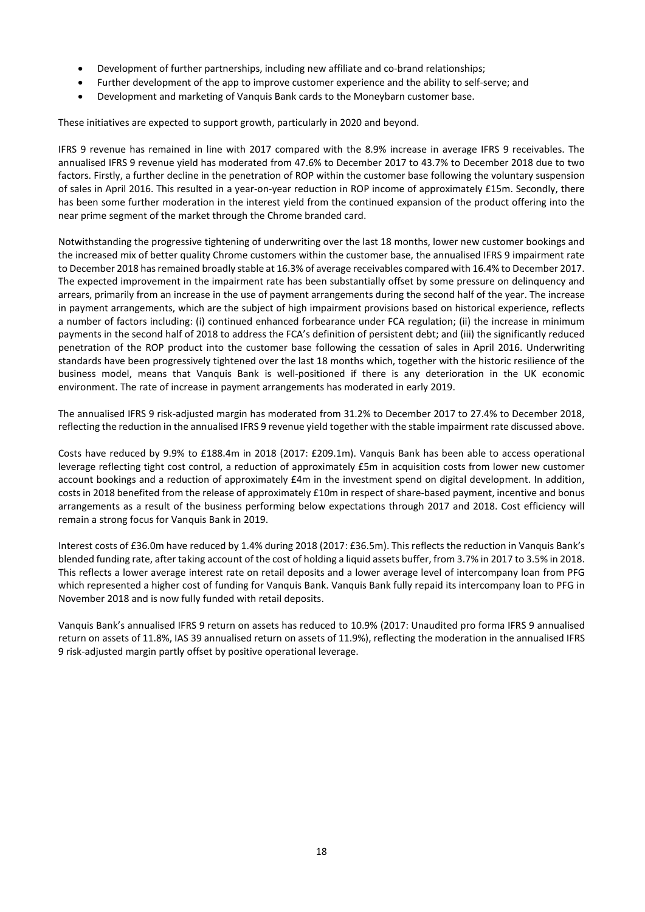- Development of further partnerships, including new affiliate and co-brand relationships;
- Further development of the app to improve customer experience and the ability to self-serve; and
- Development and marketing of Vanquis Bank cards to the Moneybarn customer base.

These initiatives are expected to support growth, particularly in 2020 and beyond.

IFRS 9 revenue has remained in line with 2017 compared with the 8.9% increase in average IFRS 9 receivables. The annualised IFRS 9 revenue yield has moderated from 47.6% to December 2017 to 43.7% to December 2018 due to two factors. Firstly, a further decline in the penetration of ROP within the customer base following the voluntary suspension of sales in April 2016. This resulted in a year-on-year reduction in ROP income of approximately £15m. Secondly, there has been some further moderation in the interest yield from the continued expansion of the product offering into the near prime segment of the market through the Chrome branded card.

Notwithstanding the progressive tightening of underwriting over the last 18 months, lower new customer bookings and the increased mix of better quality Chrome customers within the customer base, the annualised IFRS 9 impairment rate to December 2018 has remained broadly stable at 16.3% of average receivables compared with 16.4% to December 2017. The expected improvement in the impairment rate has been substantially offset by some pressure on delinquency and arrears, primarily from an increase in the use of payment arrangements during the second half of the year. The increase in payment arrangements, which are the subject of high impairment provisions based on historical experience, reflects a number of factors including: (i) continued enhanced forbearance under FCA regulation; (ii) the increase in minimum payments in the second half of 2018 to address the FCA's definition of persistent debt; and (iii) the significantly reduced penetration of the ROP product into the customer base following the cessation of sales in April 2016. Underwriting standards have been progressively tightened over the last 18 months which, together with the historic resilience of the business model, means that Vanquis Bank is well-positioned if there is any deterioration in the UK economic environment. The rate of increase in payment arrangements has moderated in early 2019.

The annualised IFRS 9 risk-adjusted margin has moderated from 31.2% to December 2017 to 27.4% to December 2018, reflecting the reduction in the annualised IFRS 9 revenue yield together with the stable impairment rate discussed above.

Costs have reduced by 9.9% to £188.4m in 2018 (2017: £209.1m). Vanquis Bank has been able to access operational leverage reflecting tight cost control, a reduction of approximately £5m in acquisition costs from lower new customer account bookings and a reduction of approximately £4m in the investment spend on digital development. In addition, costs in 2018 benefited from the release of approximately £10m in respect of share-based payment, incentive and bonus arrangements as a result of the business performing below expectations through 2017 and 2018. Cost efficiency will remain a strong focus for Vanquis Bank in 2019.

Interest costs of £36.0m have reduced by 1.4% during 2018 (2017: £36.5m). This reflects the reduction in Vanquis Bank's blended funding rate, after taking account of the cost of holding a liquid assets buffer, from 3.7% in 2017 to 3.5% in 2018. This reflects a lower average interest rate on retail deposits and a lower average level of intercompany loan from PFG which represented a higher cost of funding for Vanquis Bank. Vanquis Bank fully repaid its intercompany loan to PFG in November 2018 and is now fully funded with retail deposits.

Vanquis Bank's annualised IFRS 9 return on assets has reduced to 10.9% (2017: Unaudited pro forma IFRS 9 annualised return on assets of 11.8%, IAS 39 annualised return on assets of 11.9%), reflecting the moderation in the annualised IFRS 9 risk-adjusted margin partly offset by positive operational leverage.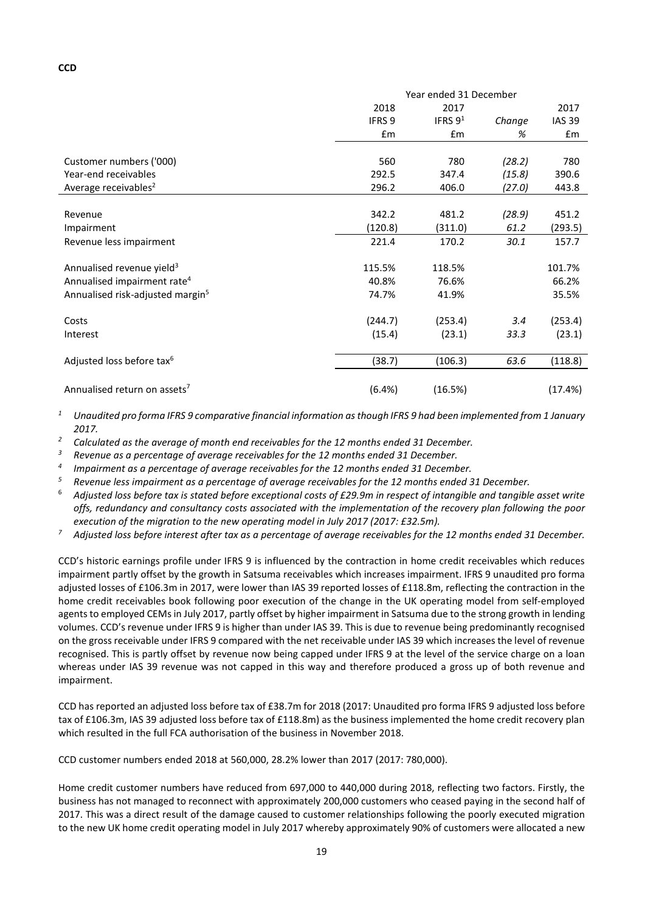|                                              | Year ended 31 December |            |        |               |
|----------------------------------------------|------------------------|------------|--------|---------------|
|                                              | 2018                   | 2017       |        | 2017          |
|                                              | IFRS 9                 | IFRS $9^1$ | Change | <b>IAS 39</b> |
|                                              | £m                     | £m         | %      | £m            |
|                                              |                        |            |        |               |
| Customer numbers ('000)                      | 560                    | 780        | (28.2) | 780           |
| Year-end receivables                         | 292.5                  | 347.4      | (15.8) | 390.6         |
| Average receivables <sup>2</sup>             | 296.2                  | 406.0      | (27.0) | 443.8         |
|                                              |                        |            |        |               |
| Revenue                                      | 342.2                  | 481.2      | (28.9) | 451.2         |
| Impairment                                   | (120.8)                | (311.0)    | 61.2   | (293.5)       |
| Revenue less impairment                      | 221.4                  | 170.2      | 30.1   | 157.7         |
|                                              |                        |            |        |               |
| Annualised revenue yield <sup>3</sup>        | 115.5%                 | 118.5%     |        | 101.7%        |
| Annualised impairment rate <sup>4</sup>      | 40.8%                  | 76.6%      |        | 66.2%         |
| Annualised risk-adjusted margin <sup>5</sup> | 74.7%                  | 41.9%      |        | 35.5%         |
| Costs                                        | (244.7)                | (253.4)    | 3.4    | (253.4)       |
| Interest                                     | (15.4)                 | (23.1)     | 33.3   | (23.1)        |
|                                              |                        |            |        |               |
| Adjusted loss before tax <sup>6</sup>        | (38.7)                 | (106.3)    | 63.6   | (118.8)       |
| Annualised return on assets <sup>7</sup>     | (6.4%)                 | (16.5%)    |        | (17.4%)       |

*<sup>1</sup> Unaudited pro forma IFRS 9 comparative financial information as though IFRS 9 had been implemented from 1 January 2017.*

*<sup>2</sup> Calculated as the average of month end receivables for the 12 months ended 31 December.*

*<sup>3</sup> Revenue as a percentage of average receivables for the 12 months ended 31 December.*

*<sup>4</sup> Impairment as a percentage of average receivables for the 12 months ended 31 December.*

*<sup>5</sup> Revenue less impairment as a percentage of average receivables for the 12 months ended 31 December.*

<sup>6</sup> *Adjusted loss before tax is stated before exceptional costs of £29.9m in respect of intangible and tangible asset write offs, redundancy and consultancy costs associated with the implementation of the recovery plan following the poor execution of the migration to the new operating model in July 2017 (2017: £32.5m).*

*<sup>7</sup> Adjusted loss before interest after tax as a percentage of average receivables for the 12 months ended 31 December.*

CCD's historic earnings profile under IFRS 9 is influenced by the contraction in home credit receivables which reduces impairment partly offset by the growth in Satsuma receivables which increases impairment. IFRS 9 unaudited pro forma adjusted losses of £106.3m in 2017, were lower than IAS 39 reported losses of £118.8m, reflecting the contraction in the home credit receivables book following poor execution of the change in the UK operating model from self-employed agents to employed CEMs in July 2017, partly offset by higher impairment in Satsuma due to the strong growth in lending volumes. CCD's revenue under IFRS 9 is higher than under IAS 39. This is due to revenue being predominantly recognised on the gross receivable under IFRS 9 compared with the net receivable under IAS 39 which increases the level of revenue recognised. This is partly offset by revenue now being capped under IFRS 9 at the level of the service charge on a loan whereas under IAS 39 revenue was not capped in this way and therefore produced a gross up of both revenue and impairment.

CCD has reported an adjusted loss before tax of £38.7m for 2018 (2017: Unaudited pro forma IFRS 9 adjusted loss before tax of £106.3m, IAS 39 adjusted loss before tax of £118.8m) as the business implemented the home credit recovery plan which resulted in the full FCA authorisation of the business in November 2018.

CCD customer numbers ended 2018 at 560,000, 28.2% lower than 2017 (2017: 780,000).

Home credit customer numbers have reduced from 697,000 to 440,000 during 2018, reflecting two factors. Firstly, the business has not managed to reconnect with approximately 200,000 customers who ceased paying in the second half of 2017. This was a direct result of the damage caused to customer relationships following the poorly executed migration to the new UK home credit operating model in July 2017 whereby approximately 90% of customers were allocated a new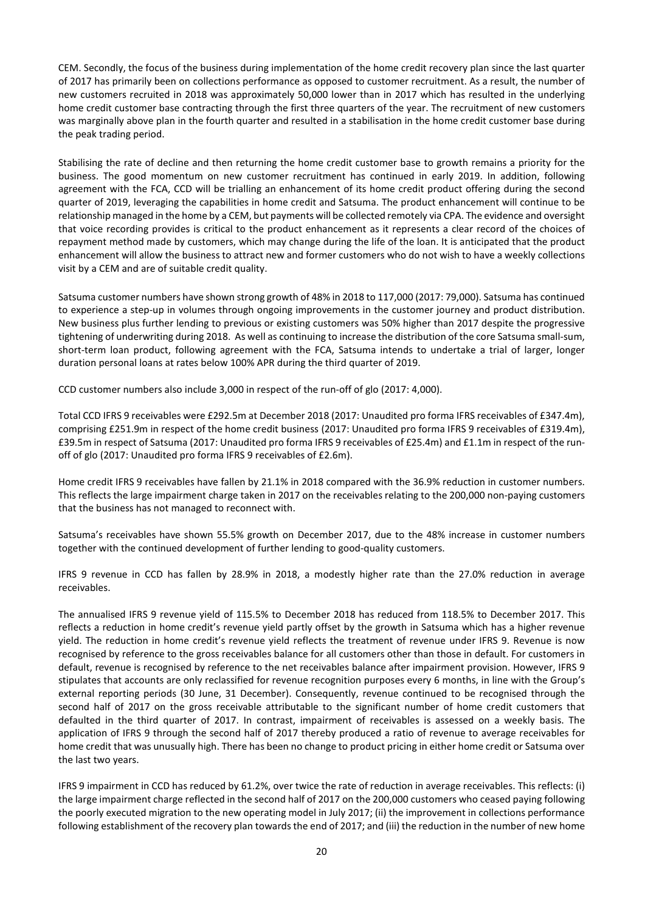CEM. Secondly, the focus of the business during implementation of the home credit recovery plan since the last quarter of 2017 has primarily been on collections performance as opposed to customer recruitment. As a result, the number of new customers recruited in 2018 was approximately 50,000 lower than in 2017 which has resulted in the underlying home credit customer base contracting through the first three quarters of the year. The recruitment of new customers was marginally above plan in the fourth quarter and resulted in a stabilisation in the home credit customer base during the peak trading period.

Stabilising the rate of decline and then returning the home credit customer base to growth remains a priority for the business. The good momentum on new customer recruitment has continued in early 2019. In addition, following agreement with the FCA, CCD will be trialling an enhancement of its home credit product offering during the second quarter of 2019, leveraging the capabilities in home credit and Satsuma. The product enhancement will continue to be relationship managed in the home by a CEM, but payments will be collected remotely via CPA. The evidence and oversight that voice recording provides is critical to the product enhancement as it represents a clear record of the choices of repayment method made by customers, which may change during the life of the loan. It is anticipated that the product enhancement will allow the business to attract new and former customers who do not wish to have a weekly collections visit by a CEM and are of suitable credit quality.

Satsuma customer numbers have shown strong growth of 48% in 2018 to 117,000 (2017: 79,000). Satsuma has continued to experience a step-up in volumes through ongoing improvements in the customer journey and product distribution. New business plus further lending to previous or existing customers was 50% higher than 2017 despite the progressive tightening of underwriting during 2018. As well as continuing to increase the distribution of the core Satsuma small-sum, short-term loan product, following agreement with the FCA, Satsuma intends to undertake a trial of larger, longer duration personal loans at rates below 100% APR during the third quarter of 2019.

CCD customer numbers also include 3,000 in respect of the run-off of glo (2017: 4,000).

Total CCD IFRS 9 receivables were £292.5m at December 2018 (2017: Unaudited pro forma IFRS receivables of £347.4m), comprising £251.9m in respect of the home credit business (2017: Unaudited pro forma IFRS 9 receivables of £319.4m), £39.5m in respect of Satsuma (2017: Unaudited pro forma IFRS 9 receivables of £25.4m) and £1.1m in respect of the runoff of glo (2017: Unaudited pro forma IFRS 9 receivables of £2.6m).

Home credit IFRS 9 receivables have fallen by 21.1% in 2018 compared with the 36.9% reduction in customer numbers. This reflects the large impairment charge taken in 2017 on the receivables relating to the 200,000 non-paying customers that the business has not managed to reconnect with.

Satsuma's receivables have shown 55.5% growth on December 2017, due to the 48% increase in customer numbers together with the continued development of further lending to good-quality customers.

IFRS 9 revenue in CCD has fallen by 28.9% in 2018, a modestly higher rate than the 27.0% reduction in average receivables.

The annualised IFRS 9 revenue yield of 115.5% to December 2018 has reduced from 118.5% to December 2017. This reflects a reduction in home credit's revenue yield partly offset by the growth in Satsuma which has a higher revenue yield. The reduction in home credit's revenue yield reflects the treatment of revenue under IFRS 9. Revenue is now recognised by reference to the gross receivables balance for all customers other than those in default. For customers in default, revenue is recognised by reference to the net receivables balance after impairment provision. However, IFRS 9 stipulates that accounts are only reclassified for revenue recognition purposes every 6 months, in line with the Group's external reporting periods (30 June, 31 December). Consequently, revenue continued to be recognised through the second half of 2017 on the gross receivable attributable to the significant number of home credit customers that defaulted in the third quarter of 2017. In contrast, impairment of receivables is assessed on a weekly basis. The application of IFRS 9 through the second half of 2017 thereby produced a ratio of revenue to average receivables for home credit that was unusually high. There has been no change to product pricing in either home credit or Satsuma over the last two years.

IFRS 9 impairment in CCD has reduced by 61.2%, over twice the rate of reduction in average receivables. This reflects: (i) the large impairment charge reflected in the second half of 2017 on the 200,000 customers who ceased paying following the poorly executed migration to the new operating model in July 2017; (ii) the improvement in collections performance following establishment of the recovery plan towards the end of 2017; and (iii) the reduction in the number of new home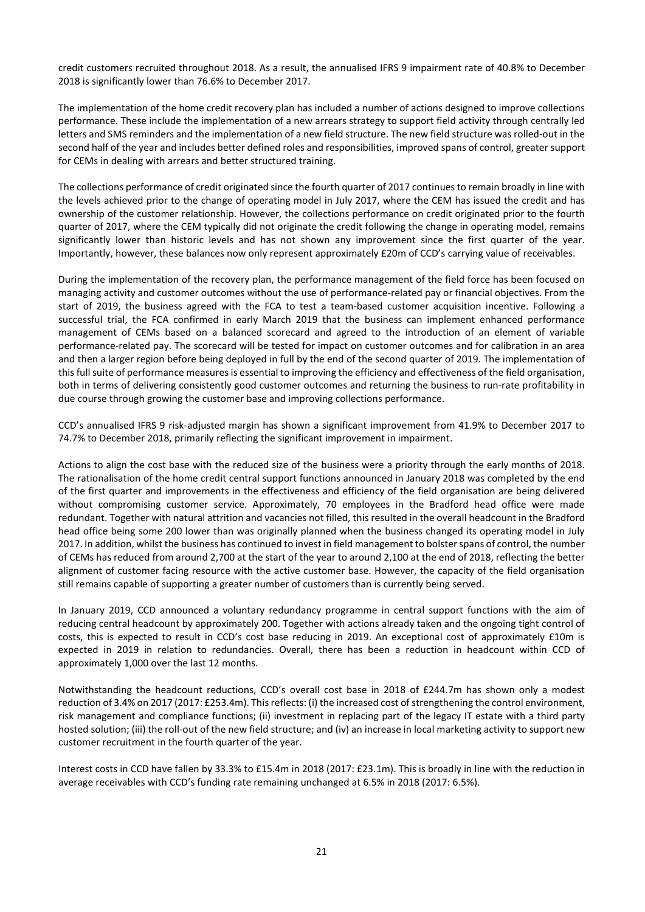credit customers recruited throughout 2018. As a result, the annualised IFRS 9 impairment rate of 40.8% to December 2018 is significantly lower than 76.6% to December 2017.

The implementation of the home credit recovery plan has included a number of actions designed to improve collections performance. These include the implementation of a new arrears strategy to support field activity through centrally led letters and SMS reminders and the implementation of a new field structure. The new field structure was rolled-out in the second half of the year and includes better defined roles and responsibilities, improved spans of control, greater support for CEMs in dealing with arrears and better structured training.

The collections performance of credit originated since the fourth quarter of 2017 continuesto remain broadly in line with the levels achieved prior to the change of operating model in July 2017, where the CEM has issued the credit and has ownership of the customer relationship. However, the collections performance on credit originated prior to the fourth quarter of 2017, where the CEM typically did not originate the credit following the change in operating model, remains significantly lower than historic levels and has not shown any improvement since the first quarter of the year. Importantly, however, these balances now only represent approximately £20m of CCD's carrying value of receivables.

During the implementation of the recovery plan, the performance management of the field force has been focused on managing activity and customer outcomes without the use of performance-related pay or financial objectives. From the start of 2019, the business agreed with the FCA to test a team-based customer acquisition incentive. Following a successful trial, the FCA confirmed in early March 2019 that the business can implement enhanced performance management of CEMs based on a balanced scorecard and agreed to the introduction of an element of variable performance-related pay. The scorecard will be tested for impact on customer outcomes and for calibration in an area and then a larger region before being deployed in full by the end of the second quarter of 2019. The implementation of this full suite of performance measures is essential to improving the efficiency and effectiveness of the field organisation, both in terms of delivering consistently good customer outcomes and returning the business to run-rate profitability in due course through growing the customer base and improving collections performance.

CCD's annualised IFRS 9 risk-adjusted margin has shown a significant improvement from 41.9% to December 2017 to 74.7% to December 2018, primarily reflecting the significant improvement in impairment.

Actions to align the cost base with the reduced size of the business were a priority through the early months of 2018. The rationalisation of the home credit central support functions announced in January 2018 was completed by the end of the first quarter and improvements in the effectiveness and efficiency of the field organisation are being delivered without compromising customer service. Approximately, 70 employees in the Bradford head office were made redundant. Together with natural attrition and vacancies not filled, this resulted in the overall headcount in the Bradford head office being some 200 lower than was originally planned when the business changed its operating model in July 2017. In addition, whilst the business has continued to invest in field management to bolsterspans of control, the number of CEMs has reduced from around 2,700 at the start of the year to around 2,100 at the end of 2018, reflecting the better alignment of customer facing resource with the active customer base. However, the capacity of the field organisation still remains capable of supporting a greater number of customers than is currently being served.

In January 2019, CCD announced a voluntary redundancy programme in central support functions with the aim of reducing central headcount by approximately 200. Together with actions already taken and the ongoing tight control of costs, this is expected to result in CCD's cost base reducing in 2019. An exceptional cost of approximately £10m is expected in 2019 in relation to redundancies. Overall, there has been a reduction in headcount within CCD of approximately 1,000 over the last 12 months.

Notwithstanding the headcount reductions, CCD's overall cost base in 2018 of £244.7m has shown only a modest reduction of 3.4% on 2017 (2017: £253.4m). Thisreflects: (i) the increased cost ofstrengthening the control environment, risk management and compliance functions; (ii) investment in replacing part of the legacy IT estate with a third party hosted solution; (iii) the roll-out of the new field structure; and (iv) an increase in local marketing activity to support new customer recruitment in the fourth quarter of the year.

Interest costs in CCD have fallen by 33.3% to £15.4m in 2018 (2017: £23.1m). This is broadly in line with the reduction in average receivables with CCD's funding rate remaining unchanged at 6.5% in 2018 (2017: 6.5%).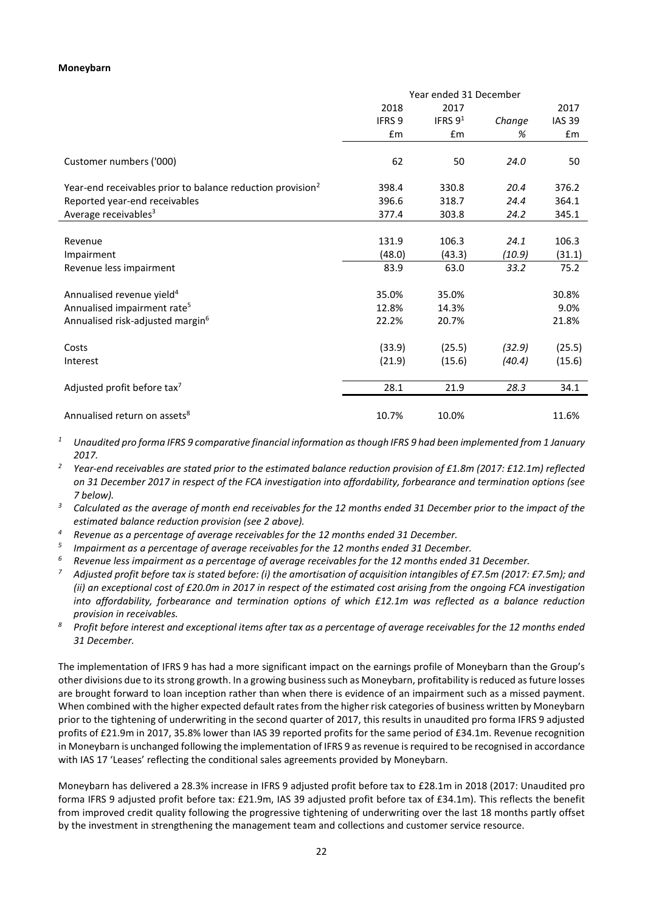#### **Moneybarn**

|                                                                        | Year ended 31 December |            |        |               |
|------------------------------------------------------------------------|------------------------|------------|--------|---------------|
|                                                                        | 2018                   | 2017       |        | 2017          |
|                                                                        | IFRS <sub>9</sub>      | IFRS $9^1$ | Change | <b>IAS 39</b> |
|                                                                        | £m                     | £m         | %      | £m            |
| Customer numbers ('000)                                                | 62                     | 50         | 24.0   | 50            |
| Year-end receivables prior to balance reduction provision <sup>2</sup> | 398.4                  | 330.8      | 20.4   | 376.2         |
| Reported year-end receivables                                          | 396.6                  | 318.7      | 24.4   | 364.1         |
| Average receivables <sup>3</sup>                                       | 377.4                  | 303.8      | 24.2   | 345.1         |
|                                                                        |                        |            |        |               |
| Revenue                                                                | 131.9                  | 106.3      | 24.1   | 106.3         |
| Impairment                                                             | (48.0)                 | (43.3)     | (10.9) | (31.1)        |
| Revenue less impairment                                                | 83.9                   | 63.0       | 33.2   | 75.2          |
| Annualised revenue yield <sup>4</sup>                                  | 35.0%                  | 35.0%      |        | 30.8%         |
| Annualised impairment rate <sup>5</sup>                                | 12.8%                  | 14.3%      |        | 9.0%          |
| Annualised risk-adjusted margin <sup>6</sup>                           | 22.2%                  | 20.7%      |        | 21.8%         |
| Costs                                                                  | (33.9)                 | (25.5)     | (32.9) | (25.5)        |
| Interest                                                               | (21.9)                 | (15.6)     | (40.4) | (15.6)        |
| Adjusted profit before tax <sup>7</sup>                                | 28.1                   | 21.9       | 28.3   | 34.1          |
| Annualised return on assets <sup>8</sup>                               | 10.7%                  | 10.0%      |        | 11.6%         |
|                                                                        |                        |            |        |               |

- *<sup>1</sup> Unaudited pro forma IFRS 9 comparative financial information as though IFRS 9 had been implemented from 1 January 2017.*
- *<sup>2</sup> Year-end receivables are stated prior to the estimated balance reduction provision of £1.8m (2017: £12.1m) reflected on 31 December 2017 in respect of the FCA investigation into affordability, forbearance and termination options (see 7 below).*
- *<sup>3</sup> Calculated as the average of month end receivables for the 12 months ended 31 December prior to the impact of the estimated balance reduction provision (see 2 above).*
- *<sup>4</sup> Revenue as a percentage of average receivables for the 12 months ended 31 December.*
- *<sup>5</sup> Impairment as a percentage of average receivables for the 12 months ended 31 December.*
- *<sup>6</sup> Revenue less impairment as a percentage of average receivables for the 12 months ended 31 December.*
- *<sup>7</sup> Adjusted profit before tax is stated before: (i) the amortisation of acquisition intangibles of £7.5m (2017: £7.5m); and (ii) an exceptional cost of £20.0m in 2017 in respect of the estimated cost arising from the ongoing FCA investigation into affordability, forbearance and termination options of which £12.1m was reflected as a balance reduction*
- *provision in receivables. 8 Profit before interest and exceptional items after tax as a percentage of average receivables for the 12 months ended 31 December.*

The implementation of IFRS 9 has had a more significant impact on the earnings profile of Moneybarn than the Group's other divisions due to its strong growth. In a growing business such as Moneybarn, profitability is reduced as future losses are brought forward to loan inception rather than when there is evidence of an impairment such as a missed payment. When combined with the higher expected default rates from the higher risk categories of business written by Moneybarn prior to the tightening of underwriting in the second quarter of 2017, this results in unaudited pro forma IFRS 9 adjusted profits of £21.9m in 2017, 35.8% lower than IAS 39 reported profits for the same period of £34.1m. Revenue recognition in Moneybarn is unchanged following the implementation of IFRS 9 as revenue is required to be recognised in accordance with IAS 17 'Leases' reflecting the conditional sales agreements provided by Moneybarn.

Moneybarn has delivered a 28.3% increase in IFRS 9 adjusted profit before tax to £28.1m in 2018 (2017: Unaudited pro forma IFRS 9 adjusted profit before tax: £21.9m, IAS 39 adjusted profit before tax of £34.1m). This reflects the benefit from improved credit quality following the progressive tightening of underwriting over the last 18 months partly offset by the investment in strengthening the management team and collections and customer service resource.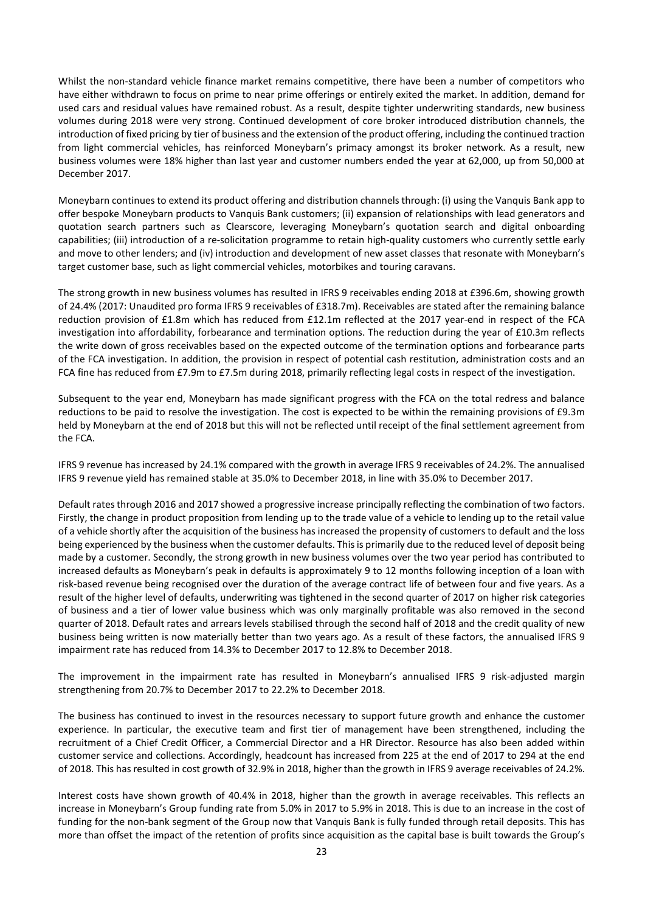Whilst the non-standard vehicle finance market remains competitive, there have been a number of competitors who have either withdrawn to focus on prime to near prime offerings or entirely exited the market. In addition, demand for used cars and residual values have remained robust. As a result, despite tighter underwriting standards, new business volumes during 2018 were very strong. Continued development of core broker introduced distribution channels, the introduction of fixed pricing by tier of business and the extension of the product offering, including the continued traction from light commercial vehicles, has reinforced Moneybarn's primacy amongst its broker network. As a result, new business volumes were 18% higher than last year and customer numbers ended the year at 62,000, up from 50,000 at December 2017.

Moneybarn continues to extend its product offering and distribution channels through: (i) using the Vanquis Bank app to offer bespoke Moneybarn products to Vanquis Bank customers; (ii) expansion of relationships with lead generators and quotation search partners such as Clearscore, leveraging Moneybarn's quotation search and digital onboarding capabilities; (iii) introduction of a re-solicitation programme to retain high-quality customers who currently settle early and move to other lenders; and (iv) introduction and development of new asset classes that resonate with Moneybarn's target customer base, such as light commercial vehicles, motorbikes and touring caravans.

The strong growth in new business volumes has resulted in IFRS 9 receivables ending 2018 at £396.6m, showing growth of 24.4% (2017: Unaudited pro forma IFRS 9 receivables of £318.7m). Receivables are stated after the remaining balance reduction provision of £1.8m which has reduced from £12.1m reflected at the 2017 year-end in respect of the FCA investigation into affordability, forbearance and termination options. The reduction during the year of £10.3m reflects the write down of gross receivables based on the expected outcome of the termination options and forbearance parts of the FCA investigation. In addition, the provision in respect of potential cash restitution, administration costs and an FCA fine has reduced from £7.9m to £7.5m during 2018, primarily reflecting legal costs in respect of the investigation.

Subsequent to the year end, Moneybarn has made significant progress with the FCA on the total redress and balance reductions to be paid to resolve the investigation. The cost is expected to be within the remaining provisions of £9.3m held by Moneybarn at the end of 2018 but this will not be reflected until receipt of the final settlement agreement from the FCA.

IFRS 9 revenue has increased by 24.1% compared with the growth in average IFRS 9 receivables of 24.2%. The annualised IFRS 9 revenue yield has remained stable at 35.0% to December 2018, in line with 35.0% to December 2017.

Default rates through 2016 and 2017 showed a progressive increase principally reflecting the combination of two factors. Firstly, the change in product proposition from lending up to the trade value of a vehicle to lending up to the retail value of a vehicle shortly after the acquisition of the business has increased the propensity of customers to default and the loss being experienced by the business when the customer defaults. This is primarily due to the reduced level of deposit being made by a customer. Secondly, the strong growth in new business volumes over the two year period has contributed to increased defaults as Moneybarn's peak in defaults is approximately 9 to 12 months following inception of a loan with risk-based revenue being recognised over the duration of the average contract life of between four and five years. As a result of the higher level of defaults, underwriting was tightened in the second quarter of 2017 on higher risk categories of business and a tier of lower value business which was only marginally profitable was also removed in the second quarter of 2018. Default rates and arrears levels stabilised through the second half of 2018 and the credit quality of new business being written is now materially better than two years ago. As a result of these factors, the annualised IFRS 9 impairment rate has reduced from 14.3% to December 2017 to 12.8% to December 2018.

The improvement in the impairment rate has resulted in Moneybarn's annualised IFRS 9 risk-adjusted margin strengthening from 20.7% to December 2017 to 22.2% to December 2018.

The business has continued to invest in the resources necessary to support future growth and enhance the customer experience. In particular, the executive team and first tier of management have been strengthened, including the recruitment of a Chief Credit Officer, a Commercial Director and a HR Director. Resource has also been added within customer service and collections. Accordingly, headcount has increased from 225 at the end of 2017 to 294 at the end of 2018. This has resulted in cost growth of 32.9% in 2018, higher than the growth in IFRS 9 average receivables of 24.2%.

Interest costs have shown growth of 40.4% in 2018, higher than the growth in average receivables. This reflects an increase in Moneybarn's Group funding rate from 5.0% in 2017 to 5.9% in 2018. This is due to an increase in the cost of funding for the non-bank segment of the Group now that Vanquis Bank is fully funded through retail deposits. This has more than offset the impact of the retention of profits since acquisition as the capital base is built towards the Group's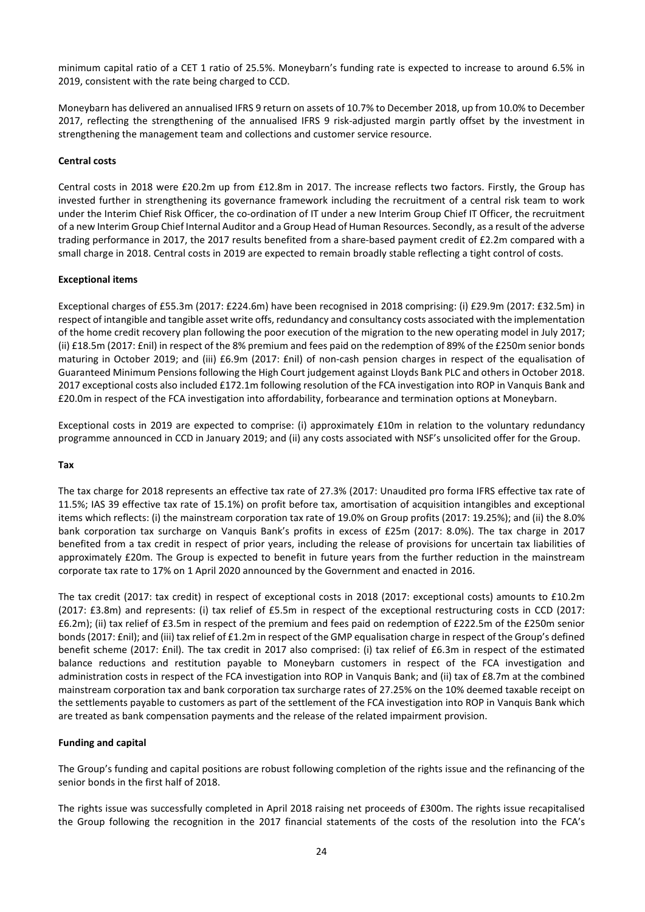minimum capital ratio of a CET 1 ratio of 25.5%. Moneybarn's funding rate is expected to increase to around 6.5% in 2019, consistent with the rate being charged to CCD.

Moneybarn has delivered an annualised IFRS 9 return on assets of 10.7% to December 2018, up from 10.0% to December 2017, reflecting the strengthening of the annualised IFRS 9 risk-adjusted margin partly offset by the investment in strengthening the management team and collections and customer service resource.

## **Central costs**

Central costs in 2018 were £20.2m up from £12.8m in 2017. The increase reflects two factors. Firstly, the Group has invested further in strengthening its governance framework including the recruitment of a central risk team to work under the Interim Chief Risk Officer, the co-ordination of IT under a new Interim Group Chief IT Officer, the recruitment of a new Interim Group Chief Internal Auditor and a Group Head of Human Resources. Secondly, as a result of the adverse trading performance in 2017, the 2017 results benefited from a share-based payment credit of £2.2m compared with a small charge in 2018. Central costs in 2019 are expected to remain broadly stable reflecting a tight control of costs.

#### **Exceptional items**

Exceptional charges of £55.3m (2017: £224.6m) have been recognised in 2018 comprising: (i) £29.9m (2017: £32.5m) in respect of intangible and tangible asset write offs, redundancy and consultancy costs associated with the implementation of the home credit recovery plan following the poor execution of the migration to the new operating model in July 2017; (ii) £18.5m (2017: £nil) in respect of the 8% premium and fees paid on the redemption of 89% of the £250m senior bonds maturing in October 2019; and (iii) £6.9m (2017: £nil) of non-cash pension charges in respect of the equalisation of Guaranteed Minimum Pensions following the High Court judgement against Lloyds Bank PLC and others in October 2018. 2017 exceptional costs also included £172.1m following resolution of the FCA investigation into ROP in Vanquis Bank and £20.0m in respect of the FCA investigation into affordability, forbearance and termination options at Moneybarn.

Exceptional costs in 2019 are expected to comprise: (i) approximately £10m in relation to the voluntary redundancy programme announced in CCD in January 2019; and (ii) any costs associated with NSF's unsolicited offer for the Group.

#### **Tax**

The tax charge for 2018 represents an effective tax rate of 27.3% (2017: Unaudited pro forma IFRS effective tax rate of 11.5%; IAS 39 effective tax rate of 15.1%) on profit before tax, amortisation of acquisition intangibles and exceptional items which reflects: (i) the mainstream corporation tax rate of 19.0% on Group profits (2017: 19.25%); and (ii) the 8.0% bank corporation tax surcharge on Vanquis Bank's profits in excess of £25m (2017: 8.0%). The tax charge in 2017 benefited from a tax credit in respect of prior years, including the release of provisions for uncertain tax liabilities of approximately £20m. The Group is expected to benefit in future years from the further reduction in the mainstream corporate tax rate to 17% on 1 April 2020 announced by the Government and enacted in 2016.

The tax credit (2017: tax credit) in respect of exceptional costs in 2018 (2017: exceptional costs) amounts to £10.2m (2017: £3.8m) and represents: (i) tax relief of £5.5m in respect of the exceptional restructuring costs in CCD (2017: £6.2m); (ii) tax relief of £3.5m in respect of the premium and fees paid on redemption of £222.5m of the £250m senior bonds (2017: £nil); and (iii) tax relief of £1.2m in respect of the GMP equalisation charge in respect of the Group's defined benefit scheme (2017: £nil). The tax credit in 2017 also comprised: (i) tax relief of £6.3m in respect of the estimated balance reductions and restitution payable to Moneybarn customers in respect of the FCA investigation and administration costs in respect of the FCA investigation into ROP in Vanquis Bank; and (ii) tax of £8.7m at the combined mainstream corporation tax and bank corporation tax surcharge rates of 27.25% on the 10% deemed taxable receipt on the settlements payable to customers as part of the settlement of the FCA investigation into ROP in Vanquis Bank which are treated as bank compensation payments and the release of the related impairment provision.

#### **Funding and capital**

The Group's funding and capital positions are robust following completion of the rights issue and the refinancing of the senior bonds in the first half of 2018.

The rights issue was successfully completed in April 2018 raising net proceeds of £300m. The rights issue recapitalised the Group following the recognition in the 2017 financial statements of the costs of the resolution into the FCA's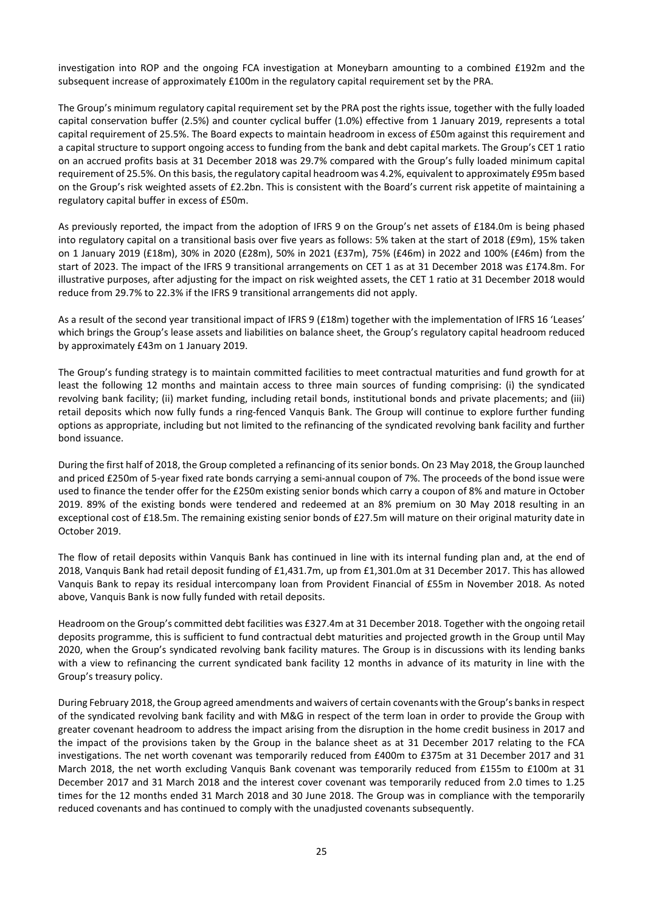investigation into ROP and the ongoing FCA investigation at Moneybarn amounting to a combined £192m and the subsequent increase of approximately £100m in the regulatory capital requirement set by the PRA.

The Group's minimum regulatory capital requirement set by the PRA post the rights issue, together with the fully loaded capital conservation buffer (2.5%) and counter cyclical buffer (1.0%) effective from 1 January 2019, represents a total capital requirement of 25.5%. The Board expects to maintain headroom in excess of £50m against this requirement and a capital structure to support ongoing access to funding from the bank and debt capital markets. The Group's CET 1 ratio on an accrued profits basis at 31 December 2018 was 29.7% compared with the Group's fully loaded minimum capital requirement of 25.5%. On this basis, the regulatory capital headroom was 4.2%, equivalent to approximately £95m based on the Group's risk weighted assets of £2.2bn. This is consistent with the Board's current risk appetite of maintaining a regulatory capital buffer in excess of £50m.

As previously reported, the impact from the adoption of IFRS 9 on the Group's net assets of £184.0m is being phased into regulatory capital on a transitional basis over five years as follows: 5% taken at the start of 2018 (£9m), 15% taken on 1 January 2019 (£18m), 30% in 2020 (£28m), 50% in 2021 (£37m), 75% (£46m) in 2022 and 100% (£46m) from the start of 2023. The impact of the IFRS 9 transitional arrangements on CET 1 as at 31 December 2018 was £174.8m. For illustrative purposes, after adjusting for the impact on risk weighted assets, the CET 1 ratio at 31 December 2018 would reduce from 29.7% to 22.3% if the IFRS 9 transitional arrangements did not apply.

As a result of the second year transitional impact of IFRS 9 (£18m) together with the implementation of IFRS 16 'Leases' which brings the Group's lease assets and liabilities on balance sheet, the Group's regulatory capital headroom reduced by approximately £43m on 1 January 2019.

The Group's funding strategy is to maintain committed facilities to meet contractual maturities and fund growth for at least the following 12 months and maintain access to three main sources of funding comprising: (i) the syndicated revolving bank facility; (ii) market funding, including retail bonds, institutional bonds and private placements; and (iii) retail deposits which now fully funds a ring-fenced Vanquis Bank. The Group will continue to explore further funding options as appropriate, including but not limited to the refinancing of the syndicated revolving bank facility and further bond issuance.

During the first half of 2018, the Group completed a refinancing of its senior bonds. On 23 May 2018, the Group launched and priced £250m of 5-year fixed rate bonds carrying a semi-annual coupon of 7%. The proceeds of the bond issue were used to finance the tender offer for the £250m existing senior bonds which carry a coupon of 8% and mature in October 2019. 89% of the existing bonds were tendered and redeemed at an 8% premium on 30 May 2018 resulting in an exceptional cost of £18.5m. The remaining existing senior bonds of £27.5m will mature on their original maturity date in October 2019.

The flow of retail deposits within Vanquis Bank has continued in line with its internal funding plan and, at the end of 2018, Vanquis Bank had retail deposit funding of £1,431.7m, up from £1,301.0m at 31 December 2017. This has allowed Vanquis Bank to repay its residual intercompany loan from Provident Financial of £55m in November 2018. As noted above, Vanquis Bank is now fully funded with retail deposits.

Headroom on the Group's committed debt facilities was £327.4m at 31 December 2018. Together with the ongoing retail deposits programme, this is sufficient to fund contractual debt maturities and projected growth in the Group until May 2020, when the Group's syndicated revolving bank facility matures. The Group is in discussions with its lending banks with a view to refinancing the current syndicated bank facility 12 months in advance of its maturity in line with the Group's treasury policy.

During February 2018, the Group agreed amendments and waivers of certain covenants with the Group's banks in respect of the syndicated revolving bank facility and with M&G in respect of the term loan in order to provide the Group with greater covenant headroom to address the impact arising from the disruption in the home credit business in 2017 and the impact of the provisions taken by the Group in the balance sheet as at 31 December 2017 relating to the FCA investigations. The net worth covenant was temporarily reduced from £400m to £375m at 31 December 2017 and 31 March 2018, the net worth excluding Vanquis Bank covenant was temporarily reduced from £155m to £100m at 31 December 2017 and 31 March 2018 and the interest cover covenant was temporarily reduced from 2.0 times to 1.25 times for the 12 months ended 31 March 2018 and 30 June 2018. The Group was in compliance with the temporarily reduced covenants and has continued to comply with the unadjusted covenants subsequently.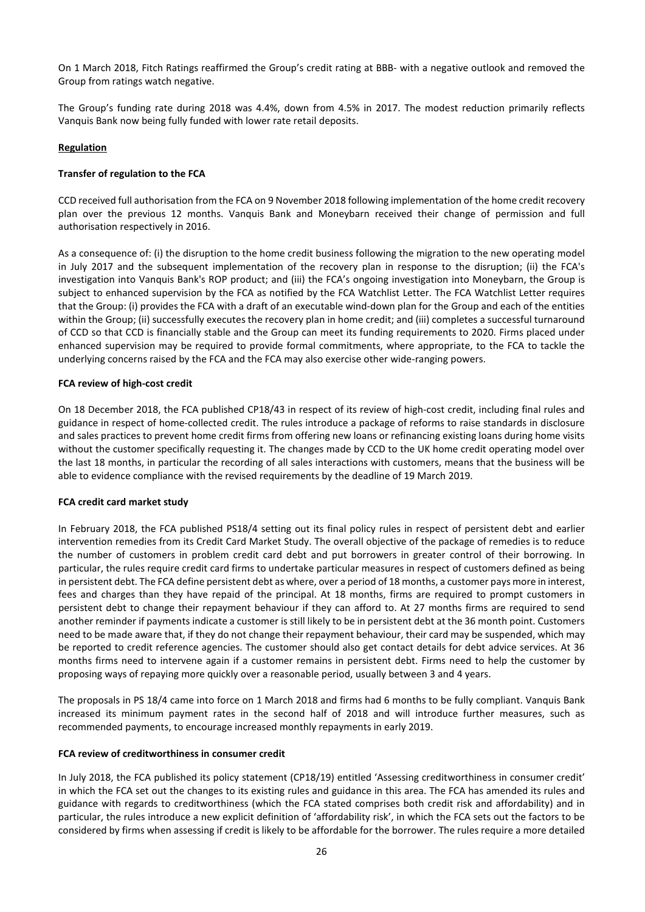On 1 March 2018, Fitch Ratings reaffirmed the Group's credit rating at BBB- with a negative outlook and removed the Group from ratings watch negative.

The Group's funding rate during 2018 was 4.4%, down from 4.5% in 2017. The modest reduction primarily reflects Vanquis Bank now being fully funded with lower rate retail deposits.

## **Regulation**

## **Transfer of regulation to the FCA**

CCD received full authorisation from the FCA on 9 November 2018 following implementation of the home credit recovery plan over the previous 12 months. Vanquis Bank and Moneybarn received their change of permission and full authorisation respectively in 2016.

As a consequence of: (i) the disruption to the home credit business following the migration to the new operating model in July 2017 and the subsequent implementation of the recovery plan in response to the disruption; (ii) the FCA's investigation into Vanquis Bank's ROP product; and (iii) the FCA's ongoing investigation into Moneybarn, the Group is subject to enhanced supervision by the FCA as notified by the FCA Watchlist Letter. The FCA Watchlist Letter requires that the Group: (i) provides the FCA with a draft of an executable wind-down plan for the Group and each of the entities within the Group; (ii) successfully executes the recovery plan in home credit; and (iii) completes a successful turnaround of CCD so that CCD is financially stable and the Group can meet its funding requirements to 2020. Firms placed under enhanced supervision may be required to provide formal commitments, where appropriate, to the FCA to tackle the underlying concerns raised by the FCA and the FCA may also exercise other wide-ranging powers.

#### **FCA review of high-cost credit**

On 18 December 2018, the FCA published CP18/43 in respect of its review of high-cost credit, including final rules and guidance in respect of home-collected credit. The rules introduce a package of reforms to raise standards in disclosure and sales practices to prevent home credit firms from offering new loans or refinancing existing loans during home visits without the customer specifically requesting it. The changes made by CCD to the UK home credit operating model over the last 18 months, in particular the recording of all sales interactions with customers, means that the business will be able to evidence compliance with the revised requirements by the deadline of 19 March 2019.

#### **FCA credit card market study**

In February 2018, the FCA published PS18/4 setting out its final policy rules in respect of persistent debt and earlier intervention remedies from its Credit Card Market Study. The overall objective of the package of remedies is to reduce the number of customers in problem credit card debt and put borrowers in greater control of their borrowing. In particular, the rules require credit card firms to undertake particular measures in respect of customers defined as being in persistent debt. The FCA define persistent debt as where, over a period of 18 months, a customer pays more in interest, fees and charges than they have repaid of the principal. At 18 months, firms are required to prompt customers in persistent debt to change their repayment behaviour if they can afford to. At 27 months firms are required to send another reminder if payments indicate a customer is still likely to be in persistent debt at the 36 month point. Customers need to be made aware that, if they do not change their repayment behaviour, their card may be suspended, which may be reported to credit reference agencies. The customer should also get contact details for debt advice services. At 36 months firms need to intervene again if a customer remains in persistent debt. Firms need to help the customer by proposing ways of repaying more quickly over a reasonable period, usually between 3 and 4 years.

The proposals in PS 18/4 came into force on 1 March 2018 and firms had 6 months to be fully compliant. Vanquis Bank increased its minimum payment rates in the second half of 2018 and will introduce further measures, such as recommended payments, to encourage increased monthly repayments in early 2019.

#### **FCA review of creditworthiness in consumer credit**

In July 2018, the FCA published its policy statement (CP18/19) entitled 'Assessing creditworthiness in consumer credit' in which the FCA set out the changes to its existing rules and guidance in this area. The FCA has amended its rules and guidance with regards to creditworthiness (which the FCA stated comprises both credit risk and affordability) and in particular, the rules introduce a new explicit definition of 'affordability risk', in which the FCA sets out the factors to be considered by firms when assessing if credit is likely to be affordable for the borrower. The rules require a more detailed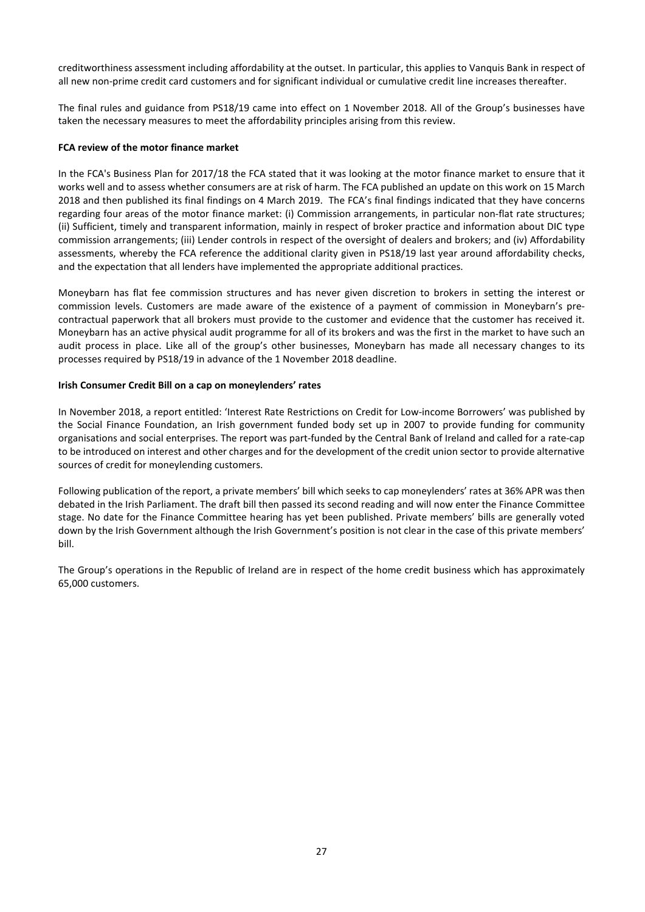creditworthiness assessment including affordability at the outset. In particular, this applies to Vanquis Bank in respect of all new non-prime credit card customers and for significant individual or cumulative credit line increases thereafter.

The final rules and guidance from PS18/19 came into effect on 1 November 2018. All of the Group's businesses have taken the necessary measures to meet the affordability principles arising from this review.

## **FCA review of the motor finance market**

In the FCA's Business Plan for 2017/18 the FCA stated that it was looking at the motor finance market to ensure that it works well and to assess whether consumers are at risk of harm. The FCA published an update on this work on 15 March 2018 and then published its final findings on 4 March 2019. The FCA's final findings indicated that they have concerns regarding four areas of the motor finance market: (i) Commission arrangements, in particular non-flat rate structures; (ii) Sufficient, timely and transparent information, mainly in respect of broker practice and information about DIC type commission arrangements; (iii) Lender controls in respect of the oversight of dealers and brokers; and (iv) Affordability assessments, whereby the FCA reference the additional clarity given in PS18/19 last year around affordability checks, and the expectation that all lenders have implemented the appropriate additional practices.

Moneybarn has flat fee commission structures and has never given discretion to brokers in setting the interest or commission levels. Customers are made aware of the existence of a payment of commission in Moneybarn's precontractual paperwork that all brokers must provide to the customer and evidence that the customer has received it. Moneybarn has an active physical audit programme for all of its brokers and was the first in the market to have such an audit process in place. Like all of the group's other businesses, Moneybarn has made all necessary changes to its processes required by PS18/19 in advance of the 1 November 2018 deadline.

#### **Irish Consumer Credit Bill on a cap on moneylenders' rates**

In November 2018, a report entitled: 'Interest Rate Restrictions on Credit for Low-income Borrowers' was published by the Social Finance Foundation, an Irish government funded body set up in 2007 to provide funding for community organisations and social enterprises. The report was part-funded by the Central Bank of Ireland and called for a rate-cap to be introduced on interest and other charges and for the development of the credit union sector to provide alternative sources of credit for moneylending customers.

Following publication of the report, a private members' bill which seeks to cap moneylenders' rates at 36% APR was then debated in the Irish Parliament. The draft bill then passed its second reading and will now enter the Finance Committee stage. No date for the Finance Committee hearing has yet been published. Private members' bills are generally voted down by the Irish Government although the Irish Government's position is not clear in the case of this private members' bill.

The Group's operations in the Republic of Ireland are in respect of the home credit business which has approximately 65,000 customers.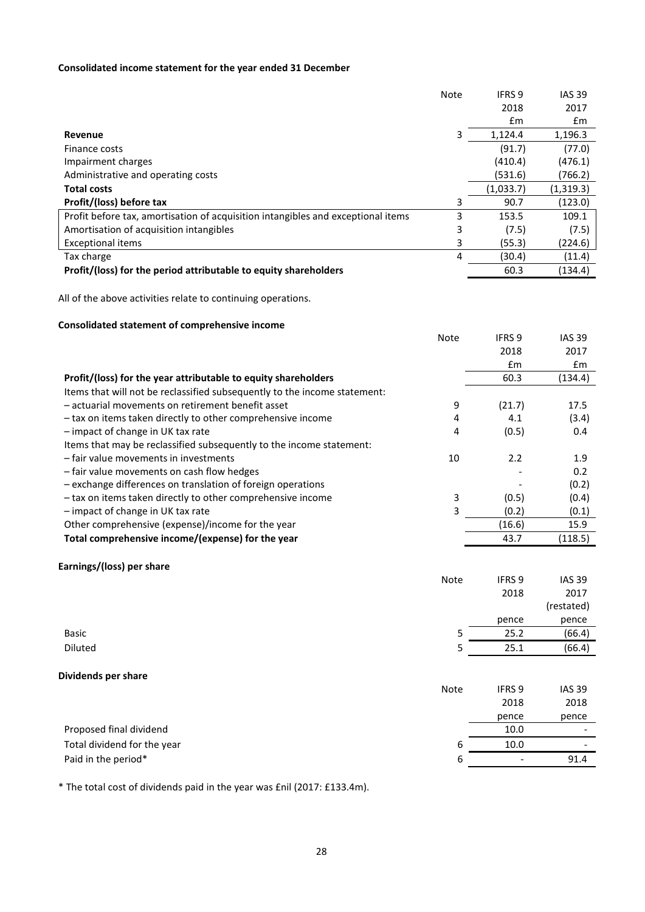# **Consolidated income statement for the year ended 31 December**

|                                                                                  | <b>Note</b> | IFRS 9    | <b>IAS 39</b> |
|----------------------------------------------------------------------------------|-------------|-----------|---------------|
|                                                                                  |             | 2018      | 2017          |
|                                                                                  |             | £m        | £m            |
| Revenue                                                                          | 3           | 1,124.4   | 1,196.3       |
| Finance costs                                                                    |             | (91.7)    | (77.0)        |
| Impairment charges                                                               |             | (410.4)   | (476.1)       |
| Administrative and operating costs                                               |             | (531.6)   | (766.2)       |
| <b>Total costs</b>                                                               |             | (1,033.7) | (1,319.3)     |
| Profit/(loss) before tax                                                         | 3           | 90.7      | (123.0)       |
| Profit before tax, amortisation of acquisition intangibles and exceptional items | 3           | 153.5     | 109.1         |
| Amortisation of acquisition intangibles                                          | 3           | (7.5)     | (7.5)         |
| <b>Exceptional items</b>                                                         | 3           | (55.3)    | (224.6)       |
| Tax charge                                                                       | 4           | (30.4)    | (11.4)        |
| Profit/(loss) for the period attributable to equity shareholders                 |             | 60.3      | (134.4)       |

All of the above activities relate to continuing operations.

## **Consolidated statement of comprehensive income**

|                                                                           | <b>Note</b> | IFRS 9 | <b>IAS 39</b> |
|---------------------------------------------------------------------------|-------------|--------|---------------|
|                                                                           |             | 2018   | 2017          |
|                                                                           |             | Em     | £m            |
| Profit/(loss) for the year attributable to equity shareholders            |             | 60.3   | (134.4)       |
| Items that will not be reclassified subsequently to the income statement: |             |        |               |
| - actuarial movements on retirement benefit asset                         | 9           | (21.7) | 17.5          |
| - tax on items taken directly to other comprehensive income               | 4           | 4.1    | (3.4)         |
| - impact of change in UK tax rate                                         | 4           | (0.5)  | 0.4           |
| Items that may be reclassified subsequently to the income statement:      |             |        |               |
| - fair value movements in investments                                     | 10          | 2.2    | 1.9           |
| - fair value movements on cash flow hedges                                |             |        | 0.2           |
| - exchange differences on translation of foreign operations               |             |        | (0.2)         |
| - tax on items taken directly to other comprehensive income               | 3           | (0.5)  | (0.4)         |
| - impact of change in UK tax rate                                         | 3           | (0.2)  | (0.1)         |
| Other comprehensive (expense)/income for the year                         |             | (16.6) | 15.9          |
| Total comprehensive income/(expense) for the year                         |             | 43.7   | (118.5)       |

# **Earnings/(loss) per share**

|                             | Note | IFRS <sub>9</sub> | <b>IAS 39</b>            |
|-----------------------------|------|-------------------|--------------------------|
|                             |      | 2018              | 2017                     |
|                             |      |                   | (restated)               |
|                             |      | pence             | pence                    |
| Basic                       | 5    | 25.2              | (66.4)                   |
| Diluted                     | 5    | 25.1              | (66.4)                   |
| Dividends per share         |      |                   |                          |
|                             | Note | IFRS <sub>9</sub> | <b>IAS 39</b>            |
|                             |      | 2018              | 2018                     |
|                             |      | pence             | pence                    |
| Proposed final dividend     |      | 10.0              |                          |
| Total dividend for the year | 6    | 10.0              | $\overline{\phantom{a}}$ |

Paid in the period\*  $\overline{91.4}$ 

\* The total cost of dividends paid in the year was £nil (2017: £133.4m).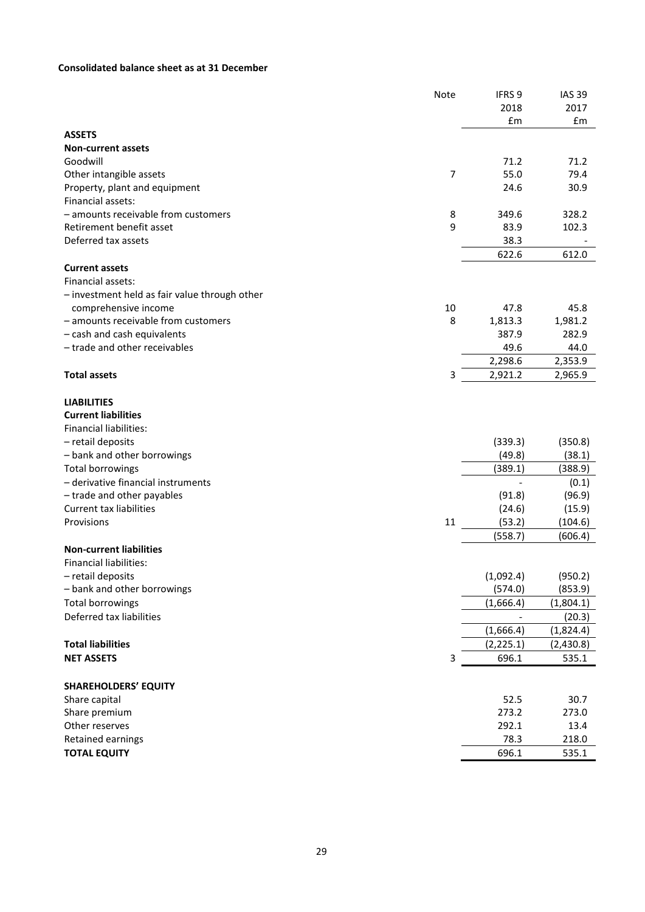# **Consolidated balance sheet as at 31 December**

|                                               | Note           | IFRS <sub>9</sub> | <b>IAS 39</b> |
|-----------------------------------------------|----------------|-------------------|---------------|
|                                               |                | 2018              | 2017          |
|                                               |                | £m                | £m            |
| <b>ASSETS</b>                                 |                |                   |               |
| <b>Non-current assets</b>                     |                |                   |               |
| Goodwill                                      |                | 71.2              | 71.2          |
| Other intangible assets                       | $\overline{7}$ | 55.0              | 79.4          |
| Property, plant and equipment                 |                | 24.6              | 30.9          |
| Financial assets:                             |                |                   |               |
| - amounts receivable from customers           | 8              | 349.6             | 328.2         |
| Retirement benefit asset                      | 9              | 83.9              | 102.3         |
| Deferred tax assets                           |                | 38.3              |               |
|                                               |                | 622.6             | 612.0         |
| <b>Current assets</b>                         |                |                   |               |
| Financial assets:                             |                |                   |               |
| - investment held as fair value through other |                |                   |               |
| comprehensive income                          | 10             | 47.8              | 45.8          |
| - amounts receivable from customers           | 8              | 1,813.3           | 1,981.2       |
| - cash and cash equivalents                   |                | 387.9             | 282.9         |
| - trade and other receivables                 |                | 49.6              | 44.0          |
|                                               |                | 2,298.6           | 2,353.9       |
| <b>Total assets</b>                           | 3              | 2,921.2           | 2,965.9       |
|                                               |                |                   |               |
| <b>LIABILITIES</b>                            |                |                   |               |
| <b>Current liabilities</b>                    |                |                   |               |
| <b>Financial liabilities:</b>                 |                |                   |               |
| - retail deposits                             |                | (339.3)           | (350.8)       |
| - bank and other borrowings                   |                | (49.8)            | (38.1)        |
| <b>Total borrowings</b>                       |                | (389.1)           | (388.9)       |
| - derivative financial instruments            |                |                   | (0.1)         |
| - trade and other payables                    |                | (91.8)            | (96.9)        |
| <b>Current tax liabilities</b>                |                | (24.6)            | (15.9)        |
| Provisions                                    | 11             | (53.2)            | (104.6)       |
|                                               |                | (558.7)           | (606.4)       |
| <b>Non-current liabilities</b>                |                |                   |               |
| <b>Financial liabilities:</b>                 |                |                   |               |
| - retail deposits                             |                | (1,092.4)         | (950.2)       |
| - bank and other borrowings                   |                | (574.0)           | (853.9)       |
| <b>Total borrowings</b>                       |                | (1,666.4)         | (1,804.1)     |
| Deferred tax liabilities                      |                |                   | (20.3)        |
|                                               |                | (1,666.4)         | (1,824.4)     |
| <b>Total liabilities</b>                      |                | (2, 225.1)        | (2,430.8)     |
| <b>NET ASSETS</b>                             | 3              | 696.1             | 535.1         |
|                                               |                |                   |               |
| <b>SHAREHOLDERS' EQUITY</b>                   |                |                   |               |
| Share capital                                 |                | 52.5              | 30.7          |
| Share premium                                 |                | 273.2             | 273.0         |
| Other reserves                                |                | 292.1             | 13.4          |
| Retained earnings                             |                | 78.3              | 218.0         |
| <b>TOTAL EQUITY</b>                           |                | 696.1             | 535.1         |
|                                               |                |                   |               |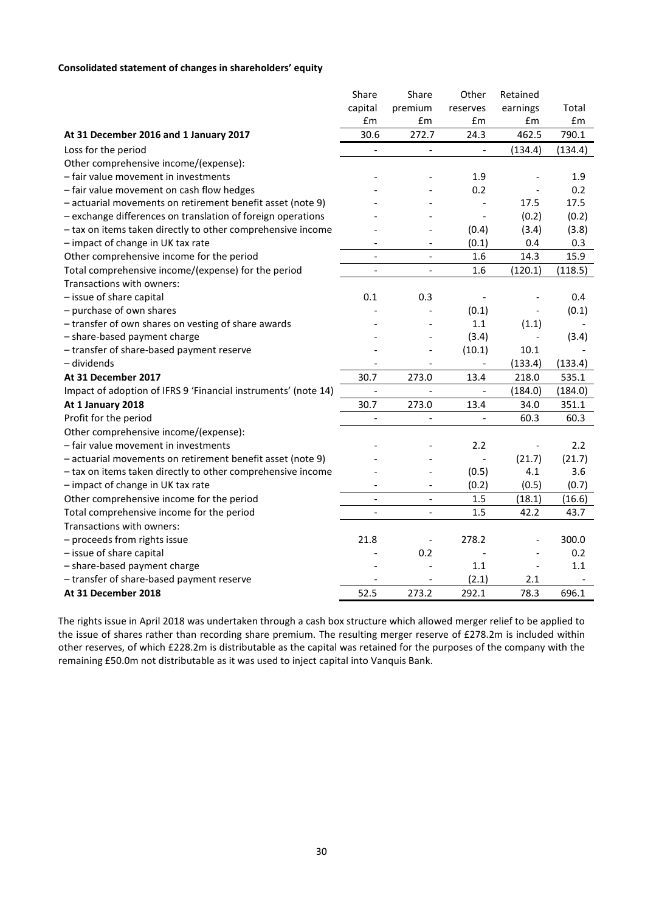# **Consolidated statement of changes in shareholders' equity**

|                                                                | Share                    | Share                    | Other                    | Retained                 |         |
|----------------------------------------------------------------|--------------------------|--------------------------|--------------------------|--------------------------|---------|
|                                                                | capital                  | premium                  | reserves                 | earnings                 | Total   |
|                                                                | £m                       | £m                       | £m                       | £m                       | £m      |
| At 31 December 2016 and 1 January 2017                         | 30.6                     | 272.7                    | 24.3                     | 462.5                    | 790.1   |
| Loss for the period                                            | $\overline{\phantom{a}}$ | $\blacksquare$           | $\Box$                   | (134.4)                  | (134.4) |
| Other comprehensive income/(expense):                          |                          |                          |                          |                          |         |
| - fair value movement in investments                           |                          |                          | 1.9                      |                          | 1.9     |
| - fair value movement on cash flow hedges                      |                          |                          | 0.2                      |                          | 0.2     |
| - actuarial movements on retirement benefit asset (note 9)     |                          |                          |                          | 17.5                     | 17.5    |
| - exchange differences on translation of foreign operations    |                          |                          | $\overline{\phantom{a}}$ | (0.2)                    | (0.2)   |
| - tax on items taken directly to other comprehensive income    |                          |                          | (0.4)                    | (3.4)                    | (3.8)   |
| - impact of change in UK tax rate                              |                          |                          | (0.1)                    | 0.4                      | 0.3     |
| Other comprehensive income for the period                      | $\overline{\phantom{a}}$ |                          | 1.6                      | 14.3                     | 15.9    |
| Total comprehensive income/(expense) for the period            |                          |                          | 1.6                      | (120.1)                  | (118.5) |
| Transactions with owners:                                      |                          |                          |                          |                          |         |
| - issue of share capital                                       | 0.1                      | 0.3                      |                          |                          | 0.4     |
| - purchase of own shares                                       |                          |                          | (0.1)                    | $\overline{\phantom{a}}$ | (0.1)   |
| - transfer of own shares on vesting of share awards            |                          |                          | 1.1                      | (1.1)                    |         |
| - share-based payment charge                                   |                          |                          | (3.4)                    |                          | (3.4)   |
| - transfer of share-based payment reserve                      |                          |                          | (10.1)                   | 10.1                     |         |
| - dividends                                                    |                          |                          | $\overline{\phantom{a}}$ | (133.4)                  | (133.4) |
| At 31 December 2017                                            | 30.7                     | 273.0                    | 13.4                     | 218.0                    | 535.1   |
| Impact of adoption of IFRS 9 'Financial instruments' (note 14) | $\overline{\phantom{a}}$ |                          | $\overline{\phantom{a}}$ | (184.0)                  | (184.0) |
| At 1 January 2018                                              | 30.7                     | 273.0                    | 13.4                     | 34.0                     | 351.1   |
| Profit for the period                                          |                          | $\qquad \qquad -$        | $\overline{\phantom{a}}$ | 60.3                     | 60.3    |
| Other comprehensive income/(expense):                          |                          |                          |                          |                          |         |
| - fair value movement in investments                           |                          |                          | 2.2                      | $\qquad \qquad -$        | 2.2     |
| - actuarial movements on retirement benefit asset (note 9)     |                          |                          |                          | (21.7)                   | (21.7)  |
| - tax on items taken directly to other comprehensive income    |                          |                          | (0.5)                    | 4.1                      | 3.6     |
| - impact of change in UK tax rate                              |                          | $\overline{a}$           | (0.2)                    | (0.5)                    | (0.7)   |
| Other comprehensive income for the period                      | $\blacksquare$           | $\overline{\phantom{a}}$ | 1.5                      | (18.1)                   | (16.6)  |
| Total comprehensive income for the period                      | $\overline{\phantom{a}}$ | $\overline{\phantom{a}}$ | 1.5                      | 42.2                     | 43.7    |
| Transactions with owners:                                      |                          |                          |                          |                          |         |
| - proceeds from rights issue                                   | 21.8                     |                          | 278.2                    |                          | 300.0   |
| - issue of share capital                                       |                          | 0.2                      |                          |                          | 0.2     |
| - share-based payment charge                                   |                          |                          | 1.1                      | $\overline{\phantom{a}}$ | 1.1     |
| - transfer of share-based payment reserve                      |                          |                          | (2.1)                    | 2.1                      |         |
| At 31 December 2018                                            | 52.5                     | 273.2                    | 292.1                    | 78.3                     | 696.1   |

The rights issue in April 2018 was undertaken through a cash box structure which allowed merger relief to be applied to the issue of shares rather than recording share premium. The resulting merger reserve of £278.2m is included within other reserves, of which £228.2m is distributable as the capital was retained for the purposes of the company with the remaining £50.0m not distributable as it was used to inject capital into Vanquis Bank.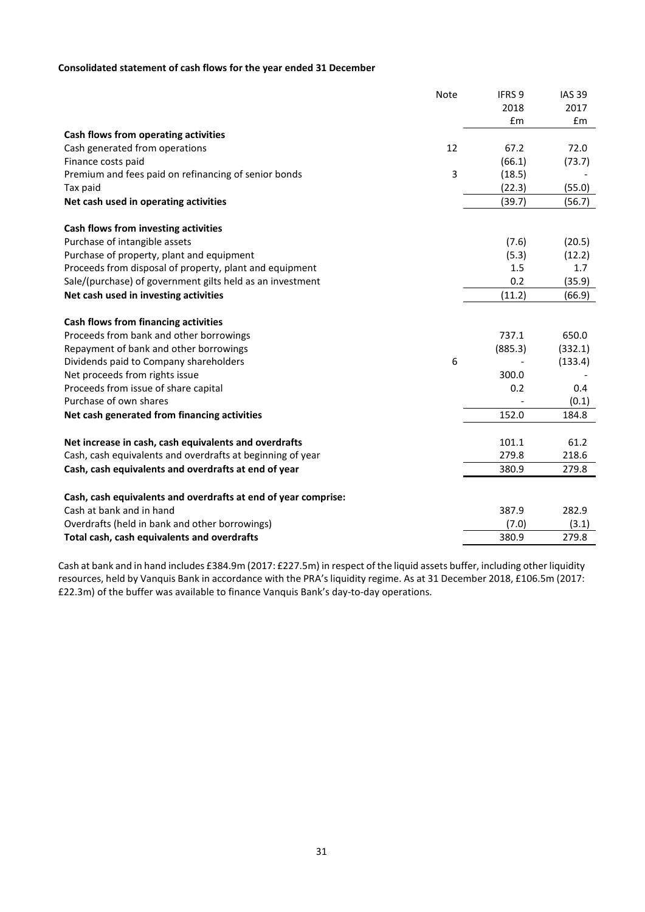# **Consolidated statement of cash flows for the year ended 31 December**

| 2018<br>2017<br>£m<br>£m<br>Cash flows from operating activities<br>12<br>Cash generated from operations<br>67.2<br>72.0<br>Finance costs paid<br>(66.1)<br>(73.7)<br>3<br>Premium and fees paid on refinancing of senior bonds<br>(18.5)<br>(55.0)<br>(22.3)<br>Tax paid<br>Net cash used in operating activities<br>(39.7)<br>(56.7)<br>Cash flows from investing activities<br>Purchase of intangible assets<br>(7.6)<br>(20.5)<br>Purchase of property, plant and equipment<br>(5.3)<br>(12.2)<br>Proceeds from disposal of property, plant and equipment<br>1.5<br>1.7<br>0.2<br>Sale/(purchase) of government gilts held as an investment<br>(35.9)<br>Net cash used in investing activities<br>(11.2)<br>(66.9)<br>Cash flows from financing activities<br>Proceeds from bank and other borrowings<br>737.1<br>650.0<br>Repayment of bank and other borrowings<br>(885.3)<br>(332.1)<br>6<br>Dividends paid to Company shareholders<br>(133.4)<br>Net proceeds from rights issue<br>300.0<br>Proceeds from issue of share capital<br>0.2<br>0.4<br>Purchase of own shares<br>(0.1)<br>Net cash generated from financing activities<br>152.0<br>184.8<br>101.1<br>Net increase in cash, cash equivalents and overdrafts<br>61.2<br>Cash, cash equivalents and overdrafts at beginning of year<br>279.8<br>218.6<br>Cash, cash equivalents and overdrafts at end of year<br>380.9<br>279.8<br>Cash, cash equivalents and overdrafts at end of year comprise:<br>Cash at bank and in hand<br>387.9<br>282.9<br>Overdrafts (held in bank and other borrowings)<br>(3.1)<br>(7.0) | Note | IFRS <sub>9</sub> | <b>IAS 39</b> |
|-------------------------------------------------------------------------------------------------------------------------------------------------------------------------------------------------------------------------------------------------------------------------------------------------------------------------------------------------------------------------------------------------------------------------------------------------------------------------------------------------------------------------------------------------------------------------------------------------------------------------------------------------------------------------------------------------------------------------------------------------------------------------------------------------------------------------------------------------------------------------------------------------------------------------------------------------------------------------------------------------------------------------------------------------------------------------------------------------------------------------------------------------------------------------------------------------------------------------------------------------------------------------------------------------------------------------------------------------------------------------------------------------------------------------------------------------------------------------------------------------------------------------------------------------------------------------------------|------|-------------------|---------------|
|                                                                                                                                                                                                                                                                                                                                                                                                                                                                                                                                                                                                                                                                                                                                                                                                                                                                                                                                                                                                                                                                                                                                                                                                                                                                                                                                                                                                                                                                                                                                                                                     |      |                   |               |
|                                                                                                                                                                                                                                                                                                                                                                                                                                                                                                                                                                                                                                                                                                                                                                                                                                                                                                                                                                                                                                                                                                                                                                                                                                                                                                                                                                                                                                                                                                                                                                                     |      |                   |               |
|                                                                                                                                                                                                                                                                                                                                                                                                                                                                                                                                                                                                                                                                                                                                                                                                                                                                                                                                                                                                                                                                                                                                                                                                                                                                                                                                                                                                                                                                                                                                                                                     |      |                   |               |
|                                                                                                                                                                                                                                                                                                                                                                                                                                                                                                                                                                                                                                                                                                                                                                                                                                                                                                                                                                                                                                                                                                                                                                                                                                                                                                                                                                                                                                                                                                                                                                                     |      |                   |               |
|                                                                                                                                                                                                                                                                                                                                                                                                                                                                                                                                                                                                                                                                                                                                                                                                                                                                                                                                                                                                                                                                                                                                                                                                                                                                                                                                                                                                                                                                                                                                                                                     |      |                   |               |
|                                                                                                                                                                                                                                                                                                                                                                                                                                                                                                                                                                                                                                                                                                                                                                                                                                                                                                                                                                                                                                                                                                                                                                                                                                                                                                                                                                                                                                                                                                                                                                                     |      |                   |               |
|                                                                                                                                                                                                                                                                                                                                                                                                                                                                                                                                                                                                                                                                                                                                                                                                                                                                                                                                                                                                                                                                                                                                                                                                                                                                                                                                                                                                                                                                                                                                                                                     |      |                   |               |
|                                                                                                                                                                                                                                                                                                                                                                                                                                                                                                                                                                                                                                                                                                                                                                                                                                                                                                                                                                                                                                                                                                                                                                                                                                                                                                                                                                                                                                                                                                                                                                                     |      |                   |               |
|                                                                                                                                                                                                                                                                                                                                                                                                                                                                                                                                                                                                                                                                                                                                                                                                                                                                                                                                                                                                                                                                                                                                                                                                                                                                                                                                                                                                                                                                                                                                                                                     |      |                   |               |
|                                                                                                                                                                                                                                                                                                                                                                                                                                                                                                                                                                                                                                                                                                                                                                                                                                                                                                                                                                                                                                                                                                                                                                                                                                                                                                                                                                                                                                                                                                                                                                                     |      |                   |               |
|                                                                                                                                                                                                                                                                                                                                                                                                                                                                                                                                                                                                                                                                                                                                                                                                                                                                                                                                                                                                                                                                                                                                                                                                                                                                                                                                                                                                                                                                                                                                                                                     |      |                   |               |
|                                                                                                                                                                                                                                                                                                                                                                                                                                                                                                                                                                                                                                                                                                                                                                                                                                                                                                                                                                                                                                                                                                                                                                                                                                                                                                                                                                                                                                                                                                                                                                                     |      |                   |               |
|                                                                                                                                                                                                                                                                                                                                                                                                                                                                                                                                                                                                                                                                                                                                                                                                                                                                                                                                                                                                                                                                                                                                                                                                                                                                                                                                                                                                                                                                                                                                                                                     |      |                   |               |
|                                                                                                                                                                                                                                                                                                                                                                                                                                                                                                                                                                                                                                                                                                                                                                                                                                                                                                                                                                                                                                                                                                                                                                                                                                                                                                                                                                                                                                                                                                                                                                                     |      |                   |               |
|                                                                                                                                                                                                                                                                                                                                                                                                                                                                                                                                                                                                                                                                                                                                                                                                                                                                                                                                                                                                                                                                                                                                                                                                                                                                                                                                                                                                                                                                                                                                                                                     |      |                   |               |
|                                                                                                                                                                                                                                                                                                                                                                                                                                                                                                                                                                                                                                                                                                                                                                                                                                                                                                                                                                                                                                                                                                                                                                                                                                                                                                                                                                                                                                                                                                                                                                                     |      |                   |               |
|                                                                                                                                                                                                                                                                                                                                                                                                                                                                                                                                                                                                                                                                                                                                                                                                                                                                                                                                                                                                                                                                                                                                                                                                                                                                                                                                                                                                                                                                                                                                                                                     |      |                   |               |
|                                                                                                                                                                                                                                                                                                                                                                                                                                                                                                                                                                                                                                                                                                                                                                                                                                                                                                                                                                                                                                                                                                                                                                                                                                                                                                                                                                                                                                                                                                                                                                                     |      |                   |               |
|                                                                                                                                                                                                                                                                                                                                                                                                                                                                                                                                                                                                                                                                                                                                                                                                                                                                                                                                                                                                                                                                                                                                                                                                                                                                                                                                                                                                                                                                                                                                                                                     |      |                   |               |
|                                                                                                                                                                                                                                                                                                                                                                                                                                                                                                                                                                                                                                                                                                                                                                                                                                                                                                                                                                                                                                                                                                                                                                                                                                                                                                                                                                                                                                                                                                                                                                                     |      |                   |               |
|                                                                                                                                                                                                                                                                                                                                                                                                                                                                                                                                                                                                                                                                                                                                                                                                                                                                                                                                                                                                                                                                                                                                                                                                                                                                                                                                                                                                                                                                                                                                                                                     |      |                   |               |
|                                                                                                                                                                                                                                                                                                                                                                                                                                                                                                                                                                                                                                                                                                                                                                                                                                                                                                                                                                                                                                                                                                                                                                                                                                                                                                                                                                                                                                                                                                                                                                                     |      |                   |               |
|                                                                                                                                                                                                                                                                                                                                                                                                                                                                                                                                                                                                                                                                                                                                                                                                                                                                                                                                                                                                                                                                                                                                                                                                                                                                                                                                                                                                                                                                                                                                                                                     |      |                   |               |
|                                                                                                                                                                                                                                                                                                                                                                                                                                                                                                                                                                                                                                                                                                                                                                                                                                                                                                                                                                                                                                                                                                                                                                                                                                                                                                                                                                                                                                                                                                                                                                                     |      |                   |               |
|                                                                                                                                                                                                                                                                                                                                                                                                                                                                                                                                                                                                                                                                                                                                                                                                                                                                                                                                                                                                                                                                                                                                                                                                                                                                                                                                                                                                                                                                                                                                                                                     |      |                   |               |
|                                                                                                                                                                                                                                                                                                                                                                                                                                                                                                                                                                                                                                                                                                                                                                                                                                                                                                                                                                                                                                                                                                                                                                                                                                                                                                                                                                                                                                                                                                                                                                                     |      |                   |               |
|                                                                                                                                                                                                                                                                                                                                                                                                                                                                                                                                                                                                                                                                                                                                                                                                                                                                                                                                                                                                                                                                                                                                                                                                                                                                                                                                                                                                                                                                                                                                                                                     |      |                   |               |
|                                                                                                                                                                                                                                                                                                                                                                                                                                                                                                                                                                                                                                                                                                                                                                                                                                                                                                                                                                                                                                                                                                                                                                                                                                                                                                                                                                                                                                                                                                                                                                                     |      |                   |               |
| Total cash, cash equivalents and overdrafts<br>380.9<br>279.8                                                                                                                                                                                                                                                                                                                                                                                                                                                                                                                                                                                                                                                                                                                                                                                                                                                                                                                                                                                                                                                                                                                                                                                                                                                                                                                                                                                                                                                                                                                       |      |                   |               |

Cash at bank and in hand includes £384.9m (2017: £227.5m) in respect of the liquid assets buffer, including other liquidity resources, held by Vanquis Bank in accordance with the PRA's liquidity regime. As at 31 December 2018, £106.5m (2017: £22.3m) of the buffer was available to finance Vanquis Bank's day-to-day operations.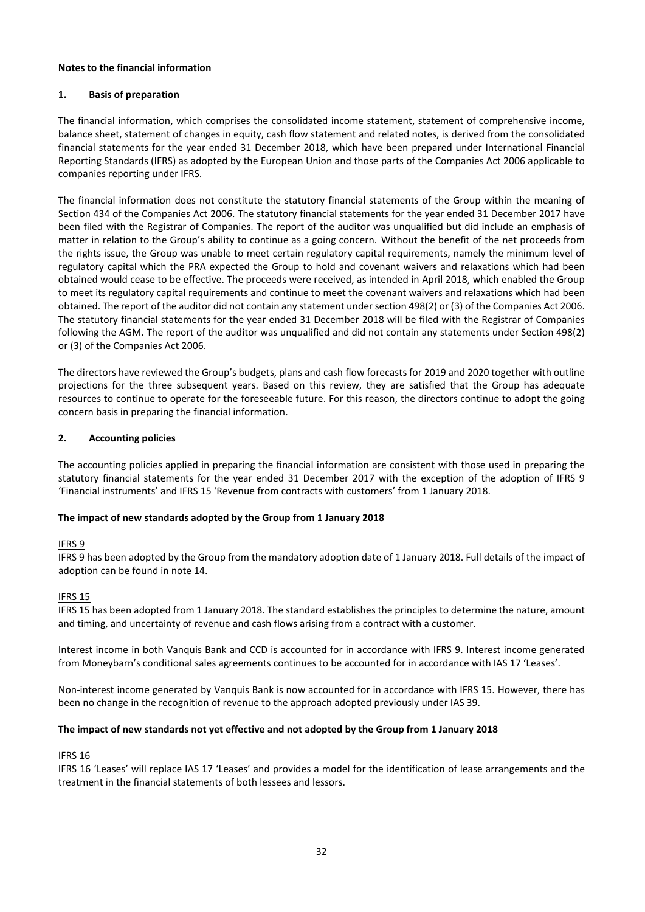## **Notes to the financial information**

## **1. Basis of preparation**

The financial information, which comprises the consolidated income statement, statement of comprehensive income, balance sheet, statement of changes in equity, cash flow statement and related notes, is derived from the consolidated financial statements for the year ended 31 December 2018, which have been prepared under International Financial Reporting Standards (IFRS) as adopted by the European Union and those parts of the Companies Act 2006 applicable to companies reporting under IFRS.

The financial information does not constitute the statutory financial statements of the Group within the meaning of Section 434 of the Companies Act 2006. The statutory financial statements for the year ended 31 December 2017 have been filed with the Registrar of Companies. The report of the auditor was unqualified but did include an emphasis of matter in relation to the Group's ability to continue as a going concern. Without the benefit of the net proceeds from the rights issue, the Group was unable to meet certain regulatory capital requirements, namely the minimum level of regulatory capital which the PRA expected the Group to hold and covenant waivers and relaxations which had been obtained would cease to be effective. The proceeds were received, as intended in April 2018, which enabled the Group to meet its regulatory capital requirements and continue to meet the covenant waivers and relaxations which had been obtained. The report of the auditor did not contain any statement under section 498(2) or (3) of the Companies Act 2006. The statutory financial statements for the year ended 31 December 2018 will be filed with the Registrar of Companies following the AGM. The report of the auditor was unqualified and did not contain any statements under Section 498(2) or (3) of the Companies Act 2006.

The directors have reviewed the Group's budgets, plans and cash flow forecasts for 2019 and 2020 together with outline projections for the three subsequent years. Based on this review, they are satisfied that the Group has adequate resources to continue to operate for the foreseeable future. For this reason, the directors continue to adopt the going concern basis in preparing the financial information.

## **2. Accounting policies**

The accounting policies applied in preparing the financial information are consistent with those used in preparing the statutory financial statements for the year ended 31 December 2017 with the exception of the adoption of IFRS 9 'Financial instruments' and IFRS 15 'Revenue from contracts with customers' from 1 January 2018.

#### **The impact of new standards adopted by the Group from 1 January 2018**

#### IFRS 9

IFRS 9 has been adopted by the Group from the mandatory adoption date of 1 January 2018. Full details of the impact of adoption can be found in note 14.

#### **IFRS 15**

IFRS 15 has been adopted from 1 January 2018. The standard establishes the principles to determine the nature, amount and timing, and uncertainty of revenue and cash flows arising from a contract with a customer.

Interest income in both Vanquis Bank and CCD is accounted for in accordance with IFRS 9. Interest income generated from Moneybarn's conditional sales agreements continues to be accounted for in accordance with IAS 17 'Leases'.

Non-interest income generated by Vanquis Bank is now accounted for in accordance with IFRS 15. However, there has been no change in the recognition of revenue to the approach adopted previously under IAS 39.

## **The impact of new standards not yet effective and not adopted by the Group from 1 January 2018**

# IFRS 16

IFRS 16 'Leases' will replace IAS 17 'Leases' and provides a model for the identification of lease arrangements and the treatment in the financial statements of both lessees and lessors.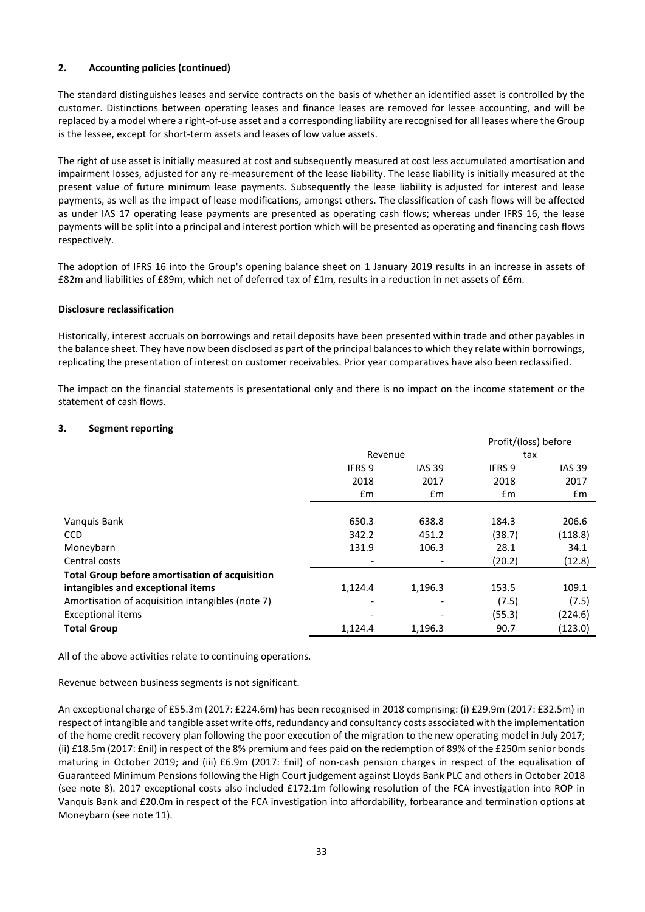# **2. Accounting policies (continued)**

The standard distinguishes leases and service contracts on the basis of whether an identified asset is controlled by the customer. Distinctions between operating leases and finance leases are removed for lessee accounting, and will be replaced by a model where a right-of-use asset and a corresponding liability are recognised for all leases where the Group is the lessee, except for short-term assets and leases of low value assets.

The right of use asset is initially measured at cost and subsequently measured at cost less accumulated amortisation and impairment losses, adjusted for any re-measurement of the lease liability. The lease liability is initially measured at the present value of future minimum lease payments. Subsequently the lease liability is adjusted for interest and lease payments, as well as the impact of lease modifications, amongst others. The classification of cash flows will be affected as under IAS 17 operating lease payments are presented as operating cash flows; whereas under IFRS 16, the lease payments will be split into a principal and interest portion which will be presented as operating and financing cash flows respectively.

The adoption of IFRS 16 into the Group's opening balance sheet on 1 January 2019 results in an increase in assets of £82m and liabilities of £89m, which net of deferred tax of £1m, results in a reduction in net assets of £6m.

## **Disclosure reclassification**

Historically, interest accruals on borrowings and retail deposits have been presented within trade and other payables in the balance sheet. They have now been disclosed as part of the principal balances to which they relate within borrowings, replicating the presentation of interest on customer receivables. Prior year comparatives have also been reclassified.

The impact on the financial statements is presentational only and there is no impact on the income statement or the statement of cash flows.

# **3. Segment reporting**

|                                                       |                          |               | Profit/(loss) before |               |
|-------------------------------------------------------|--------------------------|---------------|----------------------|---------------|
|                                                       | Revenue                  |               | tax                  |               |
|                                                       | <b>IFRS 9</b>            | <b>IAS 39</b> | IFRS 9               | <b>IAS 39</b> |
|                                                       | 2018                     | 2017          | 2018                 | 2017          |
|                                                       | $\mathsf{fm}$            | $\mathsf{fm}$ | Em                   | £m            |
|                                                       |                          |               |                      |               |
| Vanquis Bank                                          | 650.3                    | 638.8         | 184.3                | 206.6         |
| <b>CCD</b>                                            | 342.2                    | 451.2         | (38.7)               | (118.8)       |
| Moneybarn                                             | 131.9                    | 106.3         | 28.1                 | 34.1          |
| Central costs                                         | $\overline{\phantom{a}}$ |               | (20.2)               | (12.8)        |
| <b>Total Group before amortisation of acquisition</b> |                          |               |                      |               |
| intangibles and exceptional items                     | 1,124.4                  | 1,196.3       | 153.5                | 109.1         |
| Amortisation of acquisition intangibles (note 7)      | $\overline{\phantom{0}}$ |               | (7.5)                | (7.5)         |
| <b>Exceptional items</b>                              | ۰                        |               | (55.3)               | (224.6)       |
| <b>Total Group</b>                                    | 1,124.4                  | 1,196.3       | 90.7                 | (123.0)       |

All of the above activities relate to continuing operations.

## Revenue between business segments is not significant.

An exceptional charge of £55.3m (2017: £224.6m) has been recognised in 2018 comprising: (i) £29.9m (2017: £32.5m) in respect of intangible and tangible asset write offs, redundancy and consultancy costs associated with the implementation of the home credit recovery plan following the poor execution of the migration to the new operating model in July 2017; (ii) £18.5m (2017: £nil) in respect of the 8% premium and fees paid on the redemption of 89% of the £250m senior bonds maturing in October 2019; and (iii) £6.9m (2017: £nil) of non-cash pension charges in respect of the equalisation of Guaranteed Minimum Pensions following the High Court judgement against Lloyds Bank PLC and others in October 2018 (see note 8). 2017 exceptional costs also included £172.1m following resolution of the FCA investigation into ROP in Vanquis Bank and £20.0m in respect of the FCA investigation into affordability, forbearance and termination options at Moneybarn (see note 11).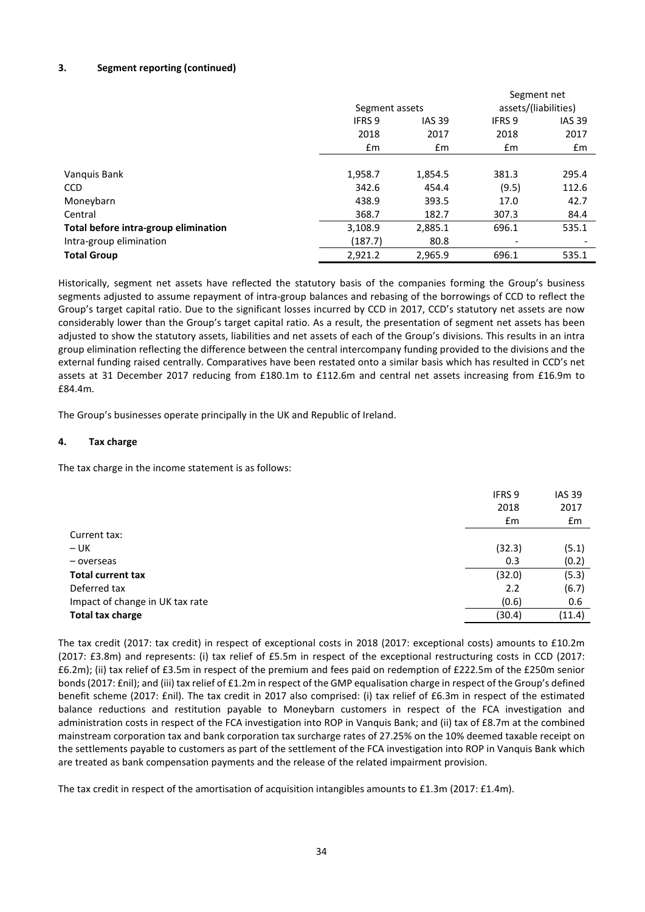# **3. Segment reporting (continued)**

|                                      |                |               | Segment net              |                      |  |
|--------------------------------------|----------------|---------------|--------------------------|----------------------|--|
|                                      | Segment assets |               |                          | assets/(liabilities) |  |
|                                      | <b>IFRS 9</b>  | <b>IAS 39</b> |                          | <b>IAS 39</b>        |  |
|                                      | 2018           | 2017          | 2018                     | 2017                 |  |
|                                      | Em             | $\mathsf{fm}$ | $\mathsf{fm}$            | £m                   |  |
|                                      |                |               |                          |                      |  |
| Vanquis Bank                         | 1,958.7        | 1,854.5       | 381.3                    | 295.4                |  |
| CCD                                  | 342.6          | 454.4         | (9.5)                    | 112.6                |  |
| Moneybarn                            | 438.9          | 393.5         | 17.0                     | 42.7                 |  |
| Central                              | 368.7          | 182.7         | 307.3                    | 84.4                 |  |
| Total before intra-group elimination | 3,108.9        | 2,885.1       | 696.1                    | 535.1                |  |
| Intra-group elimination              | (187.7)        | 80.8          | $\overline{\phantom{a}}$ |                      |  |
| <b>Total Group</b>                   | 2,921.2        | 2,965.9       | 696.1                    | 535.1                |  |

Historically, segment net assets have reflected the statutory basis of the companies forming the Group's business segments adjusted to assume repayment of intra-group balances and rebasing of the borrowings of CCD to reflect the Group's target capital ratio. Due to the significant losses incurred by CCD in 2017, CCD's statutory net assets are now considerably lower than the Group's target capital ratio. As a result, the presentation of segment net assets has been adjusted to show the statutory assets, liabilities and net assets of each of the Group's divisions. This results in an intra group elimination reflecting the difference between the central intercompany funding provided to the divisions and the external funding raised centrally. Comparatives have been restated onto a similar basis which has resulted in CCD's net assets at 31 December 2017 reducing from £180.1m to £112.6m and central net assets increasing from £16.9m to £84.4m.

The Group's businesses operate principally in the UK and Republic of Ireland.

# **4. Tax charge**

The tax charge in the income statement is as follows:

|                                 | IFRS 9<br>2018<br>£m | <b>IAS 39</b><br>2017<br>£m |
|---------------------------------|----------------------|-----------------------------|
| Current tax:                    |                      |                             |
| $- UK$                          | (32.3)               | (5.1)                       |
| - overseas                      | 0.3                  | (0.2)                       |
| <b>Total current tax</b>        | (32.0)               | (5.3)                       |
| Deferred tax                    | 2.2                  | (6.7)                       |
| Impact of change in UK tax rate | (0.6)                | 0.6                         |
| <b>Total tax charge</b>         | (30.4)               | (11.4)                      |
|                                 |                      |                             |

The tax credit (2017: tax credit) in respect of exceptional costs in 2018 (2017: exceptional costs) amounts to £10.2m (2017: £3.8m) and represents: (i) tax relief of £5.5m in respect of the exceptional restructuring costs in CCD (2017: £6.2m); (ii) tax relief of £3.5m in respect of the premium and fees paid on redemption of £222.5m of the £250m senior bonds (2017: £nil); and (iii) tax relief of £1.2m in respect of the GMP equalisation charge in respect of the Group's defined benefit scheme (2017: £nil). The tax credit in 2017 also comprised: (i) tax relief of £6.3m in respect of the estimated balance reductions and restitution payable to Moneybarn customers in respect of the FCA investigation and administration costs in respect of the FCA investigation into ROP in Vanquis Bank; and (ii) tax of £8.7m at the combined mainstream corporation tax and bank corporation tax surcharge rates of 27.25% on the 10% deemed taxable receipt on the settlements payable to customers as part of the settlement of the FCA investigation into ROP in Vanquis Bank which are treated as bank compensation payments and the release of the related impairment provision.

The tax credit in respect of the amortisation of acquisition intangibles amounts to £1.3m (2017: £1.4m).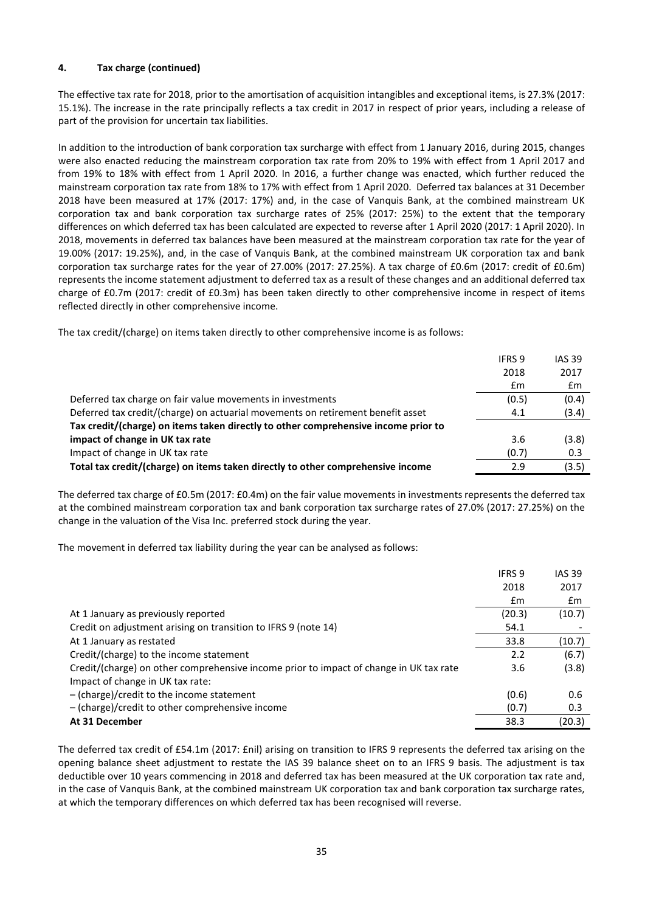# **4. Tax charge (continued)**

The effective tax rate for 2018, prior to the amortisation of acquisition intangibles and exceptional items, is 27.3% (2017: 15.1%). The increase in the rate principally reflects a tax credit in 2017 in respect of prior years, including a release of part of the provision for uncertain tax liabilities.

In addition to the introduction of bank corporation tax surcharge with effect from 1 January 2016, during 2015, changes were also enacted reducing the mainstream corporation tax rate from 20% to 19% with effect from 1 April 2017 and from 19% to 18% with effect from 1 April 2020. In 2016, a further change was enacted, which further reduced the mainstream corporation tax rate from 18% to 17% with effect from 1 April 2020. Deferred tax balances at 31 December 2018 have been measured at 17% (2017: 17%) and, in the case of Vanquis Bank, at the combined mainstream UK corporation tax and bank corporation tax surcharge rates of 25% (2017: 25%) to the extent that the temporary differences on which deferred tax has been calculated are expected to reverse after 1 April 2020 (2017: 1 April 2020). In 2018, movements in deferred tax balances have been measured at the mainstream corporation tax rate for the year of 19.00% (2017: 19.25%), and, in the case of Vanquis Bank, at the combined mainstream UK corporation tax and bank corporation tax surcharge rates for the year of 27.00% (2017: 27.25%). A tax charge of £0.6m (2017: credit of £0.6m) represents the income statement adjustment to deferred tax as a result of these changes and an additional deferred tax charge of £0.7m (2017: credit of £0.3m) has been taken directly to other comprehensive income in respect of items reflected directly in other comprehensive income.

The tax credit/(charge) on items taken directly to other comprehensive income is as follows:

|                                                                                    | <b>IFRS 9</b> | <b>IAS 39</b> |
|------------------------------------------------------------------------------------|---------------|---------------|
|                                                                                    | 2018          | 2017          |
|                                                                                    | £m            | £m            |
| Deferred tax charge on fair value movements in investments                         | (0.5)         | (0.4)         |
| Deferred tax credit/(charge) on actuarial movements on retirement benefit asset    | 4.1           | (3.4)         |
| Tax credit/(charge) on items taken directly to other comprehensive income prior to |               |               |
| impact of change in UK tax rate                                                    | 3.6           | (3.8)         |
| Impact of change in UK tax rate                                                    | (0.7)         | 0.3           |
| Total tax credit/(charge) on items taken directly to other comprehensive income    | 2.9           | (3.5)         |

The deferred tax charge of £0.5m (2017: £0.4m) on the fair value movements in investments represents the deferred tax at the combined mainstream corporation tax and bank corporation tax surcharge rates of 27.0% (2017: 27.25%) on the change in the valuation of the Visa Inc. preferred stock during the year.

The movement in deferred tax liability during the year can be analysed as follows:

|                                                                                        | <b>IFRS 9</b> | <b>IAS 39</b> |
|----------------------------------------------------------------------------------------|---------------|---------------|
|                                                                                        | 2018          | 2017          |
|                                                                                        | £m            | £m            |
| At 1 January as previously reported                                                    | (20.3)        | (10.7)        |
| Credit on adjustment arising on transition to IFRS 9 (note 14)                         | 54.1          |               |
| At 1 January as restated                                                               | 33.8          | (10.7)        |
| Credit/(charge) to the income statement                                                | 2.2           | (6.7)         |
| Credit/(charge) on other comprehensive income prior to impact of change in UK tax rate | 3.6           | (3.8)         |
| Impact of change in UK tax rate:                                                       |               |               |
| $-$ (charge)/credit to the income statement                                            | (0.6)         | 0.6           |
| $-$ (charge)/credit to other comprehensive income                                      | (0.7)         | 0.3           |
| At 31 December                                                                         | 38.3          | (20.3)        |

The deferred tax credit of £54.1m (2017: £nil) arising on transition to IFRS 9 represents the deferred tax arising on the opening balance sheet adjustment to restate the IAS 39 balance sheet on to an IFRS 9 basis. The adjustment is tax deductible over 10 years commencing in 2018 and deferred tax has been measured at the UK corporation tax rate and, in the case of Vanquis Bank, at the combined mainstream UK corporation tax and bank corporation tax surcharge rates, at which the temporary differences on which deferred tax has been recognised will reverse.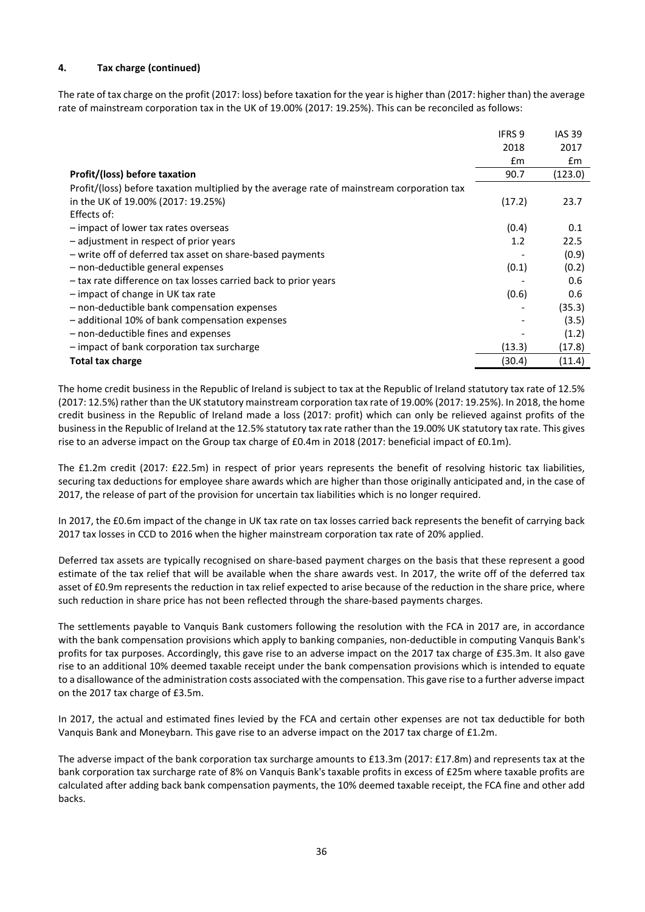# **4. Tax charge (continued)**

The rate of tax charge on the profit (2017: loss) before taxation for the year is higher than (2017: higher than) the average rate of mainstream corporation tax in the UK of 19.00% (2017: 19.25%). This can be reconciled as follows:

|                                                                                            | <b>IFRS 9</b> | <b>IAS 39</b> |
|--------------------------------------------------------------------------------------------|---------------|---------------|
|                                                                                            | 2018          | 2017          |
|                                                                                            | $\mathsf{fm}$ | Em            |
| Profit/(loss) before taxation                                                              | 90.7          | (123.0)       |
| Profit/(loss) before taxation multiplied by the average rate of mainstream corporation tax |               |               |
| in the UK of 19.00% (2017: 19.25%)                                                         | (17.2)        | 23.7          |
| Effects of:                                                                                |               |               |
| - impact of lower tax rates overseas                                                       | (0.4)         | 0.1           |
| - adjustment in respect of prior years                                                     | 1.2           | 22.5          |
| - write off of deferred tax asset on share-based payments                                  |               | (0.9)         |
| - non-deductible general expenses                                                          | (0.1)         | (0.2)         |
| - tax rate difference on tax losses carried back to prior years                            |               | 0.6           |
| - impact of change in UK tax rate                                                          | (0.6)         | 0.6           |
| - non-deductible bank compensation expenses                                                |               | (35.3)        |
| - additional 10% of bank compensation expenses                                             |               | (3.5)         |
| - non-deductible fines and expenses                                                        |               | (1.2)         |
| - impact of bank corporation tax surcharge                                                 | (13.3)        | (17.8)        |
| <b>Total tax charge</b>                                                                    | (30.4)        | (11.4)        |

The home credit business in the Republic of Ireland is subject to tax at the Republic of Ireland statutory tax rate of 12.5% (2017: 12.5%) rather than the UK statutory mainstream corporation tax rate of 19.00% (2017: 19.25%). In 2018, the home credit business in the Republic of Ireland made a loss (2017: profit) which can only be relieved against profits of the business in the Republic of Ireland at the 12.5% statutory tax rate rather than the 19.00% UK statutory tax rate. This gives rise to an adverse impact on the Group tax charge of £0.4m in 2018 (2017: beneficial impact of £0.1m).

The £1.2m credit (2017: £22.5m) in respect of prior years represents the benefit of resolving historic tax liabilities, securing tax deductions for employee share awards which are higher than those originally anticipated and, in the case of 2017, the release of part of the provision for uncertain tax liabilities which is no longer required.

In 2017, the £0.6m impact of the change in UK tax rate on tax losses carried back represents the benefit of carrying back 2017 tax losses in CCD to 2016 when the higher mainstream corporation tax rate of 20% applied.

Deferred tax assets are typically recognised on share-based payment charges on the basis that these represent a good estimate of the tax relief that will be available when the share awards vest. In 2017, the write off of the deferred tax asset of £0.9m represents the reduction in tax relief expected to arise because of the reduction in the share price, where such reduction in share price has not been reflected through the share-based payments charges.

The settlements payable to Vanquis Bank customers following the resolution with the FCA in 2017 are, in accordance with the bank compensation provisions which apply to banking companies, non-deductible in computing Vanquis Bank's profits for tax purposes. Accordingly, this gave rise to an adverse impact on the 2017 tax charge of £35.3m. It also gave rise to an additional 10% deemed taxable receipt under the bank compensation provisions which is intended to equate to a disallowance of the administration costs associated with the compensation. This gave rise to a further adverse impact on the 2017 tax charge of £3.5m.

In 2017, the actual and estimated fines levied by the FCA and certain other expenses are not tax deductible for both Vanquis Bank and Moneybarn. This gave rise to an adverse impact on the 2017 tax charge of £1.2m.

The adverse impact of the bank corporation tax surcharge amounts to £13.3m (2017: £17.8m) and represents tax at the bank corporation tax surcharge rate of 8% on Vanquis Bank's taxable profits in excess of £25m where taxable profits are calculated after adding back bank compensation payments, the 10% deemed taxable receipt, the FCA fine and other add backs.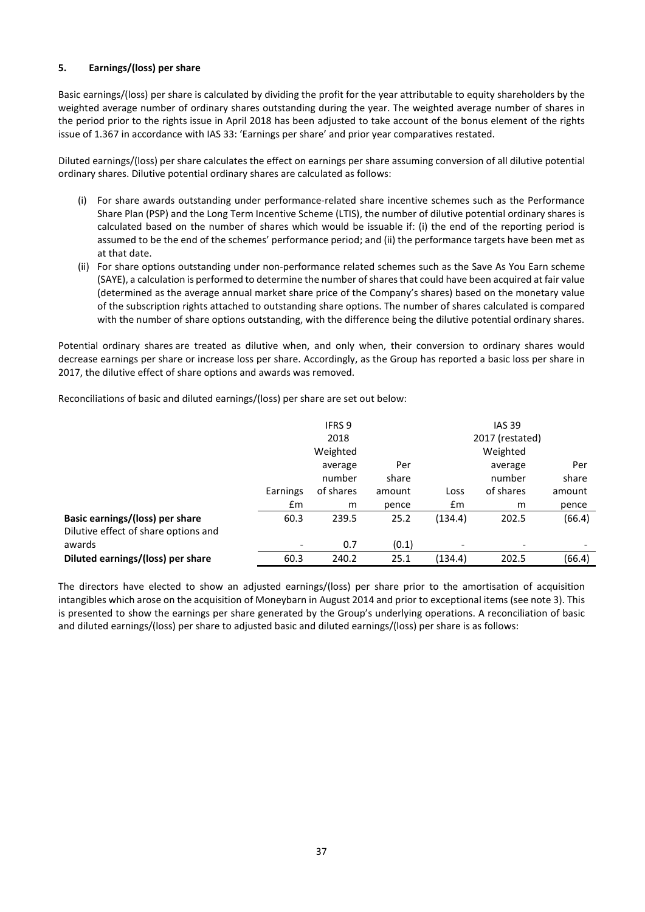# **5. Earnings/(loss) per share**

Basic earnings/(loss) per share is calculated by dividing the profit for the year attributable to equity shareholders by the weighted average number of ordinary shares outstanding during the year. The weighted average number of shares in the period prior to the rights issue in April 2018 has been adjusted to take account of the bonus element of the rights issue of 1.367 in accordance with IAS 33: 'Earnings per share' and prior year comparatives restated.

Diluted earnings/(loss) per share calculates the effect on earnings per share assuming conversion of all dilutive potential ordinary shares. Dilutive potential ordinary shares are calculated as follows:

- (i) For share awards outstanding under performance-related share incentive schemes such as the Performance Share Plan (PSP) and the Long Term Incentive Scheme (LTIS), the number of dilutive potential ordinary shares is calculated based on the number of shares which would be issuable if: (i) the end of the reporting period is assumed to be the end of the schemes' performance period; and (ii) the performance targets have been met as at that date.
- (ii) For share options outstanding under non-performance related schemes such as the Save As You Earn scheme (SAYE), a calculation is performed to determine the number of shares that could have been acquired at fair value (determined as the average annual market share price of the Company's shares) based on the monetary value of the subscription rights attached to outstanding share options. The number of shares calculated is compared with the number of share options outstanding, with the difference being the dilutive potential ordinary shares.

Potential ordinary shares are treated as dilutive when, and only when, their conversion to ordinary shares would decrease earnings per share or increase loss per share. Accordingly, as the Group has reported a basic loss per share in 2017, the dilutive effect of share options and awards was removed.

Reconciliations of basic and diluted earnings/(loss) per share are set out below:

|                                      |                          | IFRS 9    |        |         | <b>IAS 39</b>   |        |
|--------------------------------------|--------------------------|-----------|--------|---------|-----------------|--------|
|                                      |                          | 2018      |        |         | 2017 (restated) |        |
|                                      |                          | Weighted  |        |         | Weighted        |        |
|                                      |                          | average   | Per    |         | average         | Per    |
|                                      |                          | number    | share  |         | number          | share  |
|                                      | Earnings                 | of shares | amount | Loss    | of shares       | amount |
|                                      | £m                       | m         | pence  | £m      | m               | pence  |
| Basic earnings/(loss) per share      | 60.3                     | 239.5     | 25.2   | (134.4) | 202.5           | (66.4) |
| Dilutive effect of share options and |                          |           |        |         |                 |        |
| awards                               | $\overline{\phantom{a}}$ | 0.7       | (0.1)  |         |                 |        |
| Diluted earnings/(loss) per share    | 60.3                     | 240.2     | 25.1   | (134.4) | 202.5           | (66.4) |

The directors have elected to show an adjusted earnings/(loss) per share prior to the amortisation of acquisition intangibles which arose on the acquisition of Moneybarn in August 2014 and prior to exceptional items (see note 3). This is presented to show the earnings per share generated by the Group's underlying operations. A reconciliation of basic and diluted earnings/(loss) per share to adjusted basic and diluted earnings/(loss) per share is as follows: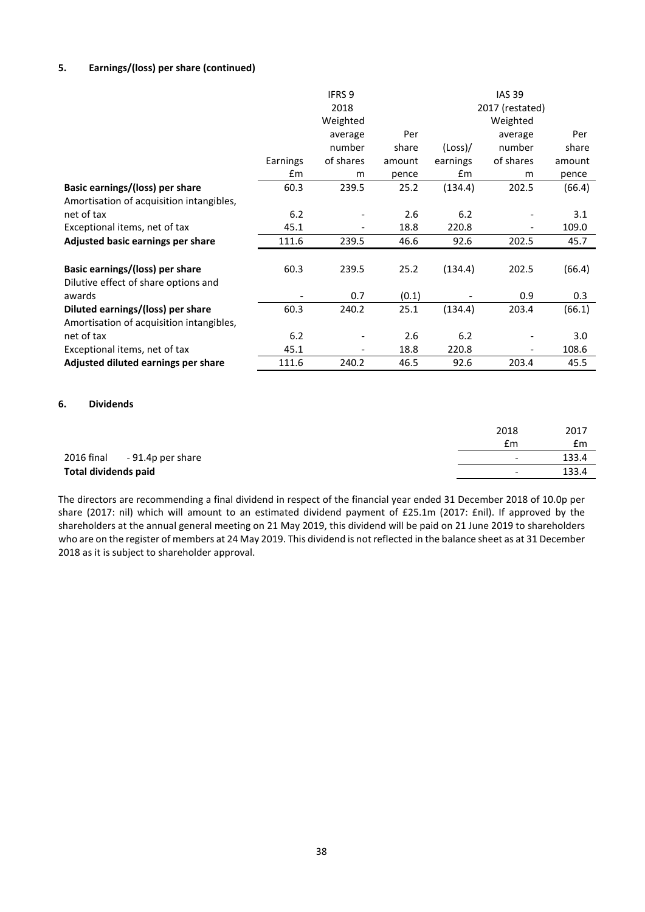# **5. Earnings/(loss) per share (continued)**

|                                          |          | <b>IFRS 9</b> |        |          | <b>IAS 39</b>            |        |
|------------------------------------------|----------|---------------|--------|----------|--------------------------|--------|
|                                          |          | 2018          |        |          | 2017 (restated)          |        |
|                                          |          | Weighted      |        |          | Weighted                 |        |
|                                          |          | average       | Per    |          | average                  | Per    |
|                                          |          | number        | share  | (Loss)   | number                   | share  |
|                                          | Earnings | of shares     | amount | earnings | of shares                | amount |
|                                          | £m       | m             | pence  | £m       | m                        | pence  |
| Basic earnings/(loss) per share          | 60.3     | 239.5         | 25.2   | (134.4)  | 202.5                    | (66.4) |
| Amortisation of acquisition intangibles, |          |               |        |          |                          |        |
| net of tax                               | 6.2      |               | 2.6    | 6.2      |                          | 3.1    |
| Exceptional items, net of tax            | 45.1     |               | 18.8   | 220.8    |                          | 109.0  |
| Adjusted basic earnings per share        | 111.6    | 239.5         | 46.6   | 92.6     | 202.5                    | 45.7   |
| Basic earnings/(loss) per share          | 60.3     | 239.5         | 25.2   | (134.4)  | 202.5                    | (66.4) |
| Dilutive effect of share options and     |          |               |        |          |                          |        |
| awards                                   |          | 0.7           | (0.1)  |          | 0.9                      | 0.3    |
| Diluted earnings/(loss) per share        | 60.3     | 240.2         | 25.1   | (134.4)  | 203.4                    | (66.1) |
| Amortisation of acquisition intangibles, |          |               |        |          |                          |        |
| net of tax                               | 6.2      |               | 2.6    | 6.2      |                          | 3.0    |
| Exceptional items, net of tax            | 45.1     |               | 18.8   | 220.8    | $\overline{\phantom{a}}$ | 108.6  |
| Adjusted diluted earnings per share      | 111.6    | 240.2         | 46.5   | 92.6     | 203.4                    | 45.5   |

#### **6. Dividends**

|                              | 2018                     | 2017  |
|------------------------------|--------------------------|-------|
|                              | £m                       | £m    |
| 2016 final - 91.4p per share | $\overline{\phantom{0}}$ | 133.4 |
| <b>Total dividends paid</b>  | $\overline{\phantom{0}}$ | 133.4 |

The directors are recommending a final dividend in respect of the financial year ended 31 December 2018 of 10.0p per share (2017: nil) which will amount to an estimated dividend payment of £25.1m (2017: £nil). If approved by the shareholders at the annual general meeting on 21 May 2019, this dividend will be paid on 21 June 2019 to shareholders who are on the register of members at 24 May 2019. This dividend is not reflected in the balance sheet as at 31 December 2018 as it is subject to shareholder approval.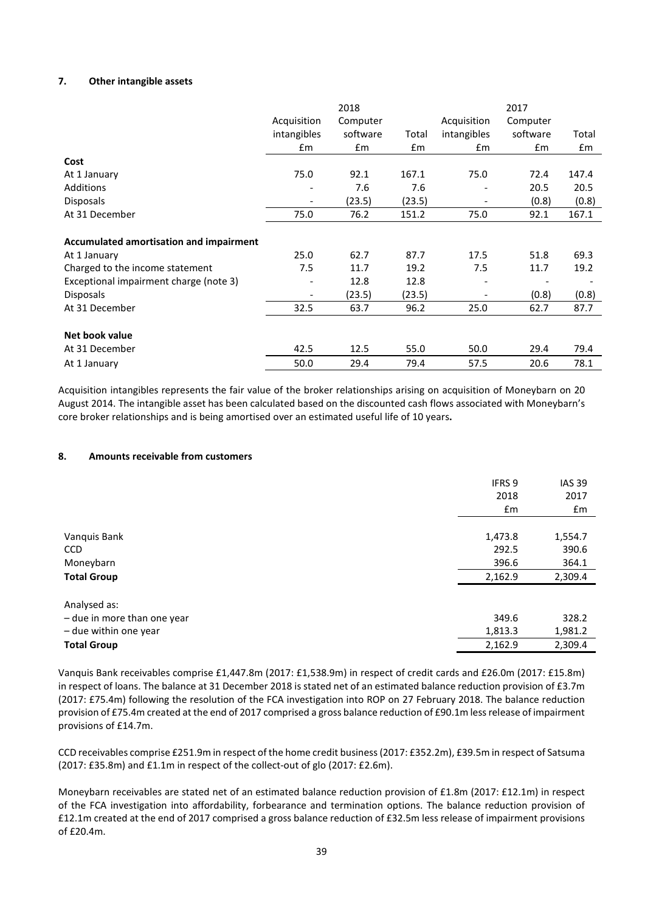## **7. Other intangible assets**

|                                         | 2018                         |          |        | 2017                     |          |       |
|-----------------------------------------|------------------------------|----------|--------|--------------------------|----------|-------|
|                                         | Acquisition                  | Computer |        | Acquisition              | Computer |       |
|                                         | intangibles                  | software | Total  | intangibles              | software | Total |
|                                         | £m                           | £m       | £m     | £m                       | £m       | £m    |
| Cost                                    |                              |          |        |                          |          |       |
| At 1 January                            | 75.0                         | 92.1     | 167.1  | 75.0                     | 72.4     | 147.4 |
| Additions                               | $\qquad \qquad \blacksquare$ | 7.6      | 7.6    | $\overline{\phantom{a}}$ | 20.5     | 20.5  |
| <b>Disposals</b>                        | $\overline{\phantom{a}}$     | (23.5)   | (23.5) | $\overline{\phantom{a}}$ | (0.8)    | (0.8) |
| At 31 December                          | 75.0                         | 76.2     | 151.2  | 75.0                     | 92.1     | 167.1 |
| Accumulated amortisation and impairment |                              |          |        |                          |          |       |
| At 1 January                            | 25.0                         | 62.7     | 87.7   | 17.5                     | 51.8     | 69.3  |
| Charged to the income statement         | 7.5                          | 11.7     | 19.2   | 7.5                      | 11.7     | 19.2  |
| Exceptional impairment charge (note 3)  | $\qquad \qquad \blacksquare$ | 12.8     | 12.8   | $\overline{\phantom{0}}$ |          |       |
| <b>Disposals</b>                        | $\overline{\phantom{a}}$     | (23.5)   | (23.5) |                          | (0.8)    | (0.8) |
| At 31 December                          | 32.5                         | 63.7     | 96.2   | 25.0                     | 62.7     | 87.7  |
| Net book value                          |                              |          |        |                          |          |       |
| At 31 December                          | 42.5                         | 12.5     | 55.0   | 50.0                     | 29.4     | 79.4  |
| At 1 January                            | 50.0                         | 29.4     | 79.4   | 57.5                     | 20.6     | 78.1  |

Acquisition intangibles represents the fair value of the broker relationships arising on acquisition of Moneybarn on 20 August 2014. The intangible asset has been calculated based on the discounted cash flows associated with Moneybarn's core broker relationships and is being amortised over an estimated useful life of 10 years**.**

# **8. Amounts receivable from customers**

|                             | <b>IFRS 9</b> | <b>IAS 39</b> |
|-----------------------------|---------------|---------------|
|                             | 2018          | 2017          |
|                             | £m            | £m            |
|                             |               |               |
| Vanquis Bank                | 1,473.8       | 1,554.7       |
| <b>CCD</b>                  | 292.5         | 390.6         |
| Moneybarn                   | 396.6         | 364.1         |
| <b>Total Group</b>          | 2,162.9       | 2,309.4       |
| Analysed as:                |               |               |
| - due in more than one year | 349.6         | 328.2         |
| - due within one year       | 1,813.3       | 1,981.2       |
| <b>Total Group</b>          | 2,162.9       | 2,309.4       |
|                             |               |               |

Vanquis Bank receivables comprise £1,447.8m (2017: £1,538.9m) in respect of credit cards and £26.0m (2017: £15.8m) in respect of loans. The balance at 31 December 2018 is stated net of an estimated balance reduction provision of £3.7m (2017: £75.4m) following the resolution of the FCA investigation into ROP on 27 February 2018. The balance reduction provision of £75.4m created at the end of 2017 comprised a gross balance reduction of £90.1m less release of impairment provisions of £14.7m.

CCD receivables comprise £251.9m in respect of the home credit business (2017: £352.2m), £39.5m in respect of Satsuma (2017: £35.8m) and £1.1m in respect of the collect-out of glo (2017: £2.6m).

Moneybarn receivables are stated net of an estimated balance reduction provision of £1.8m (2017: £12.1m) in respect of the FCA investigation into affordability, forbearance and termination options. The balance reduction provision of £12.1m created at the end of 2017 comprised a gross balance reduction of £32.5m less release of impairment provisions of £20.4m.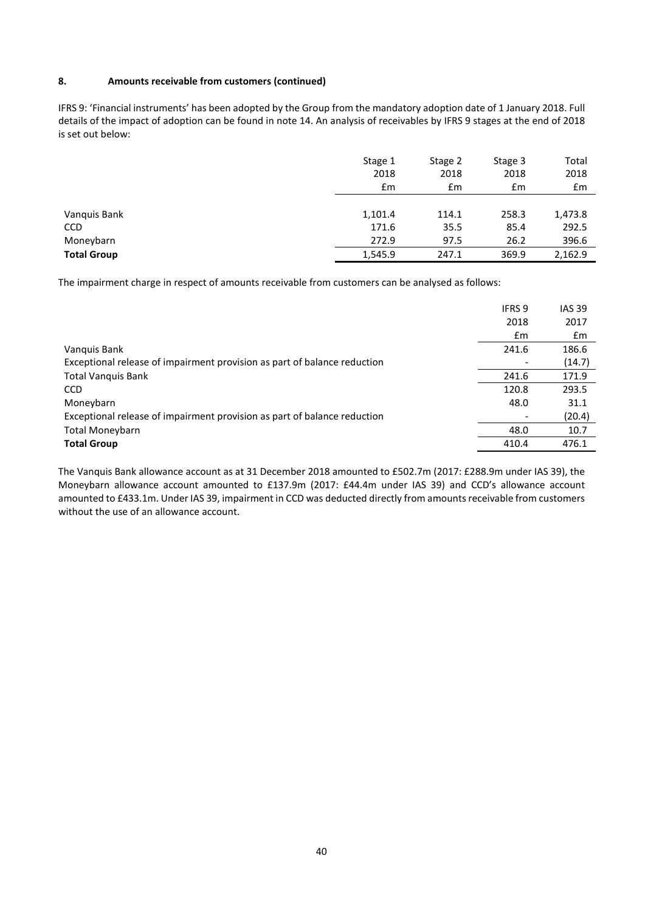# **8. Amounts receivable from customers (continued)**

IFRS 9: 'Financial instruments' has been adopted by the Group from the mandatory adoption date of 1 January 2018. Full details of the impact of adoption can be found in note 14. An analysis of receivables by IFRS 9 stages at the end of 2018 is set out below:

|                    | Stage 1 | Stage 2       | Stage 3 | Total   |
|--------------------|---------|---------------|---------|---------|
|                    | 2018    | 2018          | 2018    | 2018    |
|                    | £m      | $\mathsf{fm}$ | £m      | £m      |
| Vanquis Bank       | 1,101.4 | 114.1         | 258.3   | 1,473.8 |
| <b>CCD</b>         | 171.6   | 35.5          | 85.4    | 292.5   |
| Moneybarn          | 272.9   | 97.5          | 26.2    | 396.6   |
| <b>Total Group</b> | 1,545.9 | 247.1         | 369.9   | 2,162.9 |

The impairment charge in respect of amounts receivable from customers can be analysed as follows:

|                                                                          | IFRS 9 | <b>IAS 39</b> |
|--------------------------------------------------------------------------|--------|---------------|
|                                                                          | 2018   | 2017          |
|                                                                          | £m     | £m            |
| Vanquis Bank                                                             | 241.6  | 186.6         |
| Exceptional release of impairment provision as part of balance reduction |        | (14.7)        |
| <b>Total Vanquis Bank</b>                                                | 241.6  | 171.9         |
| <b>CCD</b>                                                               | 120.8  | 293.5         |
| Moneybarn                                                                | 48.0   | 31.1          |
| Exceptional release of impairment provision as part of balance reduction |        | (20.4)        |
| <b>Total Moneybarn</b>                                                   | 48.0   | 10.7          |
| <b>Total Group</b>                                                       | 410.4  | 476.1         |
|                                                                          |        |               |

The Vanquis Bank allowance account as at 31 December 2018 amounted to £502.7m (2017: £288.9m under IAS 39), the Moneybarn allowance account amounted to £137.9m (2017: £44.4m under IAS 39) and CCD's allowance account amounted to £433.1m. Under IAS 39, impairment in CCD was deducted directly from amounts receivable from customers without the use of an allowance account.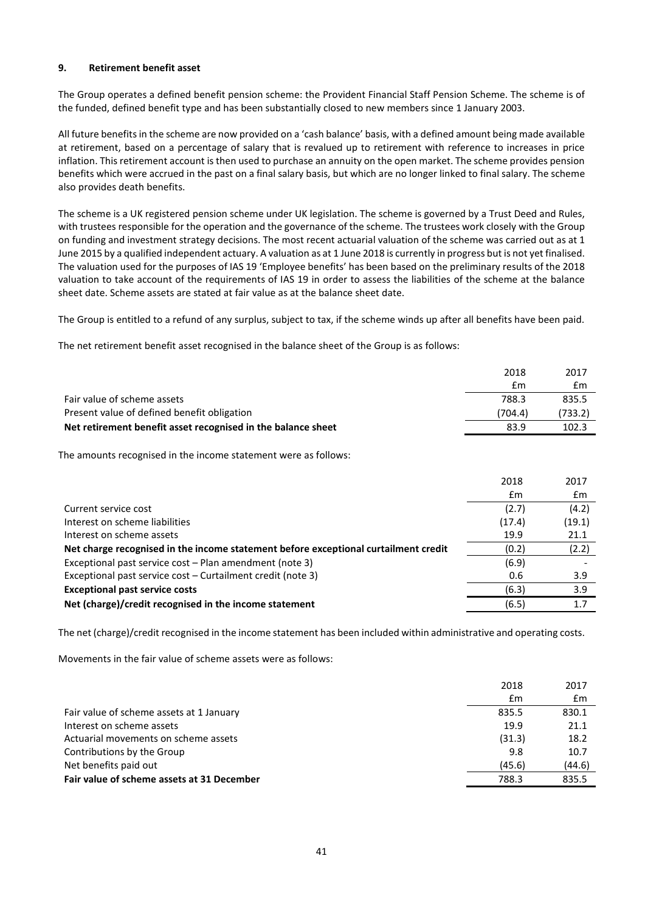## **9. Retirement benefit asset**

The Group operates a defined benefit pension scheme: the Provident Financial Staff Pension Scheme. The scheme is of the funded, defined benefit type and has been substantially closed to new members since 1 January 2003.

All future benefits in the scheme are now provided on a 'cash balance' basis, with a defined amount being made available at retirement, based on a percentage of salary that is revalued up to retirement with reference to increases in price inflation. This retirement account is then used to purchase an annuity on the open market. The scheme provides pension benefits which were accrued in the past on a final salary basis, but which are no longer linked to final salary. The scheme also provides death benefits.

The scheme is a UK registered pension scheme under UK legislation. The scheme is governed by a Trust Deed and Rules, with trustees responsible for the operation and the governance of the scheme. The trustees work closely with the Group on funding and investment strategy decisions. The most recent actuarial valuation of the scheme was carried out as at 1 June 2015 by a qualified independent actuary. A valuation as at 1 June 2018 is currently in progress but is not yet finalised. The valuation used for the purposes of IAS 19 'Employee benefits' has been based on the preliminary results of the 2018 valuation to take account of the requirements of IAS 19 in order to assess the liabilities of the scheme at the balance sheet date. Scheme assets are stated at fair value as at the balance sheet date.

The Group is entitled to a refund of any surplus, subject to tax, if the scheme winds up after all benefits have been paid.

The net retirement benefit asset recognised in the balance sheet of the Group is as follows:

|                                                                 | 2018    | 2017    |
|-----------------------------------------------------------------|---------|---------|
|                                                                 | £m      | £m      |
| Fair value of scheme assets                                     | 788.3   | 835.5   |
| Present value of defined benefit obligation                     | (704.4) | (733.2) |
| Net retirement benefit asset recognised in the balance sheet    | 83.9    | 102.3   |
| The amounts recognised in the income statement were as follows: |         |         |

|                                                                                     | 2018   | 2017   |
|-------------------------------------------------------------------------------------|--------|--------|
|                                                                                     | £m     | £m     |
| Current service cost                                                                | (2.7)  | (4.2)  |
| Interest on scheme liabilities                                                      | (17.4) | (19.1) |
| Interest on scheme assets                                                           | 19.9   | 21.1   |
| Net charge recognised in the income statement before exceptional curtailment credit | (0.2)  | (2.2)  |
| Exceptional past service cost – Plan amendment (note 3)                             | (6.9)  |        |
| Exceptional past service cost – Curtailment credit (note 3)                         | 0.6    | 3.9    |
| <b>Exceptional past service costs</b>                                               | (6.3)  | 3.9    |
| Net (charge)/credit recognised in the income statement                              | (6.5)  | 1.7    |
|                                                                                     |        |        |

The net (charge)/credit recognised in the income statement has been included within administrative and operating costs.

Movements in the fair value of scheme assets were as follows:

|                                            | 2018   | 2017   |
|--------------------------------------------|--------|--------|
|                                            | £m     | £m     |
| Fair value of scheme assets at 1 January   | 835.5  | 830.1  |
| Interest on scheme assets                  | 19.9   | 21.1   |
| Actuarial movements on scheme assets       | (31.3) | 18.2   |
| Contributions by the Group                 | 9.8    | 10.7   |
| Net benefits paid out                      | (45.6) | (44.6) |
| Fair value of scheme assets at 31 December | 788.3  | 835.5  |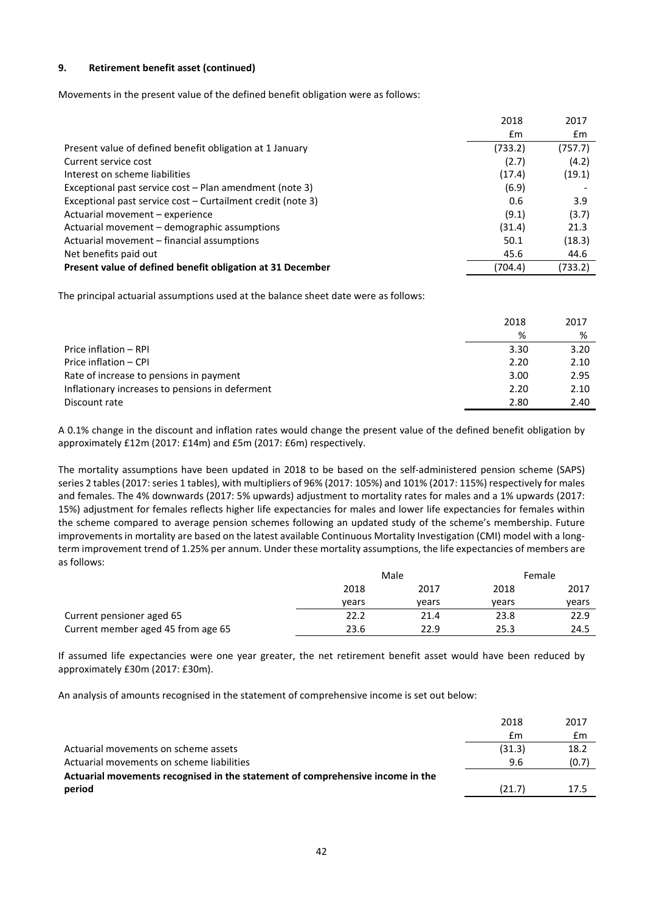## **9. Retirement benefit asset (continued)**

Movements in the present value of the defined benefit obligation were as follows:

|                                                             | 2018    | 2017    |
|-------------------------------------------------------------|---------|---------|
|                                                             | £m      | £m      |
| Present value of defined benefit obligation at 1 January    | (733.2) | (757.7) |
| Current service cost                                        | (2.7)   | (4.2)   |
| Interest on scheme liabilities                              | (17.4)  | (19.1)  |
| Exceptional past service cost – Plan amendment (note 3)     | (6.9)   |         |
| Exceptional past service cost – Curtailment credit (note 3) | 0.6     | 3.9     |
| Actuarial movement - experience                             | (9.1)   | (3.7)   |
| Actuarial movement – demographic assumptions                | (31.4)  | 21.3    |
| Actuarial movement – financial assumptions                  | 50.1    | (18.3)  |
| Net benefits paid out                                       | 45.6    | 44.6    |
| Present value of defined benefit obligation at 31 December  | (704.4) | (733.2) |

The principal actuarial assumptions used at the balance sheet date were as follows:

|                                                 | 2018 | 2017 |
|-------------------------------------------------|------|------|
|                                                 | %    | %    |
| Price inflation - RPI                           | 3.30 | 3.20 |
| Price inflation - CPI                           | 2.20 | 2.10 |
| Rate of increase to pensions in payment         | 3.00 | 2.95 |
| Inflationary increases to pensions in deferment | 2.20 | 2.10 |
| Discount rate                                   | 2.80 | 2.40 |

A 0.1% change in the discount and inflation rates would change the present value of the defined benefit obligation by approximately £12m (2017: £14m) and £5m (2017: £6m) respectively.

The mortality assumptions have been updated in 2018 to be based on the self-administered pension scheme (SAPS) series 2 tables(2017: series 1 tables), with multipliers of 96% (2017: 105%) and 101% (2017: 115%) respectively for males and females. The 4% downwards (2017: 5% upwards) adjustment to mortality rates for males and a 1% upwards (2017: 15%) adjustment for females reflects higher life expectancies for males and lower life expectancies for females within the scheme compared to average pension schemes following an updated study of the scheme's membership. Future improvements in mortality are based on the latest available Continuous Mortality Investigation (CMI) model with a longterm improvement trend of 1.25% per annum. Under these mortality assumptions, the life expectancies of members are as follows:

|                                    | Male  |       |       | Female |  |
|------------------------------------|-------|-------|-------|--------|--|
|                                    | 2018  | 2017  | 2018  | 2017   |  |
|                                    | vears | vears | vears | vears  |  |
| Current pensioner aged 65          | 22.2  | 21.4  | 23.8  | 22.9   |  |
| Current member aged 45 from age 65 | 23.6  | 22.9  | 25.3  | 24.5   |  |

If assumed life expectancies were one year greater, the net retirement benefit asset would have been reduced by approximately £30m (2017: £30m).

An analysis of amounts recognised in the statement of comprehensive income is set out below:

|                                                                                | 2018   | 2017  |
|--------------------------------------------------------------------------------|--------|-------|
|                                                                                | £m     | £m    |
| Actuarial movements on scheme assets                                           | (31.3) | 18.2  |
| Actuarial movements on scheme liabilities                                      | 9.6    | (0.7) |
| Actuarial movements recognised in the statement of comprehensive income in the |        |       |
| period                                                                         | (21.7) | 17.5  |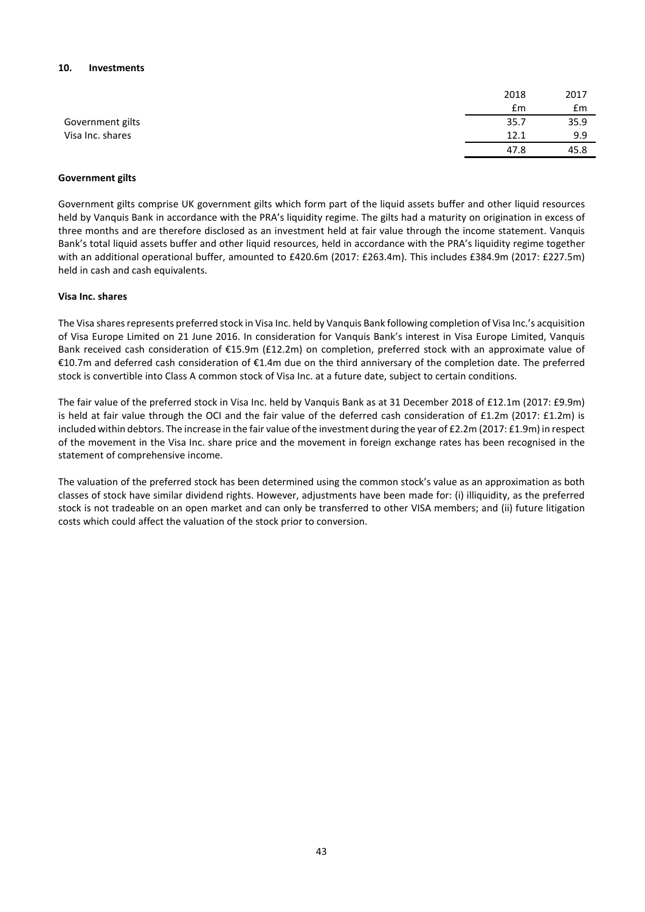#### **10. Investments**

|                  | 2018 | 2017 |
|------------------|------|------|
|                  | £m   | £m   |
| Government gilts | 35.7 | 35.9 |
| Visa Inc. shares | 12.1 | 9.9  |
|                  | 47.8 | 45.8 |

#### **Government gilts**

Government gilts comprise UK government gilts which form part of the liquid assets buffer and other liquid resources held by Vanquis Bank in accordance with the PRA's liquidity regime. The gilts had a maturity on origination in excess of three months and are therefore disclosed as an investment held at fair value through the income statement. Vanquis Bank's total liquid assets buffer and other liquid resources, held in accordance with the PRA's liquidity regime together with an additional operational buffer, amounted to £420.6m (2017: £263.4m). This includes £384.9m (2017: £227.5m) held in cash and cash equivalents.

#### **Visa Inc. shares**

The Visa shares represents preferred stock in Visa Inc. held by Vanquis Bank following completion of Visa Inc.'s acquisition of Visa Europe Limited on 21 June 2016. In consideration for Vanquis Bank's interest in Visa Europe Limited, Vanquis Bank received cash consideration of €15.9m (£12.2m) on completion, preferred stock with an approximate value of €10.7m and deferred cash consideration of €1.4m due on the third anniversary of the completion date. The preferred stock is convertible into Class A common stock of Visa Inc. at a future date, subject to certain conditions.

The fair value of the preferred stock in Visa Inc. held by Vanquis Bank as at 31 December 2018 of £12.1m (2017: £9.9m) is held at fair value through the OCI and the fair value of the deferred cash consideration of £1.2m (2017: £1.2m) is included within debtors. The increase in the fair value of the investment during the year of £2.2m (2017: £1.9m) in respect of the movement in the Visa Inc. share price and the movement in foreign exchange rates has been recognised in the statement of comprehensive income.

The valuation of the preferred stock has been determined using the common stock's value as an approximation as both classes of stock have similar dividend rights. However, adjustments have been made for: (i) illiquidity, as the preferred stock is not tradeable on an open market and can only be transferred to other VISA members; and (ii) future litigation costs which could affect the valuation of the stock prior to conversion.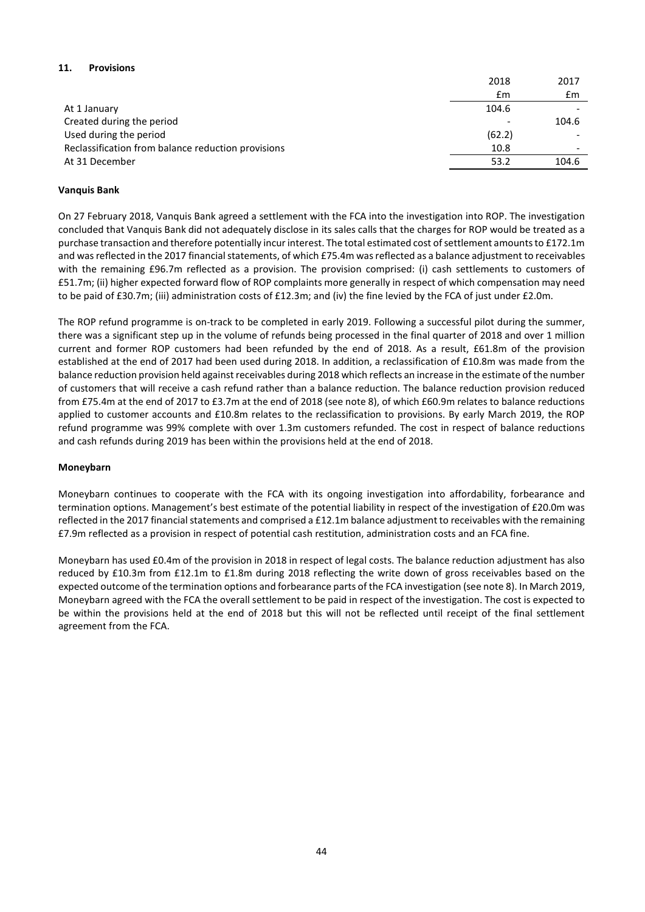# **11. Provisions**

|                                                    | 2018   | 2017  |
|----------------------------------------------------|--------|-------|
|                                                    | £m     | £m    |
| At 1 January                                       | 104.6  |       |
| Created during the period                          |        | 104.6 |
| Used during the period                             | (62.2) |       |
| Reclassification from balance reduction provisions | 10.8   |       |
| At 31 December                                     | 53.2   | 104.6 |

# **Vanquis Bank**

On 27 February 2018, Vanquis Bank agreed a settlement with the FCA into the investigation into ROP. The investigation concluded that Vanquis Bank did not adequately disclose in its sales calls that the charges for ROP would be treated as a purchase transaction and therefore potentially incur interest. The total estimated cost of settlement amounts to £172.1m and was reflected in the 2017 financial statements, of which £75.4m was reflected as a balance adjustment to receivables with the remaining £96.7m reflected as a provision. The provision comprised: (i) cash settlements to customers of £51.7m; (ii) higher expected forward flow of ROP complaints more generally in respect of which compensation may need to be paid of £30.7m; (iii) administration costs of £12.3m; and (iv) the fine levied by the FCA of just under £2.0m.

The ROP refund programme is on-track to be completed in early 2019. Following a successful pilot during the summer, there was a significant step up in the volume of refunds being processed in the final quarter of 2018 and over 1 million current and former ROP customers had been refunded by the end of 2018. As a result, £61.8m of the provision established at the end of 2017 had been used during 2018. In addition, a reclassification of £10.8m was made from the balance reduction provision held against receivables during 2018 which reflects an increase in the estimate of the number of customers that will receive a cash refund rather than a balance reduction. The balance reduction provision reduced from £75.4m at the end of 2017 to £3.7m at the end of 2018 (see note 8), of which £60.9m relates to balance reductions applied to customer accounts and £10.8m relates to the reclassification to provisions. By early March 2019, the ROP refund programme was 99% complete with over 1.3m customers refunded. The cost in respect of balance reductions and cash refunds during 2019 has been within the provisions held at the end of 2018.

## **Moneybarn**

Moneybarn continues to cooperate with the FCA with its ongoing investigation into affordability, forbearance and termination options. Management's best estimate of the potential liability in respect of the investigation of £20.0m was reflected in the 2017 financial statements and comprised a £12.1m balance adjustment to receivables with the remaining £7.9m reflected as a provision in respect of potential cash restitution, administration costs and an FCA fine.

Moneybarn has used £0.4m of the provision in 2018 in respect of legal costs. The balance reduction adjustment has also reduced by £10.3m from £12.1m to £1.8m during 2018 reflecting the write down of gross receivables based on the expected outcome of the termination options and forbearance parts of the FCA investigation (see note 8). In March 2019, Moneybarn agreed with the FCA the overall settlement to be paid in respect of the investigation. The cost is expected to be within the provisions held at the end of 2018 but this will not be reflected until receipt of the final settlement agreement from the FCA.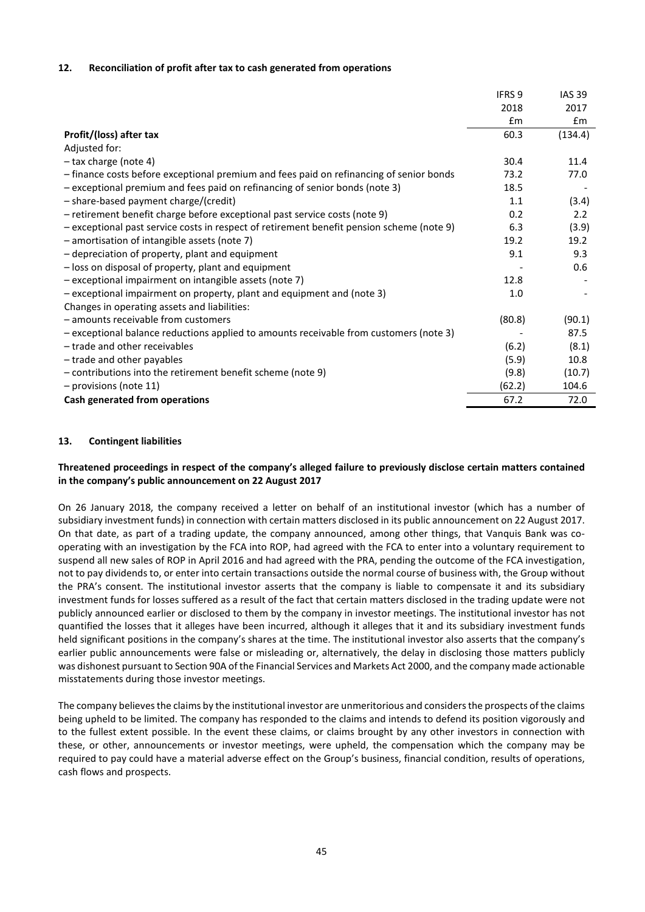#### **12. Reconciliation of profit after tax to cash generated from operations**

|                                                                                           | <b>IFRS 9</b> | <b>IAS 39</b> |
|-------------------------------------------------------------------------------------------|---------------|---------------|
|                                                                                           | 2018          | 2017          |
|                                                                                           | £m            | £m            |
| Profit/(loss) after tax                                                                   | 60.3          | (134.4)       |
| Adjusted for:                                                                             |               |               |
| $-$ tax charge (note 4)                                                                   | 30.4          | 11.4          |
| - finance costs before exceptional premium and fees paid on refinancing of senior bonds   | 73.2          | 77.0          |
| - exceptional premium and fees paid on refinancing of senior bonds (note 3)               | 18.5          |               |
| - share-based payment charge/(credit)                                                     | 1.1           | (3.4)         |
| - retirement benefit charge before exceptional past service costs (note 9)                | 0.2           | 2.2           |
| - exceptional past service costs in respect of retirement benefit pension scheme (note 9) | 6.3           | (3.9)         |
| - amortisation of intangible assets (note 7)                                              | 19.2          | 19.2          |
| - depreciation of property, plant and equipment                                           | 9.1           | 9.3           |
| - loss on disposal of property, plant and equipment                                       |               | 0.6           |
| - exceptional impairment on intangible assets (note 7)                                    | 12.8          |               |
| - exceptional impairment on property, plant and equipment and (note 3)                    | 1.0           |               |
| Changes in operating assets and liabilities:                                              |               |               |
| - amounts receivable from customers                                                       | (80.8)        | (90.1)        |
| - exceptional balance reductions applied to amounts receivable from customers (note 3)    |               | 87.5          |
| - trade and other receivables                                                             | (6.2)         | (8.1)         |
| - trade and other payables                                                                | (5.9)         | 10.8          |
| - contributions into the retirement benefit scheme (note 9)                               | (9.8)         | (10.7)        |
| - provisions (note 11)                                                                    | (62.2)        | 104.6         |
| Cash generated from operations                                                            | 67.2          | 72.0          |

#### **13. Contingent liabilities**

#### **Threatened proceedings in respect of the company's alleged failure to previously disclose certain matters contained in the company's public announcement on 22 August 2017**

On 26 January 2018, the company received a letter on behalf of an institutional investor (which has a number of subsidiary investment funds) in connection with certain matters disclosed in its public announcement on 22 August 2017. On that date, as part of a trading update, the company announced, among other things, that Vanquis Bank was cooperating with an investigation by the FCA into ROP, had agreed with the FCA to enter into a voluntary requirement to suspend all new sales of ROP in April 2016 and had agreed with the PRA, pending the outcome of the FCA investigation, not to pay dividends to, or enter into certain transactions outside the normal course of business with, the Group without the PRA's consent. The institutional investor asserts that the company is liable to compensate it and its subsidiary investment funds for losses suffered as a result of the fact that certain matters disclosed in the trading update were not publicly announced earlier or disclosed to them by the company in investor meetings. The institutional investor has not quantified the losses that it alleges have been incurred, although it alleges that it and its subsidiary investment funds held significant positions in the company's shares at the time. The institutional investor also asserts that the company's earlier public announcements were false or misleading or, alternatively, the delay in disclosing those matters publicly was dishonest pursuant to Section 90A of the Financial Services and Markets Act 2000, and the company made actionable misstatements during those investor meetings.

The company believes the claims by the institutional investor are unmeritorious and considers the prospects of the claims being upheld to be limited. The company has responded to the claims and intends to defend its position vigorously and to the fullest extent possible. In the event these claims, or claims brought by any other investors in connection with these, or other, announcements or investor meetings, were upheld, the compensation which the company may be required to pay could have a material adverse effect on the Group's business, financial condition, results of operations, cash flows and prospects.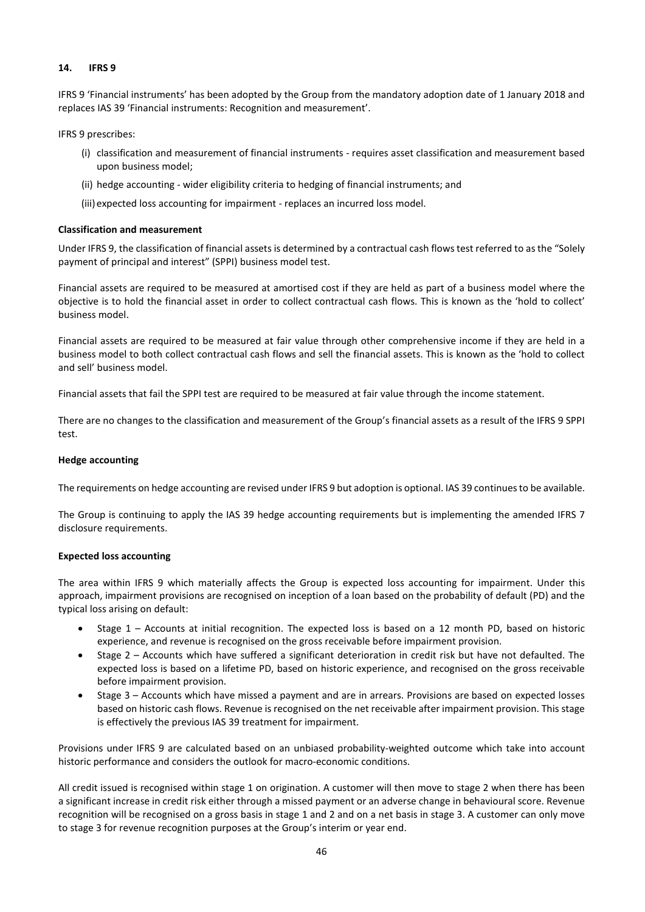## **14. IFRS 9**

IFRS 9 'Financial instruments' has been adopted by the Group from the mandatory adoption date of 1 January 2018 and replaces IAS 39 'Financial instruments: Recognition and measurement'.

IFRS 9 prescribes:

- (i) classification and measurement of financial instruments requires asset classification and measurement based upon business model;
- (ii) hedge accounting wider eligibility criteria to hedging of financial instruments; and
- (iii) expected loss accounting for impairment replaces an incurred loss model.

#### **Classification and measurement**

Under IFRS 9, the classification of financial assets is determined by a contractual cash flows test referred to as the "Solely payment of principal and interest" (SPPI) business model test.

Financial assets are required to be measured at amortised cost if they are held as part of a business model where the objective is to hold the financial asset in order to collect contractual cash flows. This is known as the 'hold to collect' business model.

Financial assets are required to be measured at fair value through other comprehensive income if they are held in a business model to both collect contractual cash flows and sell the financial assets. This is known as the 'hold to collect and sell' business model.

Financial assets that fail the SPPI test are required to be measured at fair value through the income statement.

There are no changes to the classification and measurement of the Group's financial assets as a result of the IFRS 9 SPPI test.

#### **Hedge accounting**

The requirements on hedge accounting are revised under IFRS 9 but adoption is optional. IAS 39 continues to be available.

The Group is continuing to apply the IAS 39 hedge accounting requirements but is implementing the amended IFRS 7 disclosure requirements.

#### **Expected loss accounting**

The area within IFRS 9 which materially affects the Group is expected loss accounting for impairment. Under this approach, impairment provisions are recognised on inception of a loan based on the probability of default (PD) and the typical loss arising on default:

- Stage 1 Accounts at initial recognition. The expected loss is based on a 12 month PD, based on historic experience, and revenue is recognised on the gross receivable before impairment provision.
- Stage 2 Accounts which have suffered a significant deterioration in credit risk but have not defaulted. The expected loss is based on a lifetime PD, based on historic experience, and recognised on the gross receivable before impairment provision.
- Stage 3 Accounts which have missed a payment and are in arrears. Provisions are based on expected losses based on historic cash flows. Revenue is recognised on the net receivable after impairment provision. This stage is effectively the previous IAS 39 treatment for impairment.

Provisions under IFRS 9 are calculated based on an unbiased probability-weighted outcome which take into account historic performance and considers the outlook for macro-economic conditions.

All credit issued is recognised within stage 1 on origination. A customer will then move to stage 2 when there has been a significant increase in credit risk either through a missed payment or an adverse change in behavioural score. Revenue recognition will be recognised on a gross basis in stage 1 and 2 and on a net basis in stage 3. A customer can only move to stage 3 for revenue recognition purposes at the Group's interim or year end.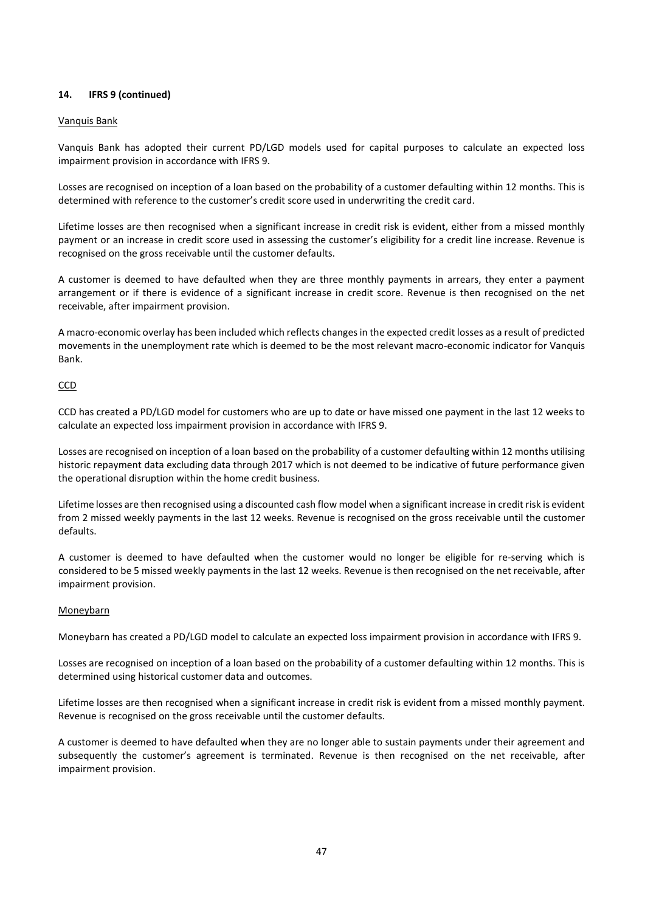# **14. IFRS 9 (continued)**

## Vanquis Bank

Vanquis Bank has adopted their current PD/LGD models used for capital purposes to calculate an expected loss impairment provision in accordance with IFRS 9.

Losses are recognised on inception of a loan based on the probability of a customer defaulting within 12 months. This is determined with reference to the customer's credit score used in underwriting the credit card.

Lifetime losses are then recognised when a significant increase in credit risk is evident, either from a missed monthly payment or an increase in credit score used in assessing the customer's eligibility for a credit line increase. Revenue is recognised on the gross receivable until the customer defaults.

A customer is deemed to have defaulted when they are three monthly payments in arrears, they enter a payment arrangement or if there is evidence of a significant increase in credit score. Revenue is then recognised on the net receivable, after impairment provision.

A macro-economic overlay has been included which reflects changes in the expected credit losses as a result of predicted movements in the unemployment rate which is deemed to be the most relevant macro-economic indicator for Vanquis Bank.

#### **CCD**

CCD has created a PD/LGD model for customers who are up to date or have missed one payment in the last 12 weeks to calculate an expected loss impairment provision in accordance with IFRS 9.

Losses are recognised on inception of a loan based on the probability of a customer defaulting within 12 months utilising historic repayment data excluding data through 2017 which is not deemed to be indicative of future performance given the operational disruption within the home credit business.

Lifetime losses are then recognised using a discounted cash flow model when a significant increase in credit risk is evident from 2 missed weekly payments in the last 12 weeks. Revenue is recognised on the gross receivable until the customer defaults.

A customer is deemed to have defaulted when the customer would no longer be eligible for re-serving which is considered to be 5 missed weekly payments in the last 12 weeks. Revenue is then recognised on the net receivable, after impairment provision.

#### **Moneybarn**

Moneybarn has created a PD/LGD model to calculate an expected loss impairment provision in accordance with IFRS 9.

Losses are recognised on inception of a loan based on the probability of a customer defaulting within 12 months. This is determined using historical customer data and outcomes.

Lifetime losses are then recognised when a significant increase in credit risk is evident from a missed monthly payment. Revenue is recognised on the gross receivable until the customer defaults.

A customer is deemed to have defaulted when they are no longer able to sustain payments under their agreement and subsequently the customer's agreement is terminated. Revenue is then recognised on the net receivable, after impairment provision.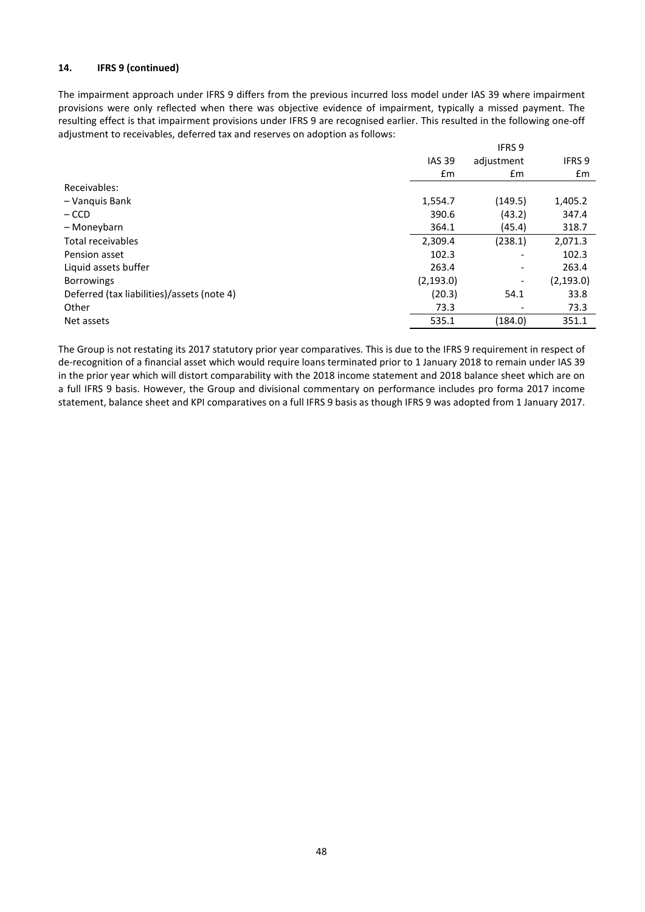# **14. IFRS 9 (continued)**

The impairment approach under IFRS 9 differs from the previous incurred loss model under IAS 39 where impairment provisions were only reflected when there was objective evidence of impairment, typically a missed payment. The resulting effect is that impairment provisions under IFRS 9 are recognised earlier. This resulted in the following one-off adjustment to receivables, deferred tax and reserves on adoption as follows:

|                                            |               | IFRS 9                   |               |
|--------------------------------------------|---------------|--------------------------|---------------|
|                                            | <b>IAS 39</b> | adjustment               | <b>IFRS 9</b> |
|                                            | $\mathsf{fm}$ | Em                       | £m            |
| Receivables:                               |               |                          |               |
| - Vanquis Bank                             | 1,554.7       | (149.5)                  | 1,405.2       |
| $-$ CCD                                    | 390.6         | (43.2)                   | 347.4         |
| - Moneybarn                                | 364.1         | (45.4)                   | 318.7         |
| Total receivables                          | 2,309.4       | (238.1)                  | 2,071.3       |
| Pension asset                              | 102.3         | $\overline{\phantom{a}}$ | 102.3         |
| Liquid assets buffer                       | 263.4         | $\overline{\phantom{a}}$ | 263.4         |
| <b>Borrowings</b>                          | (2, 193.0)    | $\overline{\phantom{a}}$ | (2, 193.0)    |
| Deferred (tax liabilities)/assets (note 4) | (20.3)        | 54.1                     | 33.8          |
| Other                                      | 73.3          | $\overline{\phantom{a}}$ | 73.3          |
| Net assets                                 | 535.1         | (184.0)                  | 351.1         |

The Group is not restating its 2017 statutory prior year comparatives. This is due to the IFRS 9 requirement in respect of de-recognition of a financial asset which would require loans terminated prior to 1 January 2018 to remain under IAS 39 in the prior year which will distort comparability with the 2018 income statement and 2018 balance sheet which are on a full IFRS 9 basis. However, the Group and divisional commentary on performance includes pro forma 2017 income statement, balance sheet and KPI comparatives on a full IFRS 9 basis as though IFRS 9 was adopted from 1 January 2017.